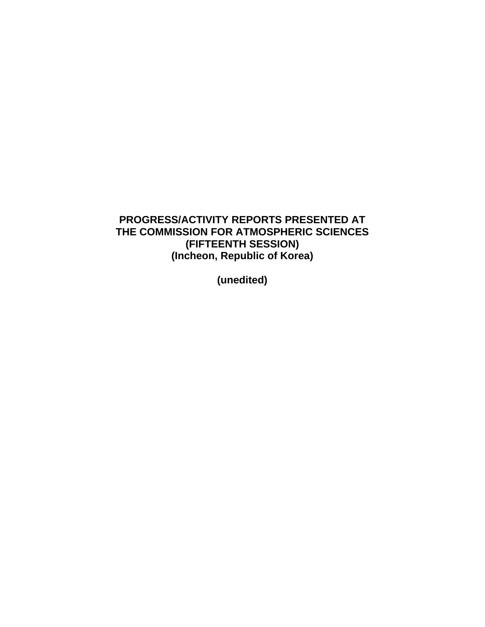# **PROGRESS/ACTIVITY REPORTS PRESENTED AT THE COMMISSION FOR ATMOSPHERIC SCIENCES (FIFTEENTH SESSION) (Incheon, Republic of Korea)**

**(unedited)**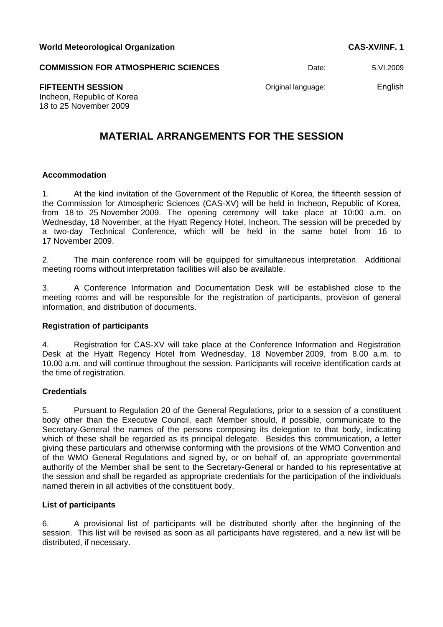**COMMISSION FOR ATMOSPHERIC SCIENCES** Date: 5.VI.2009

Incheon, Republic of Korea 18 to 25 November 2009

# **MATERIAL ARRANGEMENTS FOR THE SESSION**

# **Accommodation**

1. At the kind invitation of the Government of the Republic of Korea, the fifteenth session of the Commission for Atmospheric Sciences (CAS-XV) will be held in Incheon, Republic of Korea, from 18 to 25 November 2009. The opening ceremony will take place at 10:00 a.m. on Wednesday, 18 November, at the Hyatt Regency Hotel, Incheon. The session will be preceded by a two-day Technical Conference, which will be held in the same hotel from 16 to 17 November 2009.

2. The main conference room will be equipped for simultaneous interpretation. Additional meeting rooms without interpretation facilities will also be available.

3. A Conference Information and Documentation Desk will be established close to the meeting rooms and will be responsible for the registration of participants, provision of general information, and distribution of documents.

# **Registration of participants**

4. Registration for CAS-XV will take place at the Conference Information and Registration Desk at the Hyatt Regency Hotel from Wednesday, 18 November 2009, from 8.00 a.m. to 10.00 a.m. and will continue throughout the session. Participants will receive identification cards at the time of registration.

# **Credentials**

5. Pursuant to Regulation 20 of the General Regulations, prior to a session of a constituent body other than the Executive Council, each Member should, if possible, communicate to the Secretary-General the names of the persons composing its delegation to that body, indicating which of these shall be regarded as its principal delegate. Besides this communication, a letter giving these particulars and otherwise conforming with the provisions of the WMO Convention and of the WMO General Regulations and signed by, or on behalf of, an appropriate governmental authority of the Member shall be sent to the Secretary-General or handed to his representative at the session and shall be regarded as appropriate credentials for the participation of the individuals named therein in all activities of the constituent body.

# **List of participants**

6. A provisional list of participants will be distributed shortly after the beginning of the session. This list will be revised as soon as all participants have registered, and a new list will be distributed, if necessary.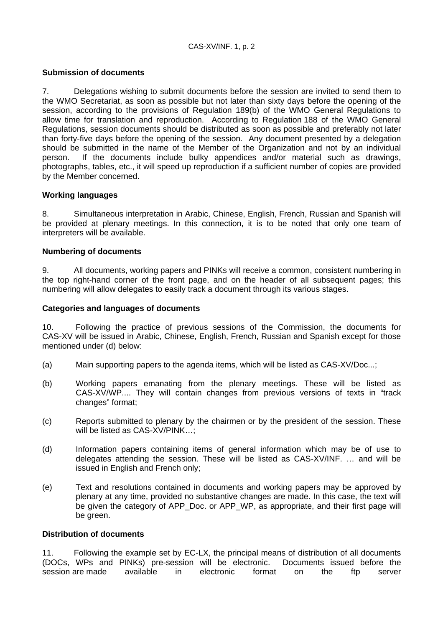# **Submission of documents**

7. Delegations wishing to submit documents before the session are invited to send them to the WMO Secretariat, as soon as possible but not later than sixty days before the opening of the session, according to the provisions of Regulation 189(b) of the WMO General Regulations to allow time for translation and reproduction. According to Regulation 188 of the WMO General Regulations, session documents should be distributed as soon as possible and preferably not later than forty-five days before the opening of the session. Any document presented by a delegation should be submitted in the name of the Member of the Organization and not by an individual person. If the documents include bulky appendices and/or material such as drawings, photographs, tables, etc., it will speed up reproduction if a sufficient number of copies are provided by the Member concerned.

# **Working languages**

8. Simultaneous interpretation in Arabic, Chinese, English, French, Russian and Spanish will be provided at plenary meetings. In this connection, it is to be noted that only one team of interpreters will be available.

# **Numbering of documents**

9. All documents, working papers and PINKs will receive a common, consistent numbering in the top right-hand corner of the front page, and on the header of all subsequent pages; this numbering will allow delegates to easily track a document through its various stages.

# **Categories and languages of documents**

10. Following the practice of previous sessions of the Commission, the documents for CAS-XV will be issued in Arabic, Chinese, English, French, Russian and Spanish except for those mentioned under (d) below:

- (a) Main supporting papers to the agenda items, which will be listed as CAS-XV/Doc...;
- (b) Working papers emanating from the plenary meetings. These will be listed as CAS-XV/WP.... They will contain changes from previous versions of texts in "track changes" format;
- (c) Reports submitted to plenary by the chairmen or by the president of the session. These will be listed as CAS-XV/PINK...:
- (d) Information papers containing items of general information which may be of use to delegates attending the session. These will be listed as CAS-XV/INF. … and will be issued in English and French only;
- (e) Text and resolutions contained in documents and working papers may be approved by plenary at any time, provided no substantive changes are made. In this case, the text will be given the category of APP\_Doc. or APP\_WP, as appropriate, and their first page will be green.

# **Distribution of documents**

11. Following the example set by EC-LX, the principal means of distribution of all documents (DOCs, WPs and PINKs) pre-session will be electronic. Documents issued before the session are made available in electronic format on the ftp server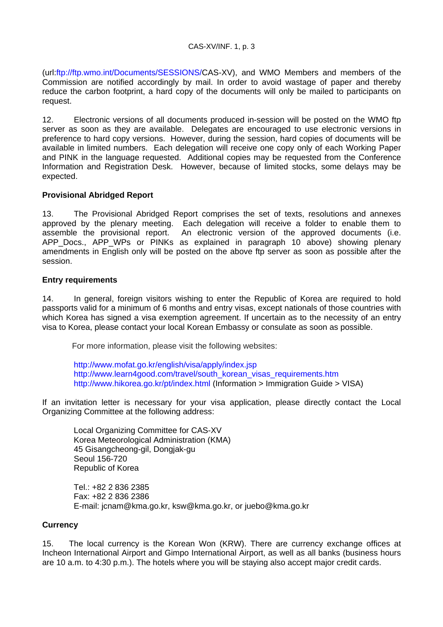(url:<ftp://ftp.wmo.int/Documents/SESSIONS/>CAS-XV), and WMO Members and members of the Commission are notified accordingly by mail. In order to avoid wastage of paper and thereby reduce the carbon footprint, a hard copy of the documents will only be mailed to participants on request.

12. Electronic versions of all documents produced in-session will be posted on the WMO ftp server as soon as they are available. Delegates are encouraged to use electronic versions in preference to hard copy versions. However, during the session, hard copies of documents will be available in limited numbers. Each delegation will receive one copy only of each Working Paper and PINK in the language requested. Additional copies may be requested from the Conference Information and Registration Desk. However, because of limited stocks, some delays may be expected.

# **Provisional Abridged Report**

13. The Provisional Abridged Report comprises the set of texts, resolutions and annexes approved by the plenary meeting. Each delegation will receive a folder to enable them to assemble the provisional report. An electronic version of the approved documents (i.e. APP Docs., APP WPs or PINKs as explained in paragraph 10 above) showing plenary amendments in English only will be posted on the above ftp server as soon as possible after the session.

# **Entry requirements**

14. In general, foreign visitors wishing to enter the Republic of Korea are required to hold passports valid for a minimum of 6 months and entry visas, except nationals of those countries with which Korea has signed a visa exemption agreement. If uncertain as to the necessity of an entry visa to Korea, please contact your local Korean Embassy or consulate as soon as possible.

For more information, please visit the following websites:

<http://www.mofat.go.kr/english/visa/apply/index.jsp> [http://www.learn4good.com/travel/south\\_korean\\_visas\\_requirements.htm](http://www.learn4good.com/travel/south_korean_visas_requirements.htm) <http://www.hikorea.go.kr/pt/index.html>(Information > Immigration Guide > VISA)

If an invitation letter is necessary for your visa application, please directly contact the Local Organizing Committee at the following address:

Local Organizing Committee for CAS-XV Korea Meteorological Administration (KMA) 45 Gisangcheong-gil, Dongjak-gu Seoul 156-720 Republic of Korea

Tel.: +82 2 836 2385 Fax: +82 2 836 2386 E-mail: jcnam@kma.go.kr, ksw@kma.go.kr, or juebo@kma.go.kr

# **Currency**

15. The local currency is the Korean Won (KRW). There are currency exchange offices at Incheon International Airport and Gimpo International Airport, as well as all banks (business hours are 10 a.m. to 4:30 p.m.). The hotels where you will be staying also accept major credit cards.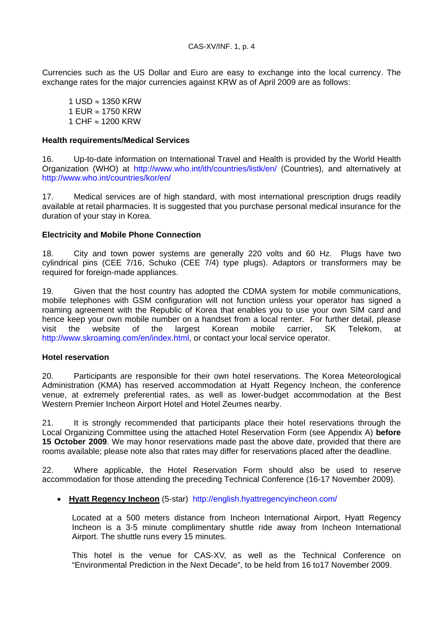Currencies such as the US Dollar and Euro are easy to exchange into the local currency. The exchange rates for the major currencies against KRW as of April 2009 are as follows:

1 USD ≈ 1350 KRW 1 EUR ≈ 1750 KRW 1 CHF ≈ 1200 KRW

# **Health requirements/Medical Services**

16. Up-to-date information on International Travel and Health is provided by the World Health Organization (WHO) at <http://www.who.int/ith/countries/listk/en/>(Countries), and alternatively at <http://www.who.int/countries/kor/en/>

17. Medical services are of high standard, with most international prescription drugs readily available at retail pharmacies. It is suggested that you purchase personal medical insurance for the duration of your stay in Korea.

# **Electricity and Mobile Phone Connection**

18. City and town power systems are generally 220 volts and 60 Hz. Plugs have two cylindrical pins (CEE 7/16, Schuko (CEE 7/4) type plugs). Adaptors or transformers may be required for foreign-made appliances.

19. Given that the host country has adopted the CDMA system for mobile communications, mobile telephones with GSM configuration will not function unless your operator has signed a roaming agreement with the Republic of Korea that enables you to use your own SIM card and hence keep your own mobile number on a handset from a local renter. For further detail, please visit the website of the largest Korean mobile carrier, SK Telekom, at <http://www.skroaming.com/en/index.html>, or contact your local service operator.

# **Hotel reservation**

20. Participants are responsible for their own hotel reservations. The Korea Meteorological Administration (KMA) has reserved accommodation at Hyatt Regency Incheon, the conference venue, at extremely preferential rates, as well as lower-budget accommodation at the Best Western Premier Incheon Airport Hotel and Hotel Zeumes nearby.

21. It is strongly recommended that participants place their hotel reservations through the Local Organizing Committee using the attached Hotel Reservation Form (see Appendix A) **before 15 October 2009**. We may honor reservations made past the above date, provided that there are rooms available; please note also that rates may differ for reservations placed after the deadline.

22. Where applicable, the Hotel Reservation Form should also be used to reserve accommodation for those attending the preceding Technical Conference (16-17 November 2009).

# • **Hyatt Regency Incheon** (5-star) <http://english.hyattregencyincheon.com/>

Located at a 500 meters distance from Incheon International Airport, Hyatt Regency Incheon is a 3-5 minute complimentary shuttle ride away from Incheon International Airport. The shuttle runs every 15 minutes.

This hotel is the venue for CAS-XV, as well as the Technical Conference on "Environmental Prediction in the Next Decade", to be held from 16 to17 November 2009.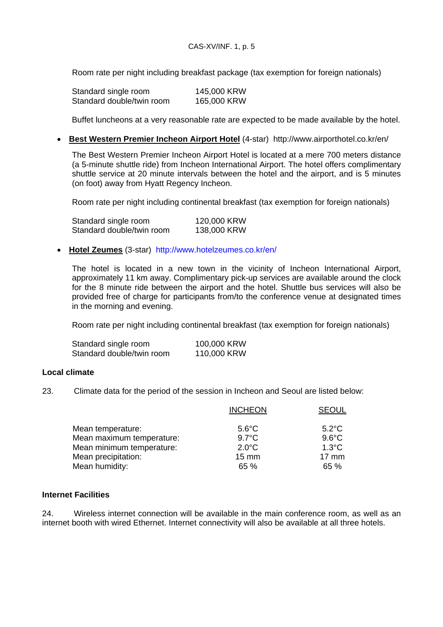Room rate per night including breakfast package (tax exemption for foreign nationals)

| Standard single room      | 145,000 KRW |
|---------------------------|-------------|
| Standard double/twin room | 165,000 KRW |

Buffet luncheons at a very reasonable rate are expected to be made available by the hotel.

• **Best Western Premier Incheon Airport Hotel** (4-star) <http://www.airporthotel.co.kr/en/>

The Best Western Premier Incheon Airport Hotel is located at a mere 700 meters distance (a 5-minute shuttle ride) from Incheon International Airport. The hotel offers complimentary shuttle service at 20 minute intervals between the hotel and the airport, and is 5 minutes (on foot) away from Hyatt Regency Incheon.

Room rate per night including continental breakfast (tax exemption for foreign nationals)

| Standard single room      | 120,000 KRW |
|---------------------------|-------------|
| Standard double/twin room | 138,000 KRW |

• **Hotel Zeumes** (3-star) <http://www.hotelzeumes.co.kr/en/>

The hotel is located in a new town in the vicinity of Incheon International Airport, approximately 11 km away. Complimentary pick-up services are available around the clock for the 8 minute ride between the airport and the hotel. Shuttle bus services will also be provided free of charge for participants from/to the conference venue at designated times in the morning and evening.

Room rate per night including continental breakfast (tax exemption for foreign nationals)

| Standard single room      | 100,000 KRW |
|---------------------------|-------------|
| Standard double/twin room | 110,000 KRW |

# **Local climate**

23. Climate data for the period of the session in Incheon and Seoul are listed below:

|                           | <b>INCHEON</b>  | <b>SEOUL</b>    |
|---------------------------|-----------------|-----------------|
| Mean temperature:         | $5.6^{\circ}$ C | $5.2^{\circ}$ C |
| Mean maximum temperature: | $9.7^{\circ}$ C | $9.6^{\circ}$ C |
| Mean minimum temperature: | $2.0^{\circ}$ C | $1.3^{\circ}$ C |
| Mean precipitation:       | $15 \text{ mm}$ | $17 \text{ mm}$ |
| Mean humidity:            | 65 %            | 65%             |

# **Internet Facilities**

24. Wireless internet connection will be available in the main conference room, as well as an internet booth with wired Ethernet. Internet connectivity will also be available at all three hotels.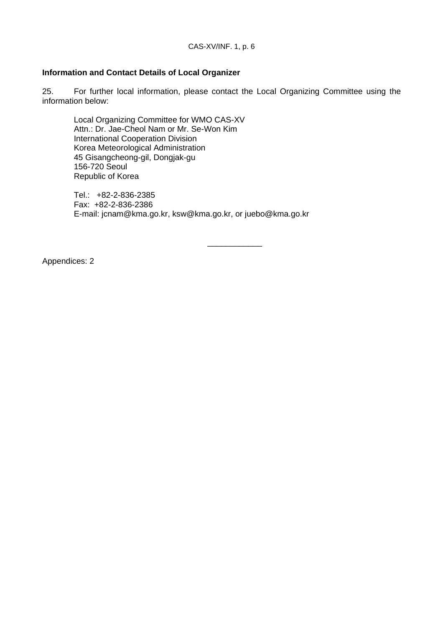# **Information and Contact Details of Local Organizer**

25. For further local information, please contact the Local Organizing Committee using the information below:

\_\_\_\_\_\_\_\_\_\_\_\_

Local Organizing Committee for WMO CAS-XV Attn.: Dr. Jae-Cheol Nam or Mr. Se-Won Kim International Cooperation Division Korea Meteorological Administration 45 Gisangcheong-gil, Dongjak-gu 156-720 Seoul Republic of Korea

Tel.: +82-2-836-2385 Fax: +82-2-836-2386 E-mail: jcnam@kma.go.kr, ksw@kma.go.kr, or juebo@kma.go.kr

Appendices: 2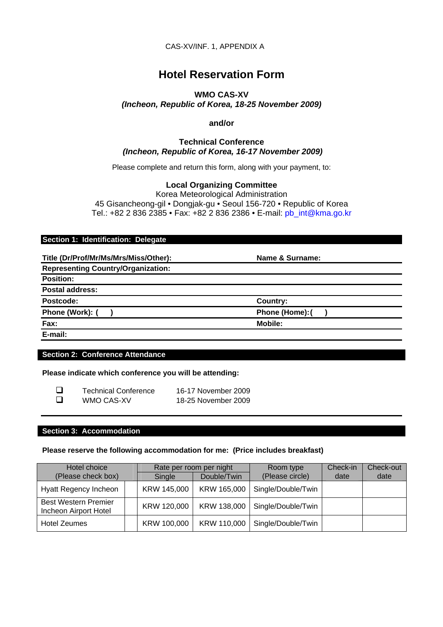CAS-XV/INF. 1, APPENDIX A

# **Hotel Reservation Form**

# **WMO CAS-XV**  *(Incheon, Republic of Korea, 18-25 November 2009)*

### **and/or**

# **Technical Conference**   *(Incheon, Republic of Korea, 16-17 November 2009)*

Please complete and return this form, along with your payment, to:

# **Local Organizing Committee**

Korea Meteorological Administration 45 Gisancheong-gil • Dongjak-gu • Seoul 156-720 • Republic of Korea Tel.: +82 2 836 2385 • Fax: +82 2 836 2386 • E-mail: [pb\\_int@kma.go.kr](mailto:pb_int@kma.go.kr)

#### **Section 1: Identification: Delegate**

**Title (Dr/Prof/Mr/Ms/Mrs/Miss/Other): Name & Surname:** 

**Representing Country/Organization:** 

**Position:** 

**Postal address:** 

Postcode: Country:

Phone (Work): ( ) **Phone (Home): ( ) Phone (Home): ( )** 

**Fax: Mobile:** 

**E-mail:** 

# **Section 2: Conference Attendance**

#### **Please indicate which conference you will be attending:**

| □ | <b>Technical Conference</b> | 16-17 November 2009 |
|---|-----------------------------|---------------------|
| □ | WMO CAS-XV                  | 18-25 November 2009 |

# **Section 3: Accommodation**

#### **Please reserve the following accommodation for me: (Price includes breakfast)**

| Hotel choice                                         |             | Rate per room per night |                    | Check-in | Check-out |
|------------------------------------------------------|-------------|-------------------------|--------------------|----------|-----------|
| (Please check box)                                   | Single      | Double/Twin             | (Please circle)    | date     | date      |
| Hyatt Regency Incheon                                | KRW 145,000 | KRW 165,000             | Single/Double/Twin |          |           |
| <b>Best Western Premier</b><br>Incheon Airport Hotel | KRW 120,000 | KRW 138,000             | Single/Double/Twin |          |           |
| <b>Hotel Zeumes</b>                                  | KRW 100,000 | KRW 110,000             | Single/Double/Twin |          |           |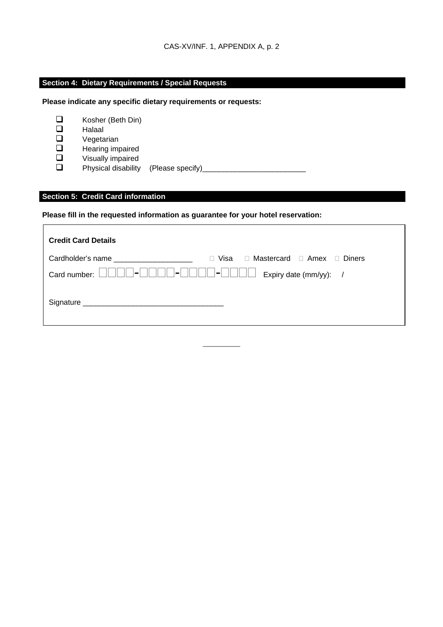# **Section 4: Dietary Requirements / Special Requests**

**Please indicate any specific dietary requirements or requests:** 

- □ Kosher (Beth Din)<br>□ Halaal
- $\Box$  Halaal<br> $\Box$  Vegeta
- $\square$  Vegetarian<br> $\square$  Hearing import
- $\Box$  Hearing impaired<br> $\Box$  Visually impaired
- $\square$  Visually impaired<br> $\square$  Physical disability
- Physical disability (Please specify)

# **Section 5: Credit Card information**

**Please fill in the requested information as guarantee for your hotel reservation:** 

| <b>Credit Card Details</b>                                                                                                                                                                                                     |                                                             |
|--------------------------------------------------------------------------------------------------------------------------------------------------------------------------------------------------------------------------------|-------------------------------------------------------------|
| Cardholder's name and the control of the control of the control of the control of the control of the control of the control of the control of the control of the control of the control of the control of the control of the c | $\Box$ Visa $\Box$ Mastercard $\Box$ Amex $\Box$ Diners     |
| $ - $ $ $ $ $ $ $<br>Card number: $\Box$                                                                                                                                                                                       | <del> </del>                     <br>Expiry date (mm/yy): / |
|                                                                                                                                                                                                                                |                                                             |

\_\_\_\_\_\_\_\_\_\_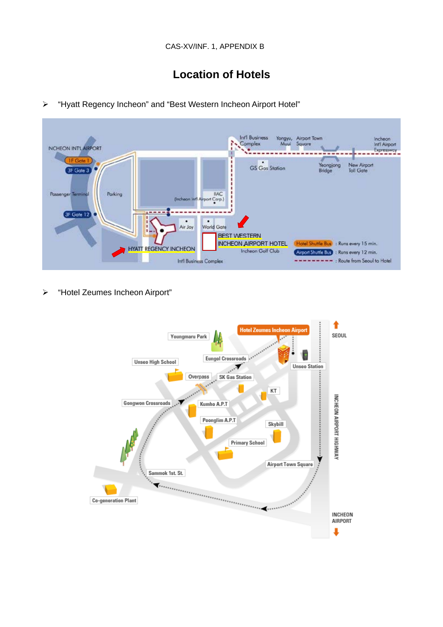# **Location of Hotels**

- **Infl Business** Yongyu, Airport Town<br>Muui Square Incheon<br>Int'l Airport Complex NCHEON INTLARPORT Expresswoy ----New Airport Yeongjong **GS** Gas Station 3F Gate 3 Toll Gate Bridge Passenger Term Parking **IIAC Drk**  $Cop$ ×--3F Gate 12  $\overline{Ar}$  Joy viorid Gate **BEST WESTERN** INCHEON AIRPORT HOTEL (Hotel Shuttle Bus) : Runs every 15 min. **HYATT REGENCY INCHEON Incheon Golf Club** Arport Shuttle Bus : Runs every 12 min. --------- Route from Seoul to Hotel Int'l Business Complex
- ¾ "Hyatt Regency Incheon" and "Best Western Incheon Airport Hotel"

¾ "Hotel Zeumes Incheon Airport"

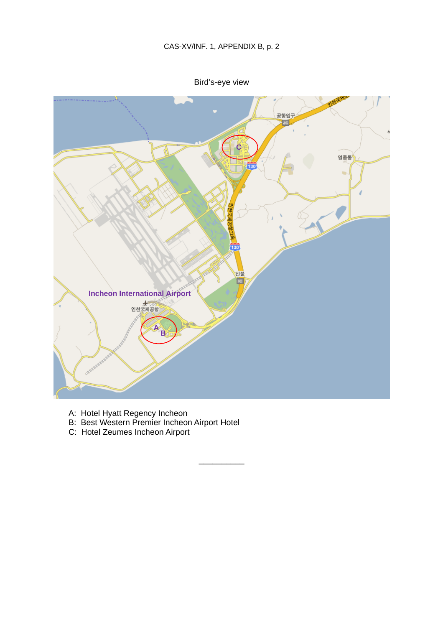Bird's-eye view



\_\_\_\_\_\_\_\_\_\_

- A: Hotel Hyatt Regency Incheon
- B: Best Western Premier Incheon Airport Hotel
- C: Hotel Zeumes Incheon Airport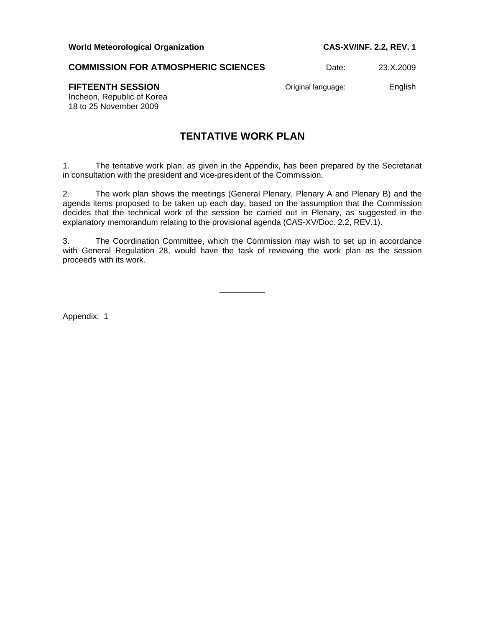**COMMISSION FOR ATMOSPHERIC SCIENCES** Date: 23.X.2009

**FIFTEENTH SESSION** Original language: English

Incheon, Republic of Korea 18 to 25 November 2009

# **TENTATIVE WORK PLAN**

1. The tentative work plan, as given in the Appendix, has been prepared by the Secretariat in consultation with the president and vice-president of the Commission.

2. The work plan shows the meetings (General Plenary, Plenary A and Plenary B) and the agenda items proposed to be taken up each day, based on the assumption that the Commission decides that the technical work of the session be carried out in Plenary, as suggested in the explanatory memorandum relating to the provisional agenda (CAS-XV/Doc. 2.2, REV.1).

3. The Coordination Committee, which the Commission may wish to set up in accordance with General Regulation 28, would have the task of reviewing the work plan as the session proceeds with its work.

\_\_\_\_\_\_\_\_\_\_

Appendix: 1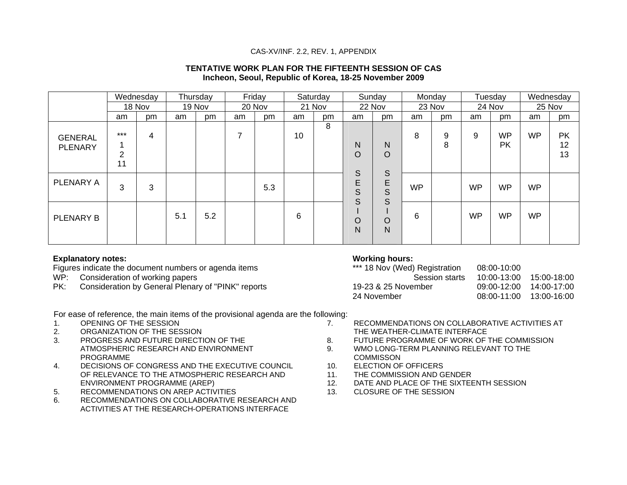#### CAS-XV/INF. 2.2, REV. 1, APPENDIX

#### **TENTATIVE WORK PLAN FOR THE FIFTEENTH SESSION OF CAS Incheon, Seoul, Republic of Korea, 18-25 November 2009**

|                                  |                               | Wednesday |     | Thursday |    | Friday |    | Saturday |                  | Sunday           | Monday    |        |           | Tuesday                |           | Wednesday             |
|----------------------------------|-------------------------------|-----------|-----|----------|----|--------|----|----------|------------------|------------------|-----------|--------|-----------|------------------------|-----------|-----------------------|
|                                  |                               | 18 Nov    |     | 19 Nov   |    | 20 Nov |    | 21 Nov   |                  | 22 Nov           |           | 23 Nov |           | 24 Nov                 | 25 Nov    |                       |
|                                  | am                            | pm        | am  | pm       | am | pm     | am | pm       | am               | pm               | am        | pm     | am        | pm                     | am        | pm                    |
| <b>GENERAL</b><br><b>PLENARY</b> | $***$<br>$\overline{2}$<br>11 | 4         |     |          | 7  |        | 10 | 8        | N<br>O           | N<br>$\circ$     | 8         | 9<br>8 | 9         | <b>WP</b><br><b>PK</b> | <b>WP</b> | <b>PK</b><br>12<br>13 |
| PLENARY A                        | 3                             | 3         |     |          |    | 5.3    |    |          | S<br>E<br>S<br>S | S<br>E<br>S<br>S | <b>WP</b> |        | <b>WP</b> | <b>WP</b>              | <b>WP</b> |                       |
| PLENARY B                        |                               |           | 5.1 | 5.2      |    |        | 6  |          | O<br>N           | O<br>N           | 6         |        | <b>WP</b> | <b>WP</b>              | <b>WP</b> |                       |

#### **Explanatory notes:**

Figures indicate the document numbers or agenda items

- WP: Consideration of working papers
- PK: Consideration by General Plenary of "PINK" reports

# **Working hours:**

| *** 18 Nov (Wed) Registration | 08:00-10:00     |             |
|-------------------------------|-----------------|-------------|
| Session starts                | $10:00 - 13:00$ | 15:00-18:00 |
| 19-23 & 25 November           | $09:00-12:00$   | 14:00-17:00 |
| 24 November                   | $08:00-11:00$   | 13:00-16:00 |
|                               |                 |             |

For ease of reference, the main items of the provisional agenda are the following:

- 1. OPENING OF THE SESSION
- 2. ORGANIZATION OF THE SESSION
- 3. PROGRESS AND FUTURE DIRECTION OF THE ATMOSPHERIC RESEARCH AND ENVIRONMENT PROGRAMME
- 4. DECISIONS OF CONGRESS AND THE EXECUTIVE COUNCIL OF RELEVANCE TO THE ATMOSPHERIC RESEARCH AND ENVIRONMENT PROGRAMME (AREP)
- 5. RECOMMENDATIONS ON AREP ACTIVITIES
- 6. RECOMMENDATIONS ON COLLABORATIVE RESEARCH AND ACTIVITIES AT THE RESEARCH-OPERATIONS INTERFACE
- 7. RECOMMENDATIONS ON COLLABORATIVE ACTIVITIES AT THE WEATHER-CLIMATE INTERFACE
- 8. FUTURE PROGRAMME OF WORK OF THE COMMISSION
- 9. WMO LONG-TERM PLANNING RELEVANT TO THE **COMMISSON**
- 10. ELECTION OF OFFICERS
- 11. THE COMMISSION AND GENDER
- 12. DATE AND PLACE OF THE SIXTEENTH SESSION
- 13. CLOSURE OF THE SESSION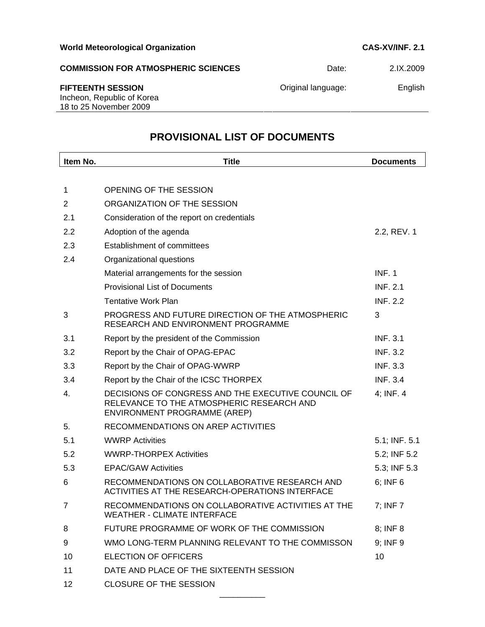| <b>COMMISSION FOR ATMOSPHERIC SCIENCES</b>                                       | Date:              | 2.IX.2009 |
|----------------------------------------------------------------------------------|--------------------|-----------|
| <b>FIFTEENTH SESSION</b><br>Incheon, Republic of Korea<br>18 to 25 November 2009 | Original language: | English   |
|                                                                                  |                    |           |

# **PROVISIONAL LIST OF DOCUMENTS**

| Item No.       | <b>Title</b>                                                                                                                    | <b>Documents</b> |
|----------------|---------------------------------------------------------------------------------------------------------------------------------|------------------|
|                |                                                                                                                                 |                  |
| 1              | OPENING OF THE SESSION                                                                                                          |                  |
| $\overline{2}$ | ORGANIZATION OF THE SESSION                                                                                                     |                  |
| 2.1            | Consideration of the report on credentials                                                                                      |                  |
| 2.2            | Adoption of the agenda                                                                                                          | 2.2, REV. 1      |
| 2.3            | Establishment of committees                                                                                                     |                  |
| 2.4            | Organizational questions                                                                                                        |                  |
|                | Material arrangements for the session                                                                                           | <b>INF. 1</b>    |
|                | <b>Provisional List of Documents</b>                                                                                            | <b>INF. 2.1</b>  |
|                | <b>Tentative Work Plan</b>                                                                                                      | <b>INF. 2.2</b>  |
| 3              | PROGRESS AND FUTURE DIRECTION OF THE ATMOSPHERIC<br>RESEARCH AND ENVIRONMENT PROGRAMME                                          | 3                |
| 3.1            | Report by the president of the Commission                                                                                       | <b>INF. 3.1</b>  |
| 3.2            | Report by the Chair of OPAG-EPAC                                                                                                | <b>INF. 3.2</b>  |
| 3.3            | Report by the Chair of OPAG-WWRP                                                                                                | <b>INF. 3.3</b>  |
| 3.4            | Report by the Chair of the ICSC THORPEX                                                                                         | <b>INF. 3.4</b>  |
| 4.             | DECISIONS OF CONGRESS AND THE EXECUTIVE COUNCIL OF<br>RELEVANCE TO THE ATMOSPHERIC RESEARCH AND<br>ENVIRONMENT PROGRAMME (AREP) | 4; INF. 4        |
| 5.             | RECOMMENDATIONS ON AREP ACTIVITIES                                                                                              |                  |
| 5.1            | <b>WWRP Activities</b>                                                                                                          | 5.1; INF. 5.1    |
| 5.2            | <b>WWRP-THORPEX Activities</b>                                                                                                  | 5.2; INF 5.2     |
| 5.3            | <b>EPAC/GAW Activities</b>                                                                                                      | 5.3; INF 5.3     |
| 6              | RECOMMENDATIONS ON COLLABORATIVE RESEARCH AND<br>ACTIVITIES AT THE RESEARCH-OPERATIONS INTERFACE                                | $6$ ; INF $6$    |
| $\overline{7}$ | RECOMMENDATIONS ON COLLABORATIVE ACTIVITIES AT THE<br><b>WEATHER - CLIMATE INTERFACE</b>                                        | 7; INF 7         |
| 8              | FUTURE PROGRAMME OF WORK OF THE COMMISSION                                                                                      | 8; INF 8         |
| 9              | WMO LONG-TERM PLANNING RELEVANT TO THE COMMISSON                                                                                | 9; INF 9         |
| 10             | <b>ELECTION OF OFFICERS</b>                                                                                                     | 10               |
| 11             | DATE AND PLACE OF THE SIXTEENTH SESSION                                                                                         |                  |
| 12             | <b>CLOSURE OF THE SESSION</b>                                                                                                   |                  |
|                |                                                                                                                                 |                  |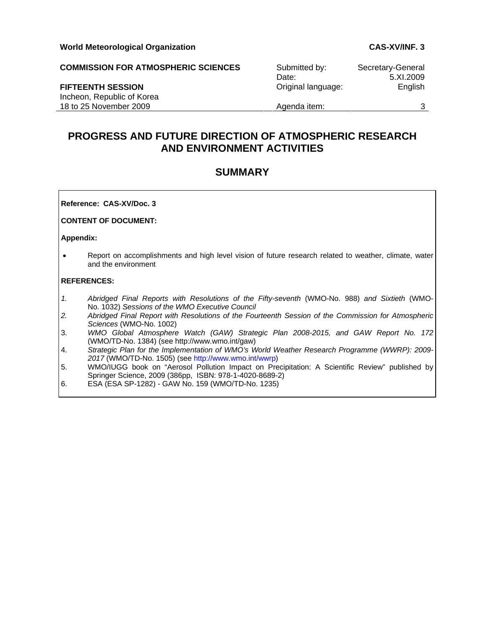| <b>COMMISSION FOR ATMOSPHERIC SCIENCES</b> | Submitted by:      | Secretary-General |
|--------------------------------------------|--------------------|-------------------|
|                                            | Date:              | 5.XI.2009         |
| <b>FIFTEENTH SESSION</b>                   | Original language: | English           |
| Incheon, Republic of Korea                 |                    |                   |
| 18 to 25 November 2009                     | Agenda item:       |                   |

# **PROGRESS AND FUTURE DIRECTION OF ATMOSPHERIC RESEARCH AND ENVIRONMENT ACTIVITIES**

# **SUMMARY**

**Reference: CAS-XV/Doc. 3** 

**CONTENT OF DOCUMENT:** 

**Appendix:** 

• Report on accomplishments and high level vision of future research related to weather, climate, water and the environment

#### **REFERENCES:**

- *1. Abridged Final Reports with Resolutions of the Fifty-seventh* (WMO-No. 988) *and Sixtieth* (WMO-No. 1032) *Sessions of the WMO Executive Council*
- *2. Abridged Final Report with Resolutions of the Fourteenth Session of the Commission for Atmospheric Sciences* (WMO-No. 1002)
- 3. *WMO Global Atmosphere Watch (GAW) Strategic Plan 2008-2015, and GAW Report No. 172* (WMO/TD-No. 1384) (see http://www.wmo.int/gaw)
- 4. *Strategic Plan for the Implementation of WMO's World Weather Research Programme (WWRP): 2009- 2017* (WMO/TD-No. 1505) (see http://www.wmo.int/wwrp)
- 5. WMO/IUGG book on "Aerosol Pollution Impact on Precipitation: A Scientific Review" published by Springer Science, 2009 (386pp, ISBN: 978-1-4020-8689-2)
- 6. ESA (ESA SP-1282) GAW No. 159 (WMO/TD-No. 1235)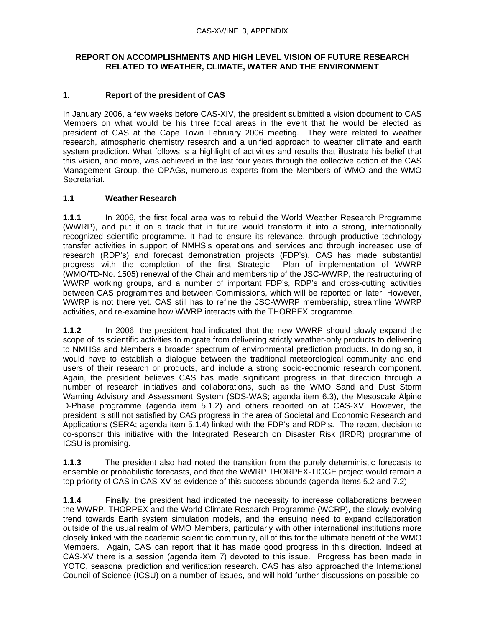# **REPORT ON ACCOMPLISHMENTS AND HIGH LEVEL VISION OF FUTURE RESEARCH RELATED TO WEATHER, CLIMATE, WATER AND THE ENVIRONMENT**

# **1. Report of the president of CAS**

In January 2006, a few weeks before CAS-XIV, the president submitted a vision document to CAS Members on what would be his three focal areas in the event that he would be elected as president of CAS at the Cape Town February 2006 meeting. They were related to weather research, atmospheric chemistry research and a unified approach to weather climate and earth system prediction. What follows is a highlight of activities and results that illustrate his belief that this vision, and more, was achieved in the last four years through the collective action of the CAS Management Group, the OPAGs, numerous experts from the Members of WMO and the WMO Secretariat.

# **1.1 Weather Research**

**1.1.1** In 2006, the first focal area was to rebuild the World Weather Research Programme (WWRP), and put it on a track that in future would transform it into a strong, internationally recognized scientific programme. It had to ensure its relevance, through productive technology transfer activities in support of NMHS's operations and services and through increased use of research (RDP's) and forecast demonstration projects (FDP's). CAS has made substantial progress with the completion of the first Strategic Plan of implementation of WWRP (WMO/TD-No. 1505) renewal of the Chair and membership of the JSC-WWRP, the restructuring of WWRP working groups, and a number of important FDP's, RDP's and cross-cutting activities between CAS programmes and between Commissions, which will be reported on later. However, WWRP is not there yet. CAS still has to refine the JSC-WWRP membership, streamline WWRP activities, and re-examine how WWRP interacts with the THORPEX programme.

**1.1.2** In 2006, the president had indicated that the new WWRP should slowly expand the scope of its scientific activities to migrate from delivering strictly weather-only products to delivering to NMHSs and Members a broader spectrum of environmental prediction products. In doing so, it would have to establish a dialogue between the traditional meteorological community and end users of their research or products, and include a strong socio-economic research component. Again, the president believes CAS has made significant progress in that direction through a number of research initiatives and collaborations, such as the WMO Sand and Dust Storm Warning Advisory and Assessment System (SDS-WAS; agenda item 6.3), the Mesoscale Alpine D-Phase programme (agenda item 5.1.2) and others reported on at CAS-XV. However, the president is still not satisfied by CAS progress in the area of Societal and Economic Research and Applications (SERA; agenda item 5.1.4) linked with the FDP's and RDP's. The recent decision to co-sponsor this initiative with the Integrated Research on Disaster Risk (IRDR) programme of ICSU is promising.

**1.1.3** The president also had noted the transition from the purely deterministic forecasts to ensemble or probabilistic forecasts, and that the WWRP THORPEX-TIGGE project would remain a top priority of CAS in CAS-XV as evidence of this success abounds (agenda items 5.2 and 7.2)

**1.1.4** Finally, the president had indicated the necessity to increase collaborations between the WWRP, THORPEX and the World Climate Research Programme (WCRP), the slowly evolving trend towards Earth system simulation models, and the ensuing need to expand collaboration outside of the usual realm of WMO Members, particularly with other international institutions more closely linked with the academic scientific community, all of this for the ultimate benefit of the WMO Members. Again, CAS can report that it has made good progress in this direction. Indeed at CAS-XV there is a session (agenda item 7) devoted to this issue. Progress has been made in YOTC, seasonal prediction and verification research. CAS has also approached the International Council of Science (ICSU) on a number of issues, and will hold further discussions on possible co-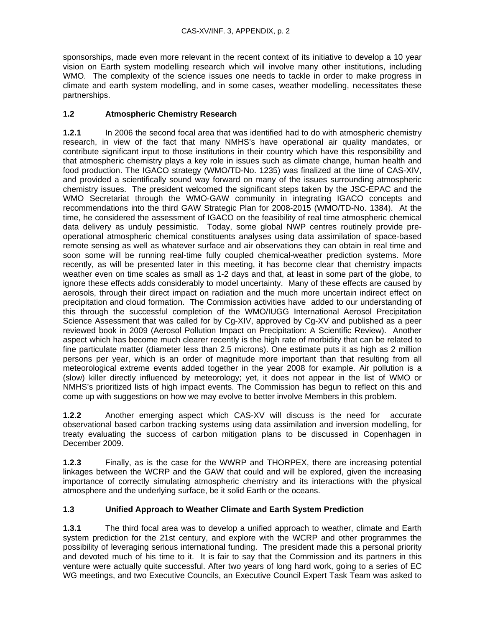sponsorships, made even more relevant in the recent context of its initiative to develop a 10 year vision on Earth system modelling research which will involve many other institutions, including WMO. The complexity of the science issues one needs to tackle in order to make progress in climate and earth system modelling, and in some cases, weather modelling, necessitates these partnerships.

# **1.2 Atmospheric Chemistry Research**

**1.2.1** In 2006 the second focal area that was identified had to do with atmospheric chemistry research, in view of the fact that many NMHS's have operational air quality mandates, or contribute significant input to those institutions in their country which have this responsibility and that atmospheric chemistry plays a key role in issues such as climate change, human health and food production. The IGACO strategy (WMO/TD-No. 1235) was finalized at the time of CAS-XIV, and provided a scientifically sound way forward on many of the issues surrounding atmospheric chemistry issues. The president welcomed the significant steps taken by the JSC-EPAC and the WMO Secretariat through the WMO-GAW community in integrating IGACO concepts and recommendations into the third GAW Strategic Plan for 2008-2015 (WMO/TD-No. 1384). At the time, he considered the assessment of IGACO on the feasibility of real time atmospheric chemical data delivery as unduly pessimistic. Today, some global NWP centres routinely provide preoperational atmospheric chemical constituents analyses using data assimilation of space-based remote sensing as well as whatever surface and air observations they can obtain in real time and soon some will be running real-time fully coupled chemical-weather prediction systems. More recently, as will be presented later in this meeting, it has become clear that chemistry impacts weather even on time scales as small as 1-2 days and that, at least in some part of the globe, to ignore these effects adds considerably to model uncertainty. Many of these effects are caused by aerosols, through their direct impact on radiation and the much more uncertain indirect effect on precipitation and cloud formation. The Commission activities have added to our understanding of this through the successful completion of the WMO/IUGG International Aerosol Precipitation Science Assessment that was called for by Cg-XIV, approved by Cg-XV and published as a peer reviewed book in 2009 (Aerosol Pollution Impact on Precipitation: A Scientific Review). Another aspect which has become much clearer recently is the high rate of morbidity that can be related to fine particulate matter (diameter less than 2.5 microns). One estimate puts it as high as 2 million persons per year, which is an order of magnitude more important than that resulting from all meteorological extreme events added together in the year 2008 for example. Air pollution is a (slow) killer directly influenced by meteorology; yet, it does not appear in the list of WMO or NMHS's prioritized lists of high impact events. The Commission has begun to reflect on this and come up with suggestions on how we may evolve to better involve Members in this problem.

**1.2.2** Another emerging aspect which CAS-XV will discuss is the need for accurate observational based carbon tracking systems using data assimilation and inversion modelling, for treaty evaluating the success of carbon mitigation plans to be discussed in Copenhagen in December 2009.

**1.2.3** Finally, as is the case for the WWRP and THORPEX, there are increasing potential linkages between the WCRP and the GAW that could and will be explored, given the increasing importance of correctly simulating atmospheric chemistry and its interactions with the physical atmosphere and the underlying surface, be it solid Earth or the oceans.

# **1.3 Unified Approach to Weather Climate and Earth System Prediction**

**1.3.1** The third focal area was to develop a unified approach to weather, climate and Earth system prediction for the 21st century, and explore with the WCRP and other programmes the possibility of leveraging serious international funding. The president made this a personal priority and devoted much of his time to it. It is fair to say that the Commission and its partners in this venture were actually quite successful. After two years of long hard work, going to a series of EC WG meetings, and two Executive Councils, an Executive Council Expert Task Team was asked to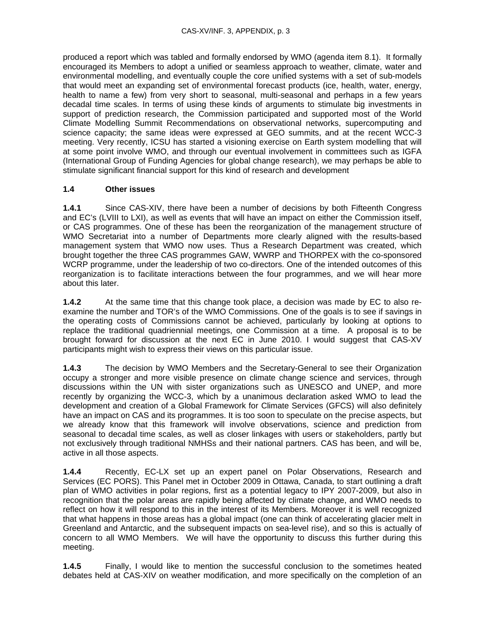produced a report which was tabled and formally endorsed by WMO (agenda item 8.1). It formally encouraged its Members to adopt a unified or seamless approach to weather, climate, water and environmental modelling, and eventually couple the core unified systems with a set of sub-models that would meet an expanding set of environmental forecast products (ice, health, water, energy, health to name a few) from very short to seasonal, multi-seasonal and perhaps in a few years decadal time scales. In terms of using these kinds of arguments to stimulate big investments in support of prediction research, the Commission participated and supported most of the World Climate Modelling Summit Recommendations on observational networks, supercomputing and science capacity; the same ideas were expressed at GEO summits, and at the recent WCC-3 meeting. Very recently, ICSU has started a visioning exercise on Earth system modelling that will at some point involve WMO, and through our eventual involvement in committees such as IGFA (International Group of Funding Agencies for global change research), we may perhaps be able to stimulate significant financial support for this kind of research and development

# **1.4 Other issues**

**1.4.1** Since CAS-XIV, there have been a number of decisions by both Fifteenth Congress and EC's (LVIII to LXI), as well as events that will have an impact on either the Commission itself, or CAS programmes. One of these has been the reorganization of the management structure of WMO Secretariat into a number of Departments more clearly aligned with the results-based management system that WMO now uses. Thus a Research Department was created, which brought together the three CAS programmes GAW, WWRP and THORPEX with the co-sponsored WCRP programme, under the leadership of two co-directors. One of the intended outcomes of this reorganization is to facilitate interactions between the four programmes, and we will hear more about this later.

**1.4.2** At the same time that this change took place, a decision was made by EC to also reexamine the number and TOR's of the WMO Commissions. One of the goals is to see if savings in the operating costs of Commissions cannot be achieved, particularly by looking at options to replace the traditional quadriennial meetings, one Commission at a time. A proposal is to be brought forward for discussion at the next EC in June 2010. I would suggest that CAS-XV participants might wish to express their views on this particular issue.

**1.4.3** The decision by WMO Members and the Secretary-General to see their Organization occupy a stronger and more visible presence on climate change science and services, through discussions within the UN with sister organizations such as UNESCO and UNEP, and more recently by organizing the WCC-3, which by a unanimous declaration asked WMO to lead the development and creation of a Global Framework for Climate Services (GFCS) will also definitely have an impact on CAS and its programmes. It is too soon to speculate on the precise aspects, but we already know that this framework will involve observations, science and prediction from seasonal to decadal time scales, as well as closer linkages with users or stakeholders, partly but not exclusively through traditional NMHSs and their national partners. CAS has been, and will be, active in all those aspects.

**1.4.4** Recently, EC-LX set up an expert panel on Polar Observations, Research and Services (EC PORS). This Panel met in October 2009 in Ottawa, Canada, to start outlining a draft plan of WMO activities in polar regions, first as a potential legacy to IPY 2007-2009, but also in recognition that the polar areas are rapidly being affected by climate change, and WMO needs to reflect on how it will respond to this in the interest of its Members. Moreover it is well recognized that what happens in those areas has a global impact (one can think of accelerating glacier melt in Greenland and Antarctic, and the subsequent impacts on sea-level rise), and so this is actually of concern to all WMO Members. We will have the opportunity to discuss this further during this meeting.

**1.4.5** Finally, I would like to mention the successful conclusion to the sometimes heated debates held at CAS-XIV on weather modification, and more specifically on the completion of an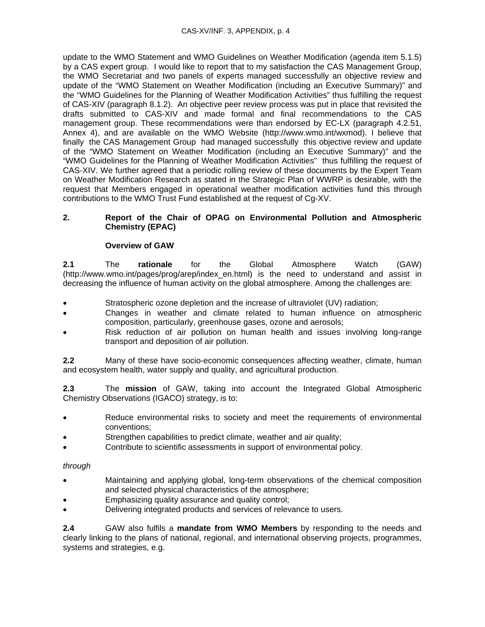update to the WMO Statement and WMO Guidelines on Weather Modification (agenda item 5.1.5) by a CAS expert group. I would like to report that to my satisfaction the CAS Management Group, the WMO Secretariat and two panels of experts managed successfully an objective review and update of the "WMO Statement on Weather Modification (including an Executive Summary)" and the "WMO Guidelines for the Planning of Weather Modification Activities" thus fulfilling the request of CAS-XIV (paragraph 8.1.2). An objective peer review process was put in place that revisited the drafts submitted to CAS-XIV and made formal and final recommendations to the CAS management group. These recommendations were than endorsed by EC-LX (paragraph 4.2.51, Annex 4), and are available on the WMO Website (http://www.wmo.int/wxmod). I believe that finally the CAS Management Group had managed successfully this objective review and update of the "WMO Statement on Weather Modification (including an Executive Summary)" and the "WMO Guidelines for the Planning of Weather Modification Activities" thus fulfilling the request of CAS-XIV. We further agreed that a periodic rolling review of these documents by the Expert Team on Weather Modification Research as stated in the Strategic Plan of WWRP is desirable, with the request that Members engaged in operational weather modification activities fund this through contributions to the WMO Trust Fund established at the request of Cg-XV.

### **2. Report of the Chair of OPAG on Environmental Pollution and Atmospheric Chemistry (EPAC)**

# **Overview of GAW**

**2.1** The **rationale** for the Global Atmosphere Watch (GAW) (http://www.wmo.int/pages/prog/arep/index\_en.html) is the need to understand and assist in decreasing the influence of human activity on the global atmosphere. Among the challenges are:

- Stratospheric ozone depletion and the increase of ultraviolet (UV) radiation;
- Changes in weather and climate related to human influence on atmospheric composition, particularly, greenhouse gases, ozone and aerosols;
- Risk reduction of air pollution on human health and issues involving long-range transport and deposition of air pollution.

**2.2** Many of these have socio-economic consequences affecting weather, climate, human and ecosystem health, water supply and quality, and agricultural production.

**2.3** The **mission** of GAW, taking into account the Integrated Global Atmospheric Chemistry Observations (IGACO) strategy, is to:

- Reduce environmental risks to society and meet the requirements of environmental conventions;
- Strengthen capabilities to predict climate, weather and air quality;
- Contribute to scientific assessments in support of environmental policy.

#### *through*

- Maintaining and applying global, long-term observations of the chemical composition and selected physical characteristics of the atmosphere;
- Emphasizing quality assurance and quality control;
- Delivering integrated products and services of relevance to users.

**2.4** GAW also fulfils a **mandate from WMO Members** by responding to the needs and clearly linking to the plans of national, regional, and international observing projects, programmes, systems and strategies, e.g.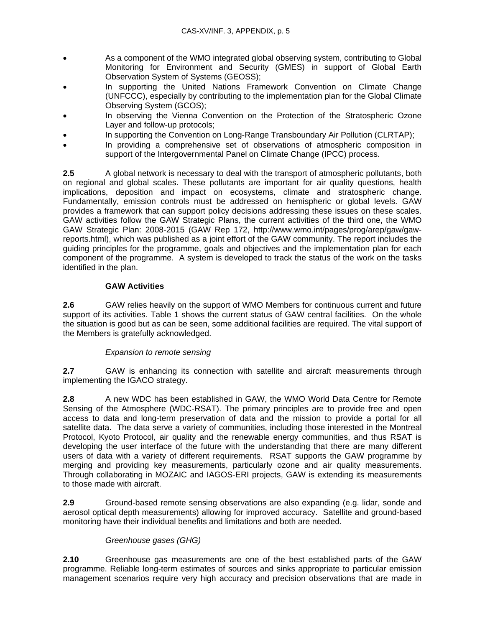- As a component of the WMO integrated global observing system, contributing to Global Monitoring for Environment and Security (GMES) in support of Global Earth Observation System of Systems (GEOSS);
- In supporting the United Nations Framework Convention on Climate Change (UNFCCC), especially by contributing to the implementation plan for the Global Climate Observing System (GCOS);
- In observing the Vienna Convention on the Protection of the Stratospheric Ozone Layer and follow-up protocols;
- In supporting the Convention on Long-Range Transboundary Air Pollution (CLRTAP);
- In providing a comprehensive set of observations of atmospheric composition in support of the Intergovernmental Panel on Climate Change (IPCC) process.

**2.5** A global network is necessary to deal with the transport of atmospheric pollutants, both on regional and global scales. These pollutants are important for air quality questions, health implications, deposition and impact on ecosystems, climate and stratospheric change. Fundamentally, emission controls must be addressed on hemispheric or global levels. GAW provides a framework that can support policy decisions addressing these issues on these scales. GAW activities follow the GAW Strategic Plans, the current activities of the third one, the WMO GAW Strategic Plan: 2008-2015 (GAW Rep 172, http://www.wmo.int/pages/prog/arep/gaw/gawreports.html), which was published as a joint effort of the GAW community. The report includes the guiding principles for the programme, goals and objectives and the implementation plan for each component of the programme. A system is developed to track the status of the work on the tasks identified in the plan.

# **GAW Activities**

**2.6** GAW relies heavily on the support of WMO Members for continuous current and future support of its activities. Table 1 shows the current status of GAW central facilities. On the whole the situation is good but as can be seen, some additional facilities are required. The vital support of the Members is gratefully acknowledged.

# *Expansion to remote sensing*

**2.7** GAW is enhancing its connection with satellite and aircraft measurements through implementing the IGACO strategy.

**2.8** A new WDC has been established in GAW, the WMO World Data Centre for Remote Sensing of the Atmosphere (WDC-RSAT). The primary principles are to provide free and open access to data and long-term preservation of data and the mission to provide a portal for all satellite data. The data serve a variety of communities, including those interested in the Montreal Protocol, Kyoto Protocol, air quality and the renewable energy communities, and thus RSAT is developing the user interface of the future with the understanding that there are many different users of data with a variety of different requirements. RSAT supports the GAW programme by merging and providing key measurements, particularly ozone and air quality measurements. Through collaborating in MOZAIC and IAGOS-ERI projects, GAW is extending its measurements to those made with aircraft.

**2.9** Ground-based remote sensing observations are also expanding (e.g. lidar, sonde and aerosol optical depth measurements) allowing for improved accuracy. Satellite and ground-based monitoring have their individual benefits and limitations and both are needed.

# *Greenhouse gases (GHG)*

**2.10** Greenhouse gas measurements are one of the best established parts of the GAW programme. Reliable long-term estimates of sources and sinks appropriate to particular emission management scenarios require very high accuracy and precision observations that are made in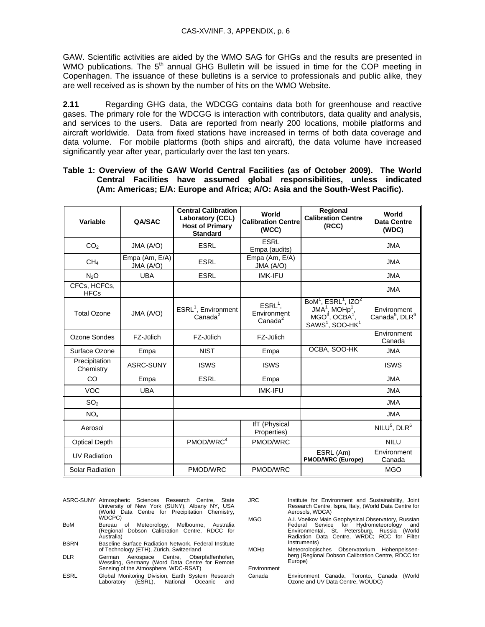GAW. Scientific activities are aided by the WMO SAG for GHGs and the results are presented in WMO publications. The  $5<sup>th</sup>$  annual GHG Bulletin will be issued in time for the COP meeting in Copenhagen. The issuance of these bulletins is a service to professionals and public alike, they are well received as is shown by the number of hits on the WMO Website.

**2.11** Regarding GHG data, the WDCGG contains data both for greenhouse and reactive gases. The primary role for the WDCGG is interaction with contributors, data quality and analysis, and services to the users. Data are reported from nearly 200 locations, mobile platforms and aircraft worldwide. Data from fixed stations have increased in terms of both data coverage and data volume. For mobile platforms (both ships and aircraft), the data volume have increased significantly year after year, particularly over the last ten years.

**Table 1: Overview of the GAW World Central Facilities (as of October 2009). The World Central Facilities have assumed global responsibilities, unless indicated (Am: Americas; E/A: Europe and Africa; A/O: Asia and the South-West Pacific).** 

| Variable                    | <b>QA/SAC</b>               | <b>Central Calibration</b><br><b>Laboratory (CCL)</b><br><b>Host of Primary</b><br><b>Standard</b> | World<br><b>Calibration Centre</b><br>(WCC)     | Regional<br><b>Calibration Centre</b><br>(RCC)                                                                                                                     | World<br><b>Data Centre</b><br>(WDC)                  |
|-----------------------------|-----------------------------|----------------------------------------------------------------------------------------------------|-------------------------------------------------|--------------------------------------------------------------------------------------------------------------------------------------------------------------------|-------------------------------------------------------|
| CO <sub>2</sub>             | JMA (A/O)                   | <b>ESRL</b>                                                                                        | <b>ESRL</b><br>Empa (audits)                    |                                                                                                                                                                    | <b>JMA</b>                                            |
| CH <sub>4</sub>             | Empa (Am, E/A)<br>JMA (A/O) | <b>ESRL</b>                                                                                        | Empa (Am, E/A)<br>JMA (A/O)                     |                                                                                                                                                                    | <b>JMA</b>                                            |
| N <sub>2</sub> O            | <b>UBA</b>                  | <b>ESRL</b>                                                                                        | <b>IMK-IFU</b>                                  |                                                                                                                                                                    | <b>JMA</b>                                            |
| CFCs, HCFCs,<br><b>HFCs</b> |                             |                                                                                                    |                                                 |                                                                                                                                                                    | <b>JMA</b>                                            |
| <b>Total Ozone</b>          | JMA (A/O)                   | ESRL <sup>1</sup> , Environment<br>Canada <sup>2</sup>                                             | $ESRL1$ ,<br>Environment<br>Canada <sup>2</sup> | $BoM1$ , ESRL <sup>1</sup> , IZO <sup>2</sup><br>$JMA1$ , MOHp <sup>1</sup> ,<br>MGO <sup>3</sup> , OCBA <sup>1</sup> ,<br>SAWS <sup>1</sup> , SOO-HK <sup>1</sup> | Environment<br>Canada <sup>5</sup> , DLR <sup>6</sup> |
| Ozone Sondes                | FZ-Jülich                   | FZ-Jülich                                                                                          | FZ-Jülich                                       |                                                                                                                                                                    | Environment<br>Canada                                 |
| Surface Ozone               | Empa                        | <b>NIST</b>                                                                                        | Empa                                            | OCBA, SOO-HK                                                                                                                                                       | <b>JMA</b>                                            |
| Precipitation<br>Chemistry  | ASRC-SUNY                   | <b>ISWS</b>                                                                                        | <b>ISWS</b>                                     |                                                                                                                                                                    | <b>ISWS</b>                                           |
| CO                          | Empa                        | <b>ESRL</b>                                                                                        | Empa                                            |                                                                                                                                                                    | <b>JMA</b>                                            |
| <b>VOC</b>                  | <b>UBA</b>                  |                                                                                                    | <b>IMK-IFU</b>                                  |                                                                                                                                                                    | <b>JMA</b>                                            |
| SO <sub>2</sub>             |                             |                                                                                                    |                                                 |                                                                                                                                                                    | <b>JMA</b>                                            |
| NO <sub>x</sub>             |                             |                                                                                                    |                                                 |                                                                                                                                                                    | <b>JMA</b>                                            |
| Aerosol                     |                             |                                                                                                    | IfT (Physical<br>Properties)                    |                                                                                                                                                                    | $NILU5$ , DLR <sup>6</sup>                            |
| <b>Optical Depth</b>        |                             | PMOD/WRC <sup>4</sup>                                                                              | PMOD/WRC                                        |                                                                                                                                                                    | <b>NILU</b>                                           |
| <b>UV Radiation</b>         |                             |                                                                                                    |                                                 | ESRL (Am)<br><b>PMOD/WRC (Europe)</b>                                                                                                                              | Environment<br>Canada                                 |
| Solar Radiation             |                             | PMOD/WRC                                                                                           | PMOD/WRC                                        |                                                                                                                                                                    | <b>MGO</b>                                            |

- ASRC-SUNY Atmospheric Sciences Research Centre, State University of New York (SUNY), Albany NY, USA (World Data Centre for Precipitation Chemistry, WDCPC)
- BoM Bureau of Meteorology, Melbourne, Australia (Regional Dobson Calibration Centre, RDCC for Australia)
- BSRN Baseline Surface Radiation Network, Federal Institute of Technology (ETH), Zürich, Switzerland
- DLR German Aerospace Centre, Oberpfaffenhofen, Wessling, Germany (Word Data Centre for Remote Sensing of the Atmosphere, WDC-RSAT)
- ESRL Global Monitoring Division, Earth System Research Laboratory (ESRL), National Oceanic and
- JRC Institute for Environment and Sustainability, Joint Research Centre, Ispra, Italy, (World Data Centre for Aerosols, WDCA)
- MGO A.I. Voeikov Main Geophysical Observatory, Russian<br>Federal Service for Hydrometeorology and<br>Environmental, St. Petersburg, Russia (World Federal Service for Hydrometeorology and Environmental, St. Petersburg, Russia (World Radiation Data Centre, WRDC; RCC for Filter Instruments)
- MOHp Meteorologisches Observatorium Hohenpeissenberg (Regional Dobson Calibration Centre, RDCC for Europe)

Environment

Canada Environment Canada, Toronto, Canada (World Ozone and UV Data Centre, WOUDC)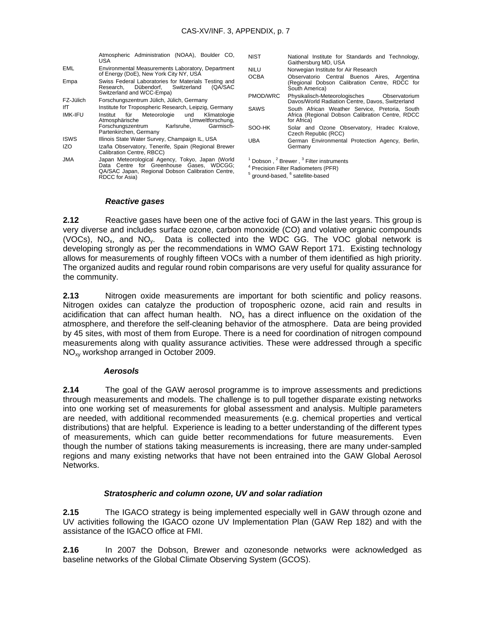|                           | Atmospheric Administration (NOAA), Boulder CO,<br>USA                                                                                                               | NIST                                                                                                                                                                                    | National Institute for Standards and Technology,<br>Gaithersburg MD, USA                                                                                                                                                                                         |  |
|---------------------------|---------------------------------------------------------------------------------------------------------------------------------------------------------------------|-----------------------------------------------------------------------------------------------------------------------------------------------------------------------------------------|------------------------------------------------------------------------------------------------------------------------------------------------------------------------------------------------------------------------------------------------------------------|--|
| EML                       | Environmental Measurements Laboratory, Department<br>of Energy (DoE), New York City NY, USA<br>Swiss Federal Laboratories for Materials Testing and                 | <b>NILU</b><br><b>OCBA</b><br><b>PMOD/WRC</b>                                                                                                                                           | Norwegian Institute for Air Research<br>Observatorio Central Buenos Aires,<br>Argentina<br>(Regional Dobson Calibration Centre, RDCC for<br>South America)<br>Physikalisch-Meteorologisches<br>Observatorium<br>Davos/World Radiation Centre, Davos, Switzerland |  |
| Empa                      | Dübendorf. Switzerland<br>(QA/SAC<br>Research.<br>Switzerland and WCC-Empa)                                                                                         |                                                                                                                                                                                         |                                                                                                                                                                                                                                                                  |  |
| FZ-Jülich                 | Forschungszentrum Jülich, Jülich, Germany                                                                                                                           |                                                                                                                                                                                         |                                                                                                                                                                                                                                                                  |  |
| lfT<br><b>IMK-IFU</b>     | Institute for Tropospheric Research, Leipzig, Germany<br>Institut<br>Meteorologie<br>für<br>und<br>Klimatologie<br>Atmosphärische<br>Umweltforschung,               | <b>SAWS</b>                                                                                                                                                                             | South African Weather Service, Pretoria, South<br>Africa (Regional Dobson Calibration Centre, RDCC<br>for Africa)                                                                                                                                                |  |
|                           | Karlsruhe.<br>Garmisch-<br>Forschungszentrum<br>Partenkirchen, Germany                                                                                              | SOO-HK                                                                                                                                                                                  | Solar and Ozone Observatory, Hradec Kralove,<br>Czech Republic (RCC)                                                                                                                                                                                             |  |
| <b>ISWS</b><br><b>IZO</b> | Illinois State Water Survey, Champaign IL, USA<br>Izaña Observatory, Tenerife, Spain (Regional Brewer<br>Calibration Centre, RBCC)                                  | <b>UBA</b>                                                                                                                                                                              | German Environmental Protection Agency, Berlin,<br>Germany                                                                                                                                                                                                       |  |
| <b>JMA</b>                | Japan Meteorological Agency, Tokyo, Japan (World<br>Data Centre for Greenhouse Gases, WDCGG;<br>QA/SAC Japan, Regional Dobson Calibration Centre,<br>RDCC for Asia) | <sup>1</sup> Dobson, <sup>2</sup> Brewer, <sup>3</sup> Filter instruments<br><sup>4</sup> Precision Filter Radiometers (PFR)<br><sup>5</sup> ground-based, <sup>6</sup> satellite-based |                                                                                                                                                                                                                                                                  |  |

#### *Reactive gases*

**2.12** Reactive gases have been one of the active foci of GAW in the last years. This group is very diverse and includes surface ozone, carbon monoxide (CO) and volative organic compounds (VOCs),  $NO_x$ , and  $NO_y$ . Data is collected into the WDC GG. The VOC global network is developing strongly as per the recommendations in WMO GAW Report 171. Existing technology allows for measurements of roughly fifteen VOCs with a number of them identified as high priority. The organized audits and regular round robin comparisons are very useful for quality assurance for the community.

**2.13** Nitrogen oxide measurements are important for both scientific and policy reasons. Nitrogen oxides can catalyze the production of tropospheric ozone, acid rain and results in acidification that can affect human health.  $NO<sub>x</sub>$  has a direct influence on the oxidation of the atmosphere, and therefore the self-cleaning behavior of the atmosphere. Data are being provided by 45 sites, with most of them from Europe. There is a need for coordination of nitrogen compound measurements along with quality assurance activities. These were addressed through a specific NOxy workshop arranged in October 2009.

#### *Aerosols*

**2.14** The goal of the GAW aerosol programme is to improve assessments and predictions through measurements and models. The challenge is to pull together disparate existing networks into one working set of measurements for global assessment and analysis. Multiple parameters are needed, with additional recommended measurements (e.g. chemical properties and vertical distributions) that are helpful. Experience is leading to a better understanding of the different types of measurements, which can guide better recommendations for future measurements. Even though the number of stations taking measurements is increasing, there are many under-sampled regions and many existing networks that have not been entrained into the GAW Global Aerosol **Networks** 

#### *Stratospheric and column ozone, UV and solar radiation*

**2.15** The IGACO strategy is being implemented especially well in GAW through ozone and UV activities following the IGACO ozone UV Implementation Plan (GAW Rep 182) and with the assistance of the IGACO office at FMI.

**2.16** In 2007 the Dobson, Brewer and ozonesonde networks were acknowledged as baseline networks of the Global Climate Observing System (GCOS).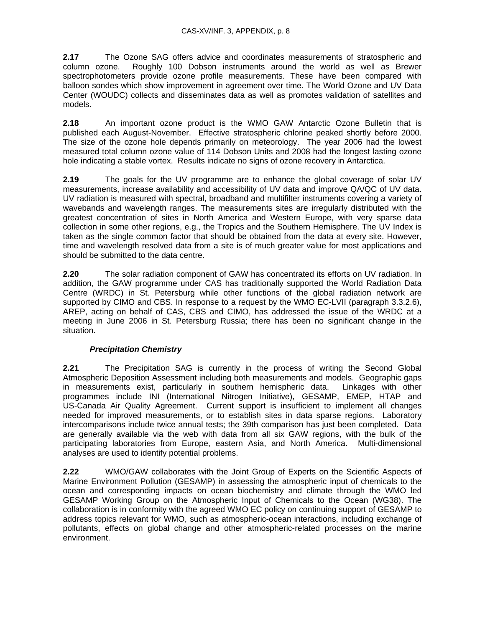**2.17** The Ozone SAG offers advice and coordinates measurements of stratospheric and column ozone. Roughly 100 Dobson instruments around the world as well as Brewer spectrophotometers provide ozone profile measurements. These have been compared with balloon sondes which show improvement in agreement over time. The World Ozone and UV Data Center (WOUDC) collects and disseminates data as well as promotes validation of satellites and models.

**2.18** An important ozone product is the WMO GAW Antarctic Ozone Bulletin that is published each August-November. Effective stratospheric chlorine peaked shortly before 2000. The size of the ozone hole depends primarily on meteorology. The year 2006 had the lowest measured total column ozone value of 114 Dobson Units and 2008 had the longest lasting ozone hole indicating a stable vortex. Results indicate no signs of ozone recovery in Antarctica.

**2.19** The goals for the UV programme are to enhance the global coverage of solar UV measurements, increase availability and accessibility of UV data and improve QA/QC of UV data. UV radiation is measured with spectral, broadband and multifilter instruments covering a variety of wavebands and wavelength ranges. The measurements sites are irregularly distributed with the greatest concentration of sites in North America and Western Europe, with very sparse data collection in some other regions, e.g., the Tropics and the Southern Hemisphere. The UV Index is taken as the single common factor that should be obtained from the data at every site. However, time and wavelength resolved data from a site is of much greater value for most applications and should be submitted to the data centre.

**2.20** The solar radiation component of GAW has concentrated its efforts on UV radiation. In addition, the GAW programme under CAS has traditionally supported the World Radiation Data Centre (WRDC) in St. Petersburg while other functions of the global radiation network are supported by CIMO and CBS. In response to a request by the WMO EC-LVII (paragraph 3.3.2.6), AREP, acting on behalf of CAS, CBS and CIMO, has addressed the issue of the WRDC at a meeting in June 2006 in St. Petersburg Russia; there has been no significant change in the situation.

# *Precipitation Chemistry*

**2.21** The Precipitation SAG is currently in the process of writing the Second Global Atmospheric Deposition Assessment including both measurements and models. Geographic gaps in measurements exist, particularly in southern hemispheric data. Linkages with other programmes include INI (International Nitrogen Initiative), GESAMP, EMEP, HTAP and US-Canada Air Quality Agreement. Current support is insufficient to implement all changes needed for improved measurements, or to establish sites in data sparse regions. Laboratory intercomparisons include twice annual tests; the 39th comparison has just been completed. Data are generally available via the web with data from all six GAW regions, with the bulk of the participating laboratories from Europe, eastern Asia, and North America. Multi-dimensional analyses are used to identify potential problems.

**2.22** WMO/GAW collaborates with the Joint Group of Experts on the Scientific Aspects of Marine Environment Pollution (GESAMP) in assessing the atmospheric input of chemicals to the ocean and corresponding impacts on ocean biochemistry and climate through the WMO led GESAMP Working Group on the Atmospheric Input of Chemicals to the Ocean (WG38). The collaboration is in conformity with the agreed WMO EC policy on continuing support of GESAMP to address topics relevant for WMO, such as atmospheric-ocean interactions, including exchange of pollutants, effects on global change and other atmospheric-related processes on the marine environment.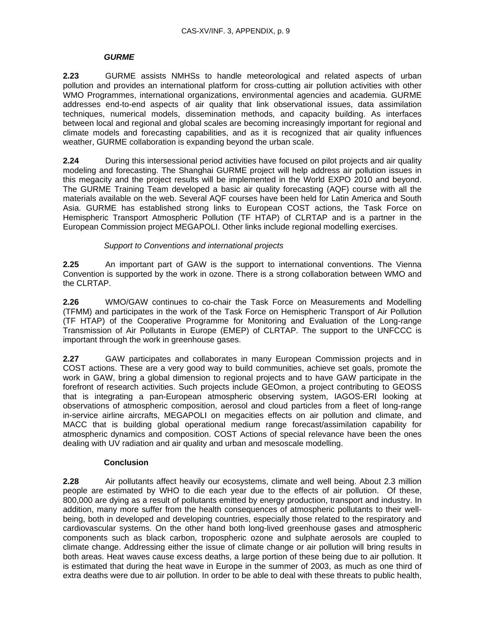# *GURME*

**2.23** GURME assists NMHSs to handle meteorological and related aspects of urban pollution and provides an international platform for cross-cutting air pollution activities with other WMO Programmes, international organizations, environmental agencies and academia. GURME addresses end-to-end aspects of air quality that link observational issues, data assimilation techniques, numerical models, dissemination methods, and capacity building. As interfaces between local and regional and global scales are becoming increasingly important for regional and climate models and forecasting capabilities, and as it is recognized that air quality influences weather, GURME collaboration is expanding beyond the urban scale.

**2.24** During this intersessional period activities have focused on pilot projects and air quality modeling and forecasting. The Shanghai GURME project will help address air pollution issues in this megacity and the project results will be implemented in the World EXPO 2010 and beyond. The GURME Training Team developed a basic air quality forecasting (AQF) course with all the materials available on the web. Several AQF courses have been held for Latin America and South Asia. GURME has established strong links to European COST actions, the Task Force on Hemispheric Transport Atmospheric Pollution (TF HTAP) of CLRTAP and is a partner in the European Commission project MEGAPOLI. Other links include regional modelling exercises.

# *Support to Conventions and international projects*

**2.25** An important part of GAW is the support to international conventions. The Vienna Convention is supported by the work in ozone. There is a strong collaboration between WMO and the CLRTAP.

**2.26** WMO/GAW continues to co-chair the Task Force on Measurements and Modelling (TFMM) and participates in the work of the Task Force on Hemispheric Transport of Air Pollution (TF HTAP) of the Cooperative Programme for Monitoring and Evaluation of the Long-range Transmission of Air Pollutants in Europe (EMEP) of CLRTAP. The support to the UNFCCC is important through the work in greenhouse gases.

**2.27** GAW participates and collaborates in many European Commission projects and in COST actions. These are a very good way to build communities, achieve set goals, promote the work in GAW, bring a global dimension to regional projects and to have GAW participate in the forefront of research activities. Such projects include GEOmon, a project contributing to GEOSS that is integrating a pan-European atmospheric observing system, IAGOS-ERI looking at observations of atmospheric composition, aerosol and cloud particles from a fleet of long-range in-service airline aircrafts, MEGAPOLI on megacities effects on air pollution and climate, and MACC that is building global operational medium range forecast/assimilation capability for atmospheric dynamics and composition. COST Actions of special relevance have been the ones dealing with UV radiation and air quality and urban and mesoscale modelling.

# **Conclusion**

**2.28** Air pollutants affect heavily our ecosystems, climate and well being. About 2.3 million people are estimated by WHO to die each year due to the effects of air pollution. Of these, 800,000 are dying as a result of pollutants emitted by energy production, transport and industry. In addition, many more suffer from the health consequences of atmospheric pollutants to their wellbeing, both in developed and developing countries, especially those related to the respiratory and cardiovascular systems. On the other hand both long-lived greenhouse gases and atmospheric components such as black carbon, tropospheric ozone and sulphate aerosols are coupled to climate change. Addressing either the issue of climate change or air pollution will bring results in both areas. Heat waves cause excess deaths, a large portion of these being due to air pollution. It is estimated that during the heat wave in Europe in the summer of 2003, as much as one third of extra deaths were due to air pollution. In order to be able to deal with these threats to public health,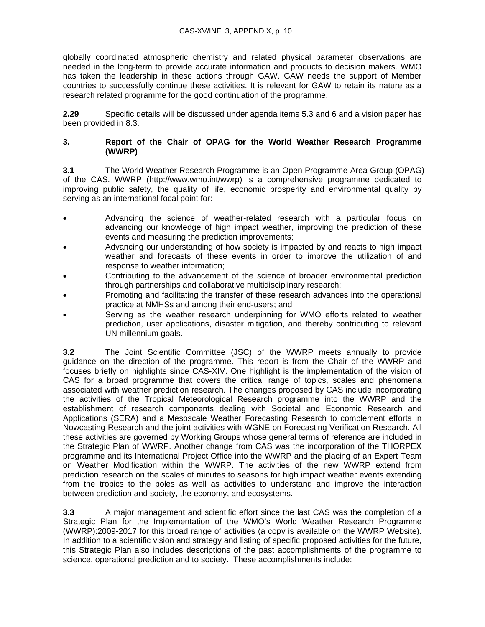globally coordinated atmospheric chemistry and related physical parameter observations are needed in the long-term to provide accurate information and products to decision makers. WMO has taken the leadership in these actions through GAW. GAW needs the support of Member countries to successfully continue these activities. It is relevant for GAW to retain its nature as a research related programme for the good continuation of the programme.

**2.29** Specific details will be discussed under agenda items 5.3 and 6 and a vision paper has been provided in 8.3.

#### **3. Report of the Chair of OPAG for the World Weather Research Programme (WWRP)**

**3.1** The World Weather Research Programme is an Open Programme Area Group (OPAG) of the CAS. WWRP (http://www.wmo.int/wwrp) is a comprehensive programme dedicated to improving public safety, the quality of life, economic prosperity and environmental quality by serving as an international focal point for:

- Advancing the science of weather-related research with a particular focus on advancing our knowledge of high impact weather, improving the prediction of these events and measuring the prediction improvements;
- Advancing our understanding of how society is impacted by and reacts to high impact weather and forecasts of these events in order to improve the utilization of and response to weather information;
- Contributing to the advancement of the science of broader environmental prediction through partnerships and collaborative multidisciplinary research;
- Promoting and facilitating the transfer of these research advances into the operational practice at NMHSs and among their end-users; and
- Serving as the weather research underpinning for WMO efforts related to weather prediction, user applications, disaster mitigation, and thereby contributing to relevant UN millennium goals.

**3.2** The Joint Scientific Committee (JSC) of the WWRP meets annually to provide guidance on the direction of the programme. This report is from the Chair of the WWRP and focuses briefly on highlights since CAS-XIV. One highlight is the implementation of the vision of CAS for a broad programme that covers the critical range of topics, scales and phenomena associated with weather prediction research. The changes proposed by CAS include incorporating the activities of the Tropical Meteorological Research programme into the WWRP and the establishment of research components dealing with Societal and Economic Research and Applications (SERA) and a Mesoscale Weather Forecasting Research to complement efforts in Nowcasting Research and the joint activities with WGNE on Forecasting Verification Research. All these activities are governed by Working Groups whose general terms of reference are included in the Strategic Plan of WWRP. Another change from CAS was the incorporation of the THORPEX programme and its International Project Office into the WWRP and the placing of an Expert Team on Weather Modification within the WWRP. The activities of the new WWRP extend from prediction research on the scales of minutes to seasons for high impact weather events extending from the tropics to the poles as well as activities to understand and improve the interaction between prediction and society, the economy, and ecosystems.

**3.3** A major management and scientific effort since the last CAS was the completion of a Strategic Plan for the Implementation of the WMO's World Weather Research Programme (WWRP):2009-2017 for this broad range of activities (a copy is available on the WWRP Website). In addition to a scientific vision and strategy and listing of specific proposed activities for the future, this Strategic Plan also includes descriptions of the past accomplishments of the programme to science, operational prediction and to society. These accomplishments include: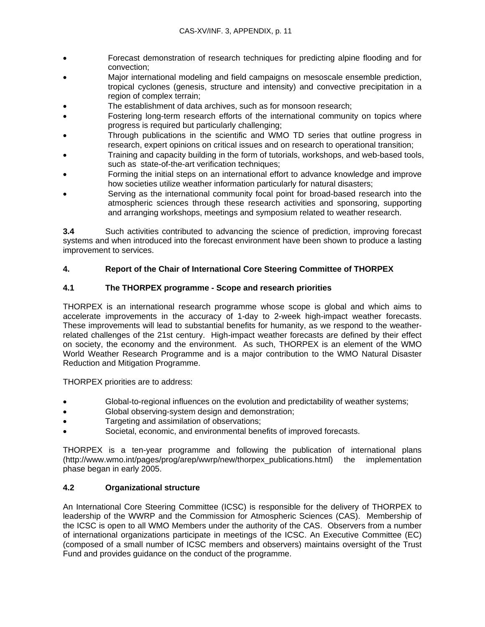- Forecast demonstration of research techniques for predicting alpine flooding and for convection;
- Major international modeling and field campaigns on mesoscale ensemble prediction, tropical cyclones (genesis, structure and intensity) and convective precipitation in a region of complex terrain;
- The establishment of data archives, such as for monsoon research;
- Fostering long-term research efforts of the international community on topics where progress is required but particularly challenging;
- Through publications in the scientific and WMO TD series that outline progress in research, expert opinions on critical issues and on research to operational transition;
- Training and capacity building in the form of tutorials, workshops, and web-based tools, such as state-of-the-art verification techniques;
- Forming the initial steps on an international effort to advance knowledge and improve how societies utilize weather information particularly for natural disasters;
- Serving as the international community focal point for broad-based research into the atmospheric sciences through these research activities and sponsoring, supporting and arranging workshops, meetings and symposium related to weather research.

**3.4** Such activities contributed to advancing the science of prediction, improving forecast systems and when introduced into the forecast environment have been shown to produce a lasting improvement to services.

# **4. Report of the Chair of International Core Steering Committee of THORPEX**

# **4.1 The THORPEX programme - Scope and research priorities**

THORPEX is an international research programme whose scope is global and which aims to accelerate improvements in the accuracy of 1-day to 2-week high-impact weather forecasts. These improvements will lead to substantial benefits for humanity, as we respond to the weatherrelated challenges of the 21st century. High-impact weather forecasts are defined by their effect on society, the economy and the environment. As such, THORPEX is an element of the WMO World Weather Research Programme and is a major contribution to the WMO Natural Disaster Reduction and Mitigation Programme.

THORPEX priorities are to address:

- Global-to-regional influences on the evolution and predictability of weather systems;
- Global observing-system design and demonstration;
- Targeting and assimilation of observations;
- Societal, economic, and environmental benefits of improved forecasts.

THORPEX is a ten-year programme and following the publication of international plans (http://www.wmo.int/pages/prog/arep/wwrp/new/thorpex\_publications.html) the implementation phase began in early 2005.

# **4.2 Organizational structure**

An International Core Steering Committee (ICSC) is responsible for the delivery of THORPEX to leadership of the WWRP and the Commission for Atmospheric Sciences (CAS). Membership of the ICSC is open to all WMO Members under the authority of the CAS. Observers from a number of international organizations participate in meetings of the ICSC. An Executive Committee (EC) (composed of a small number of ICSC members and observers) maintains oversight of the Trust Fund and provides guidance on the conduct of the programme.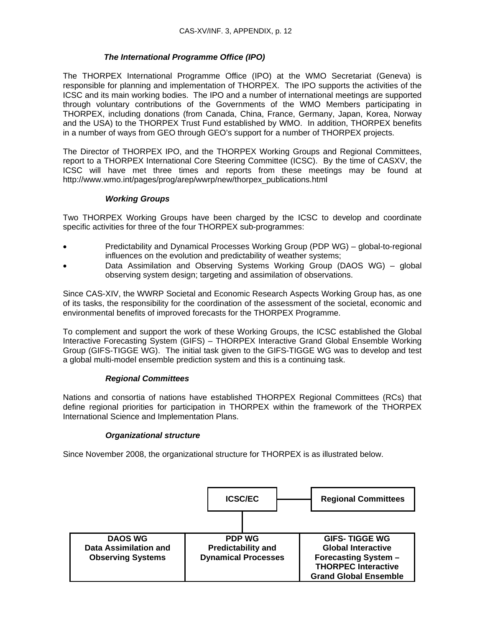# *The International Programme Office (IPO)*

The THORPEX International Programme Office (IPO) at the WMO Secretariat (Geneva) is responsible for planning and implementation of THORPEX. The IPO supports the activities of the ICSC and its main working bodies. The IPO and a number of international meetings are supported through voluntary contributions of the Governments of the WMO Members participating in THORPEX, including donations (from Canada, China, France, Germany, Japan, Korea, Norway and the USA) to the THORPEX Trust Fund established by WMO. In addition, THORPEX benefits in a number of ways from GEO through GEO's support for a number of THORPEX projects.

The Director of THORPEX IPO, and the THORPEX Working Groups and Regional Committees, report to a THORPEX International Core Steering Committee (ICSC). By the time of CASXV, the ICSC will have met three times and reports from these meetings may be found at http://www.wmo.int/pages/prog/arep/wwrp/new/thorpex\_publications.html

# *Working Groups*

Two THORPEX Working Groups have been charged by the ICSC to develop and coordinate specific activities for three of the four THORPEX sub-programmes:

- Predictability and Dynamical Processes Working Group (PDP WG) global-to-regional influences on the evolution and predictability of weather systems;
- Data Assimilation and Observing Systems Working Group (DAOS WG) global observing system design; targeting and assimilation of observations.

Since CAS-XIV, the WWRP Societal and Economic Research Aspects Working Group has, as one of its tasks, the responsibility for the coordination of the assessment of the societal, economic and environmental benefits of improved forecasts for the THORPEX Programme.

To complement and support the work of these Working Groups, the ICSC established the Global Interactive Forecasting System (GIFS) – THORPEX Interactive Grand Global Ensemble Working Group (GIFS-TIGGE WG). The initial task given to the GIFS-TIGGE WG was to develop and test a global multi-model ensemble prediction system and this is a continuing task.

# *Regional Committees*

Nations and consortia of nations have established THORPEX Regional Committees (RCs) that define regional priorities for participation in THORPEX within the framework of the THORPEX International Science and Implementation Plans.

# *Organizational structure*

Since November 2008, the organizational structure for THORPEX is as illustrated below.

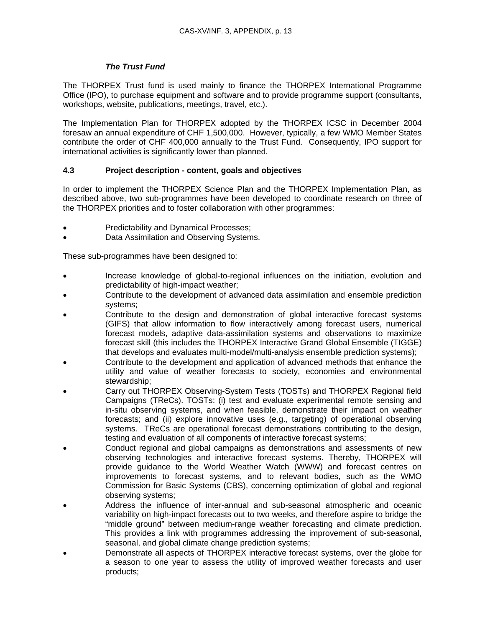# *The Trust Fund*

The THORPEX Trust fund is used mainly to finance the THORPEX International Programme Office (IPO), to purchase equipment and software and to provide programme support (consultants, workshops, website, publications, meetings, travel, etc.).

The Implementation Plan for THORPEX adopted by the THORPEX ICSC in December 2004 foresaw an annual expenditure of CHF 1,500,000. However, typically, a few WMO Member States contribute the order of CHF 400,000 annually to the Trust Fund. Consequently, IPO support for international activities is significantly lower than planned.

### **4.3 Project description - content, goals and objectives**

In order to implement the THORPEX Science Plan and the THORPEX Implementation Plan, as described above, two sub-programmes have been developed to coordinate research on three of the THORPEX priorities and to foster collaboration with other programmes:

- Predictability and Dynamical Processes;
- Data Assimilation and Observing Systems.

These sub-programmes have been designed to:

- Increase knowledge of global-to-regional influences on the initiation, evolution and predictability of high-impact weather;
- Contribute to the development of advanced data assimilation and ensemble prediction systems;
- Contribute to the design and demonstration of global interactive forecast systems (GIFS) that allow information to flow interactively among forecast users, numerical forecast models, adaptive data-assimilation systems and observations to maximize forecast skill (this includes the THORPEX Interactive Grand Global Ensemble (TIGGE) that develops and evaluates multi-model/multi-analysis ensemble prediction systems);
- Contribute to the development and application of advanced methods that enhance the utility and value of weather forecasts to society, economies and environmental stewardship;
- Carry out THORPEX Observing-System Tests (TOSTs) and THORPEX Regional field Campaigns (TReCs). TOSTs: (i) test and evaluate experimental remote sensing and in-situ observing systems, and when feasible, demonstrate their impact on weather forecasts; and (ii) explore innovative uses (e.g., targeting) of operational observing systems. TReCs are operational forecast demonstrations contributing to the design, testing and evaluation of all components of interactive forecast systems;
- Conduct regional and global campaigns as demonstrations and assessments of new observing technologies and interactive forecast systems. Thereby, THORPEX will provide guidance to the World Weather Watch (WWW) and forecast centres on improvements to forecast systems, and to relevant bodies, such as the WMO Commission for Basic Systems (CBS), concerning optimization of global and regional observing systems;
- Address the influence of inter-annual and sub-seasonal atmospheric and oceanic variability on high-impact forecasts out to two weeks, and therefore aspire to bridge the "middle ground" between medium-range weather forecasting and climate prediction. This provides a link with programmes addressing the improvement of sub-seasonal, seasonal, and global climate change prediction systems;
- Demonstrate all aspects of THORPEX interactive forecast systems, over the globe for a season to one year to assess the utility of improved weather forecasts and user products;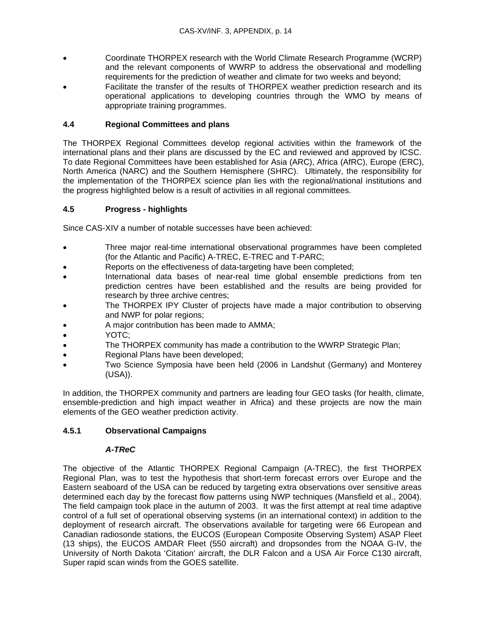- Coordinate THORPEX research with the World Climate Research Programme (WCRP) and the relevant components of WWRP to address the observational and modelling requirements for the prediction of weather and climate for two weeks and beyond;
- Facilitate the transfer of the results of THORPEX weather prediction research and its operational applications to developing countries through the WMO by means of appropriate training programmes.

# **4.4 Regional Committees and plans**

The THORPEX Regional Committees develop regional activities within the framework of the international plans and their plans are discussed by the EC and reviewed and approved by ICSC. To date Regional Committees have been established for Asia (ARC), Africa (AfRC), Europe (ERC), North America (NARC) and the Southern Hemisphere (SHRC). Ultimately, the responsibility for the implementation of the THORPEX science plan lies with the regional/national institutions and the progress highlighted below is a result of activities in all regional committees.

#### **4.5 Progress - highlights**

Since CAS-XIV a number of notable successes have been achieved:

- Three major real-time international observational programmes have been completed (for the Atlantic and Pacific) A-TREC, E-TREC and T-PARC;
- Reports on the effectiveness of data-targeting have been completed;
- International data bases of near-real time global ensemble predictions from ten prediction centres have been established and the results are being provided for research by three archive centres;
- The THORPEX IPY Cluster of projects have made a major contribution to observing and NWP for polar regions;
- A major contribution has been made to AMMA;
- YOTC;
- The THORPEX community has made a contribution to the WWRP Strategic Plan:
- Regional Plans have been developed;
- Two Science Symposia have been held (2006 in Landshut (Germany) and Monterey (USA)).

In addition, the THORPEX community and partners are leading four GEO tasks (for health, climate, ensemble-prediction and high impact weather in Africa) and these projects are now the main elements of the GEO weather prediction activity.

# **4.5.1 Observational Campaigns**

# *A-TReC*

The objective of the Atlantic THORPEX Regional Campaign (A-TREC), the first THORPEX Regional Plan, was to test the hypothesis that short-term forecast errors over Europe and the Eastern seaboard of the USA can be reduced by targeting extra observations over sensitive areas determined each day by the forecast flow patterns using NWP techniques (Mansfield et al., 2004). The field campaign took place in the autumn of 2003. It was the first attempt at real time adaptive control of a full set of operational observing systems (in an international context) in addition to the deployment of research aircraft. The observations available for targeting were 66 European and Canadian radiosonde stations, the EUCOS (European Composite Observing System) ASAP Fleet (13 ships), the EUCOS AMDAR Fleet (550 aircraft) and dropsondes from the NOAA G-IV, the University of North Dakota 'Citation' aircraft, the DLR Falcon and a USA Air Force C130 aircraft, Super rapid scan winds from the GOES satellite.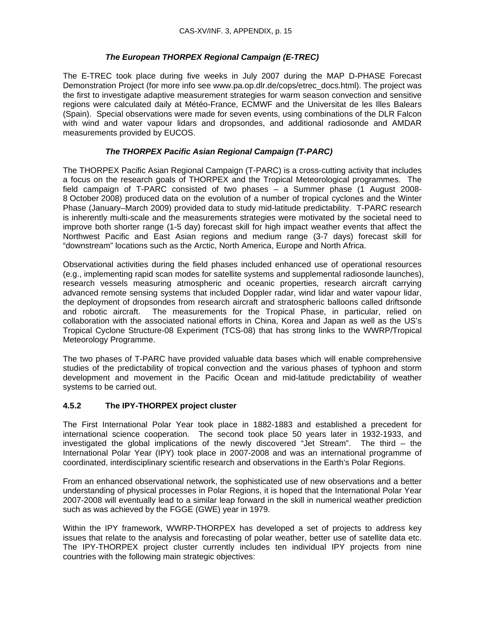# *The European THORPEX Regional Campaign (E-TREC)*

The E-TREC took place during five weeks in July 2007 during the MAP D-PHASE Forecast Demonstration Project (for more info see www.pa.op.dlr.de/cops/etrec\_docs.html). The project was the first to investigate adaptive measurement strategies for warm season convection and sensitive regions were calculated daily at Météo-France, ECMWF and the Universitat de les Illes Balears (Spain). Special observations were made for seven events, using combinations of the DLR Falcon with wind and water vapour lidars and dropsondes, and additional radiosonde and AMDAR measurements provided by EUCOS.

# *The THORPEX Pacific Asian Regional Campaign (T-PARC)*

The THORPEX Pacific Asian Regional Campaign (T-PARC) is a cross-cutting activity that includes a focus on the research goals of THORPEX and the Tropical Meteorological programmes. The field campaign of T-PARC consisted of two phases – a Summer phase (1 August 2008- 8 October 2008) produced data on the evolution of a number of tropical cyclones and the Winter Phase (January–March 2009) provided data to study mid-latitude predictability. T-PARC research is inherently multi-scale and the measurements strategies were motivated by the societal need to improve both shorter range (1-5 day) forecast skill for high impact weather events that affect the Northwest Pacific and East Asian regions and medium range (3-7 days) forecast skill for "downstream" locations such as the Arctic, North America, Europe and North Africa.

Observational activities during the field phases included enhanced use of operational resources (e.g., implementing rapid scan modes for satellite systems and supplemental radiosonde launches), research vessels measuring atmospheric and oceanic properties, research aircraft carrying advanced remote sensing systems that included Doppler radar, wind lidar and water vapour lidar, the deployment of dropsondes from research aircraft and stratospheric balloons called driftsonde and robotic aircraft. The measurements for the Tropical Phase, in particular, relied on collaboration with the associated national efforts in China, Korea and Japan as well as the US's Tropical Cyclone Structure-08 Experiment (TCS-08) that has strong links to the WWRP/Tropical Meteorology Programme.

The two phases of T-PARC have provided valuable data bases which will enable comprehensive studies of the predictability of tropical convection and the various phases of typhoon and storm development and movement in the Pacific Ocean and mid-latitude predictability of weather systems to be carried out.

# **4.5.2 The IPY-THORPEX project cluster**

The First International Polar Year took place in 1882-1883 and established a precedent for international science cooperation. The second took place 50 years later in 1932-1933, and investigated the global implications of the newly discovered "Jet Stream". The third – the International Polar Year (IPY) took place in 2007-2008 and was an international programme of coordinated, interdisciplinary scientific research and observations in the Earth's Polar Regions.

From an enhanced observational network, the sophisticated use of new observations and a better understanding of physical processes in Polar Regions, it is hoped that the International Polar Year 2007-2008 will eventually lead to a similar leap forward in the skill in numerical weather prediction such as was achieved by the FGGE (GWE) year in 1979.

Within the IPY framework, WWRP-THORPEX has developed a set of projects to address key issues that relate to the analysis and forecasting of polar weather, better use of satellite data etc. The IPY-THORPEX project cluster currently includes ten individual IPY projects from nine countries with the following main strategic objectives: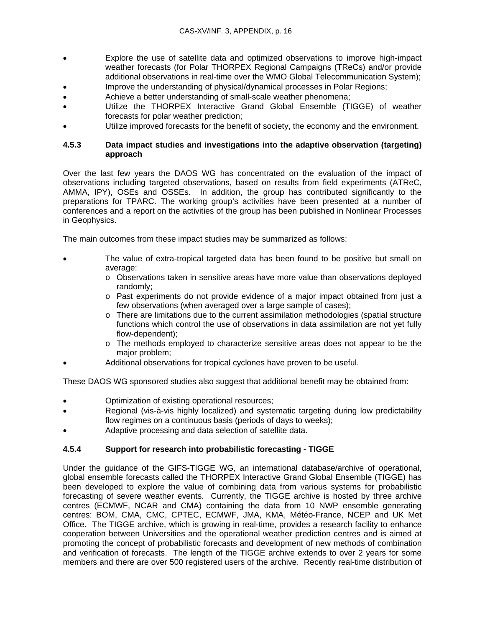- Explore the use of satellite data and optimized observations to improve high-impact weather forecasts (for Polar THORPEX Regional Campaigns (TReCs) and/or provide additional observations in real-time over the WMO Global Telecommunication System);
- Improve the understanding of physical/dynamical processes in Polar Regions;
- Achieve a better understanding of small-scale weather phenomena;
- Utilize the THORPEX Interactive Grand Global Ensemble (TIGGE) of weather forecasts for polar weather prediction;
- Utilize improved forecasts for the benefit of society, the economy and the environment.

#### **4.5.3 Data impact studies and investigations into the adaptive observation (targeting) approach**

Over the last few years the DAOS WG has concentrated on the evaluation of the impact of observations including targeted observations, based on results from field experiments (ATReC, AMMA, IPY), OSEs and OSSEs. In addition, the group has contributed significantly to the preparations for TPARC. The working group's activities have been presented at a number of conferences and a report on the activities of the group has been published in Nonlinear Processes in Geophysics.

The main outcomes from these impact studies may be summarized as follows:

- The value of extra-tropical targeted data has been found to be positive but small on average:
	- o Observations taken in sensitive areas have more value than observations deployed randomly;
	- o Past experiments do not provide evidence of a major impact obtained from just a few observations (when averaged over a large sample of cases);
	- $\circ$  There are limitations due to the current assimilation methodologies (spatial structure functions which control the use of observations in data assimilation are not yet fully flow-dependent);
	- o The methods employed to characterize sensitive areas does not appear to be the major problem;
- Additional observations for tropical cyclones have proven to be useful.

These DAOS WG sponsored studies also suggest that additional benefit may be obtained from:

- Optimization of existing operational resources;
- Regional (vis-à-vis highly localized) and systematic targeting during low predictability flow regimes on a continuous basis (periods of days to weeks);
- Adaptive processing and data selection of satellite data.

# **4.5.4 Support for research into probabilistic forecasting - TIGGE**

Under the guidance of the GIFS-TIGGE WG, an international database/archive of operational, global ensemble forecasts called the THORPEX Interactive Grand Global Ensemble (TIGGE) has been developed to explore the value of combining data from various systems for probabilistic forecasting of severe weather events. Currently, the TIGGE archive is hosted by three archive centres (ECMWF, NCAR and CMA) containing the data from 10 NWP ensemble generating centres: BOM, CMA, CMC, CPTEC, ECMWF, JMA, KMA, Météo-France, NCEP and UK Met Office. The TIGGE archive, which is growing in real-time, provides a research facility to enhance cooperation between Universities and the operational weather prediction centres and is aimed at promoting the concept of probabilistic forecasts and development of new methods of combination and verification of forecasts. The length of the TIGGE archive extends to over 2 years for some members and there are over 500 registered users of the archive. Recently real-time distribution of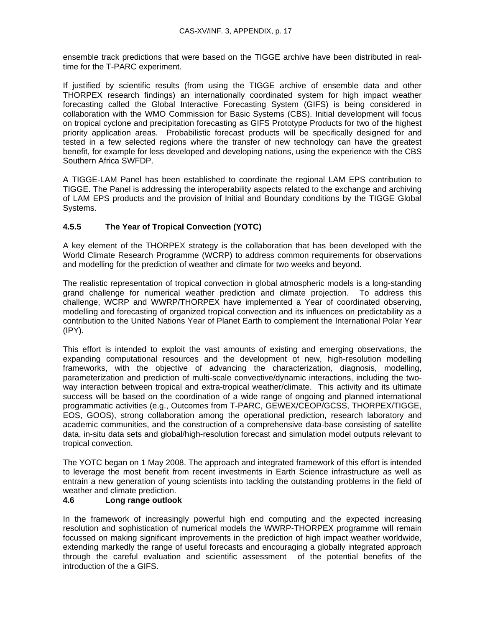ensemble track predictions that were based on the TIGGE archive have been distributed in realtime for the T-PARC experiment.

If justified by scientific results (from using the TIGGE archive of ensemble data and other THORPEX research findings) an internationally coordinated system for high impact weather forecasting called the Global Interactive Forecasting System (GIFS) is being considered in collaboration with the WMO Commission for Basic Systems (CBS). Initial development will focus on tropical cyclone and precipitation forecasting as GIFS Prototype Products for two of the highest priority application areas. Probabilistic forecast products will be specifically designed for and tested in a few selected regions where the transfer of new technology can have the greatest benefit, for example for less developed and developing nations, using the experience with the CBS Southern Africa SWFDP.

A TIGGE-LAM Panel has been established to coordinate the regional LAM EPS contribution to TIGGE. The Panel is addressing the interoperability aspects related to the exchange and archiving of LAM EPS products and the provision of Initial and Boundary conditions by the TIGGE Global Systems.

# **4.5.5 The Year of Tropical Convection (YOTC)**

A key element of the THORPEX strategy is the collaboration that has been developed with the World Climate Research Programme (WCRP) to address common requirements for observations and modelling for the prediction of weather and climate for two weeks and beyond.

The realistic representation of tropical convection in global atmospheric models is a long-standing grand challenge for numerical weather prediction and climate projection. To address this challenge, WCRP and WWRP/THORPEX have implemented a Year of coordinated observing, modelling and forecasting of organized tropical convection and its influences on predictability as a contribution to the United Nations Year of Planet Earth to complement the International Polar Year (IPY).

This effort is intended to exploit the vast amounts of existing and emerging observations, the expanding computational resources and the development of new, high-resolution modelling frameworks, with the objective of advancing the characterization, diagnosis, modelling, parameterization and prediction of multi-scale convective/dynamic interactions, including the twoway interaction between tropical and extra-tropical weather/climate. This activity and its ultimate success will be based on the coordination of a wide range of ongoing and planned international programmatic activities (e.g., Outcomes from T-PARC, GEWEX/CEOP/GCSS, THORPEX/TIGGE, EOS, GOOS), strong collaboration among the operational prediction, research laboratory and academic communities, and the construction of a comprehensive data-base consisting of satellite data, in-situ data sets and global/high-resolution forecast and simulation model outputs relevant to tropical convection.

The YOTC began on 1 May 2008. The approach and integrated framework of this effort is intended to leverage the most benefit from recent investments in Earth Science infrastructure as well as entrain a new generation of young scientists into tackling the outstanding problems in the field of weather and climate prediction.

# **4.6 Long range outlook**

In the framework of increasingly powerful high end computing and the expected increasing resolution and sophistication of numerical models the WWRP-THORPEX programme will remain focussed on making significant improvements in the prediction of high impact weather worldwide, extending markedly the range of useful forecasts and encouraging a globally integrated approach through the careful evaluation and scientific assessment of the potential benefits of the introduction of the a GIFS.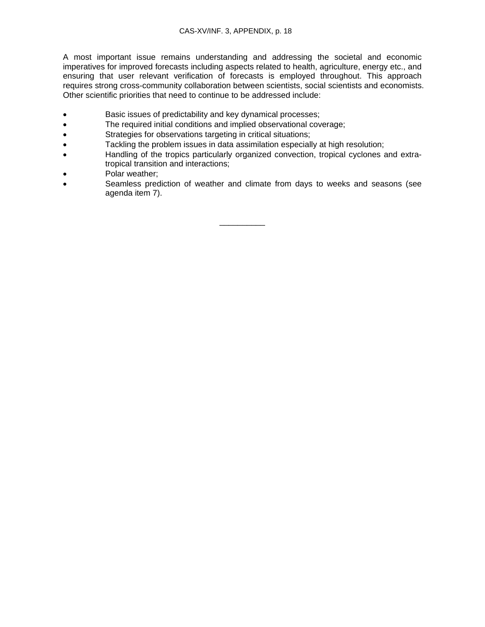A most important issue remains understanding and addressing the societal and economic imperatives for improved forecasts including aspects related to health, agriculture, energy etc., and ensuring that user relevant verification of forecasts is employed throughout. This approach requires strong cross-community collaboration between scientists, social scientists and economists. Other scientific priorities that need to continue to be addressed include:

- Basic issues of predictability and key dynamical processes;
- The required initial conditions and implied observational coverage;
- Strategies for observations targeting in critical situations;
- Tackling the problem issues in data assimilation especially at high resolution;
- Handling of the tropics particularly organized convection, tropical cyclones and extratropical transition and interactions;
- Polar weather;
- Seamless prediction of weather and climate from days to weeks and seasons (see agenda item 7).

\_\_\_\_\_\_\_\_\_\_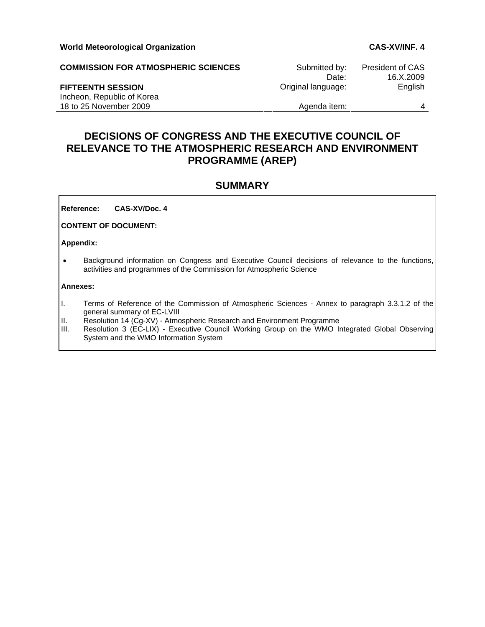**COMMISSION FOR ATMOSPHERIC SCIENCES** Submitted by: President of CAS Date: 16.X.2009 **FIFTEENTH SESSION Community Community Community Community Community Community Community Community Community Community Community Community Community Community Community Community Community Community Community Community C** Incheon, Republic of Korea 18 to 25 November 2009 and the set of the Agenda item: 4

# **DECISIONS OF CONGRESS AND THE EXECUTIVE COUNCIL OF RELEVANCE TO THE ATMOSPHERIC RESEARCH AND ENVIRONMENT PROGRAMME (AREP)**

# **SUMMARY**

**Reference: CAS-XV/Doc. 4**

**CONTENT OF DOCUMENT:** 

**Appendix:** 

• Background information on Congress and Executive Council decisions of relevance to the functions, activities and programmes of the Commission for Atmospheric Science

#### **Annexes:**

- I. Terms of Reference of the Commission of Atmospheric Sciences Annex to paragraph 3.3.1.2 of the general summary of EC-LVIII
- II. Resolution 14 (Cg-XV) Atmospheric Research and Environment Programme
- III. Resolution 3 (EC-LIX) Executive Council Working Group on the WMO Integrated Global Observing System and the WMO Information System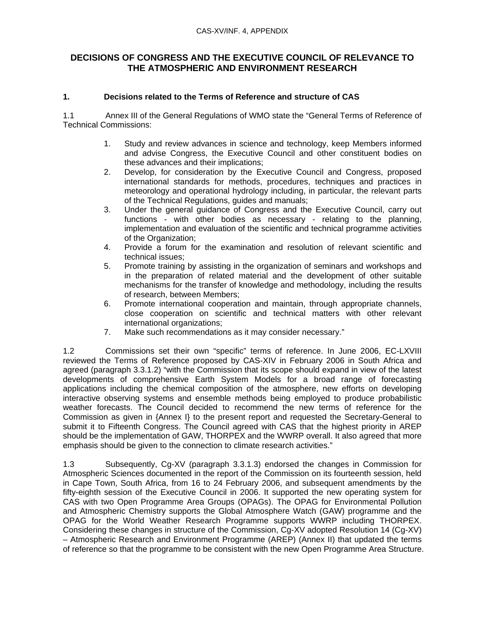# **DECISIONS OF CONGRESS AND THE EXECUTIVE COUNCIL OF RELEVANCE TO THE ATMOSPHERIC AND ENVIRONMENT RESEARCH**

# **1. Decisions related to the Terms of Reference and structure of CAS**

1.1 Annex III of the General Regulations of WMO state the "General Terms of Reference of Technical Commissions:

- 1. Study and review advances in science and technology, keep Members informed and advise Congress, the Executive Council and other constituent bodies on these advances and their implications;
- 2. Develop, for consideration by the Executive Council and Congress, proposed international standards for methods, procedures, techniques and practices in meteorology and operational hydrology including, in particular, the relevant parts of the Technical Regulations, guides and manuals;
- 3. Under the general guidance of Congress and the Executive Council, carry out functions - with other bodies as necessary - relating to the planning, implementation and evaluation of the scientific and technical programme activities of the Organization;
- 4. Provide a forum for the examination and resolution of relevant scientific and technical issues;
- 5. Promote training by assisting in the organization of seminars and workshops and in the preparation of related material and the development of other suitable mechanisms for the transfer of knowledge and methodology, including the results of research, between Members;
- 6. Promote international cooperation and maintain, through appropriate channels, close cooperation on scientific and technical matters with other relevant international organizations;
- 7. Make such recommendations as it may consider necessary."

1.2 Commissions set their own "specific" terms of reference. In June 2006, EC-LXVIII reviewed the Terms of Reference proposed by CAS-XIV in February 2006 in South Africa and agreed (paragraph 3.3.1.2) "with the Commission that its scope should expand in view of the latest developments of comprehensive Earth System Models for a broad range of forecasting applications including the chemical composition of the atmosphere, new efforts on developing interactive observing systems and ensemble methods being employed to produce probabilistic weather forecasts. The Council decided to recommend the new terms of reference for the Commission as given in {Annex I} to the present report and requested the Secretary-General to submit it to Fifteenth Congress. The Council agreed with CAS that the highest priority in AREP should be the implementation of GAW, THORPEX and the WWRP overall. It also agreed that more emphasis should be given to the connection to climate research activities."

1.3 Subsequently, Cg-XV (paragraph 3.3.1.3) endorsed the changes in Commission for Atmospheric Sciences documented in the report of the Commission on its fourteenth session, held in Cape Town, South Africa, from 16 to 24 February 2006, and subsequent amendments by the fifty-eighth session of the Executive Council in 2006. It supported the new operating system for CAS with two Open Programme Area Groups (OPAGs). The OPAG for Environmental Pollution and Atmospheric Chemistry supports the Global Atmosphere Watch (GAW) programme and the OPAG for the World Weather Research Programme supports WWRP including THORPEX. Considering these changes in structure of the Commission, Cg-XV adopted Resolution 14 (Cg-XV) – Atmospheric Research and Environment Programme (AREP) (Annex II) that updated the terms of reference so that the programme to be consistent with the new Open Programme Area Structure.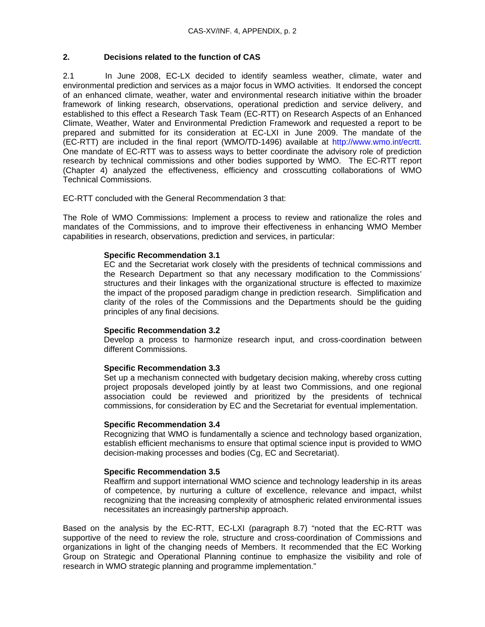### **2. Decisions related to the function of CAS**

2.1 In June 2008, EC-LX decided to identify seamless weather, climate, water and environmental prediction and services as a major focus in WMO activities. It endorsed the concept of an enhanced climate, weather, water and environmental research initiative within the broader framework of linking research, observations, operational prediction and service delivery, and established to this effect a Research Task Team (EC-RTT) on Research Aspects of an Enhanced Climate, Weather, Water and Environmental Prediction Framework and requested a report to be prepared and submitted for its consideration at EC-LXI in June 2009. The mandate of the (EC-RTT) are included in the final report (WMO/TD-1496) available at http://www.wmo.int/ecrtt. One mandate of EC-RTT was to assess ways to better coordinate the advisory role of prediction research by technical commissions and other bodies supported by WMO. The EC-RTT report (Chapter 4) analyzed the effectiveness, efficiency and crosscutting collaborations of WMO Technical Commissions.

EC-RTT concluded with the General Recommendation 3 that:

The Role of WMO Commissions: Implement a process to review and rationalize the roles and mandates of the Commissions, and to improve their effectiveness in enhancing WMO Member capabilities in research, observations, prediction and services, in particular:

#### **Specific Recommendation 3.1**

EC and the Secretariat work closely with the presidents of technical commissions and the Research Department so that any necessary modification to the Commissions' structures and their linkages with the organizational structure is effected to maximize the impact of the proposed paradigm change in prediction research. Simplification and clarity of the roles of the Commissions and the Departments should be the guiding principles of any final decisions.

#### **Specific Recommendation 3.2**

Develop a process to harmonize research input, and cross-coordination between different Commissions.

#### **Specific Recommendation 3.3**

Set up a mechanism connected with budgetary decision making, whereby cross cutting project proposals developed jointly by at least two Commissions, and one regional association could be reviewed and prioritized by the presidents of technical commissions, for consideration by EC and the Secretariat for eventual implementation.

#### **Specific Recommendation 3.4**

Recognizing that WMO is fundamentally a science and technology based organization, establish efficient mechanisms to ensure that optimal science input is provided to WMO decision-making processes and bodies (Cg, EC and Secretariat).

#### **Specific Recommendation 3.5**

Reaffirm and support international WMO science and technology leadership in its areas of competence, by nurturing a culture of excellence, relevance and impact, whilst recognizing that the increasing complexity of atmospheric related environmental issues necessitates an increasingly partnership approach.

Based on the analysis by the EC-RTT, EC-LXI (paragraph 8.7) "noted that the EC-RTT was supportive of the need to review the role, structure and cross-coordination of Commissions and organizations in light of the changing needs of Members. It recommended that the EC Working Group on Strategic and Operational Planning continue to emphasize the visibility and role of research in WMO strategic planning and programme implementation."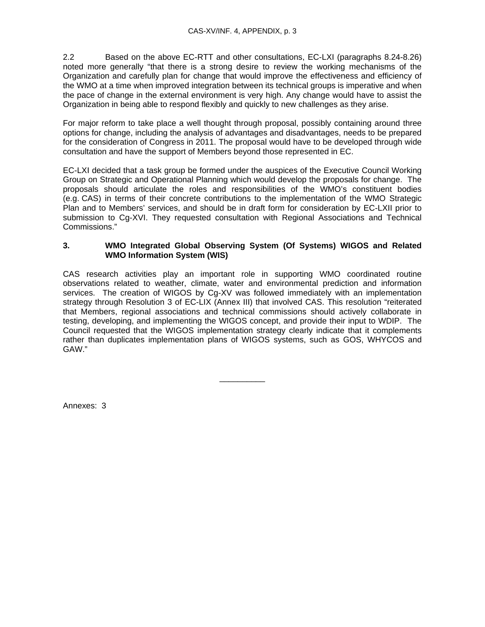2.2 Based on the above EC-RTT and other consultations, EC-LXI (paragraphs 8.24-8.26) noted more generally "that there is a strong desire to review the working mechanisms of the Organization and carefully plan for change that would improve the effectiveness and efficiency of the WMO at a time when improved integration between its technical groups is imperative and when the pace of change in the external environment is very high. Any change would have to assist the Organization in being able to respond flexibly and quickly to new challenges as they arise.

For maior reform to take place a well thought through proposal, possibly containing around three options for change, including the analysis of advantages and disadvantages, needs to be prepared for the consideration of Congress in 2011. The proposal would have to be developed through wide consultation and have the support of Members beyond those represented in EC.

EC-LXI decided that a task group be formed under the auspices of the Executive Council Working Group on Strategic and Operational Planning which would develop the proposals for change. The proposals should articulate the roles and responsibilities of the WMO's constituent bodies (e.g. CAS) in terms of their concrete contributions to the implementation of the WMO Strategic Plan and to Members' services, and should be in draft form for consideration by EC-LXII prior to submission to Cg-XVI. They requested consultation with Regional Associations and Technical Commissions."

#### **3. WMO Integrated Global Observing System (Of Systems) WIGOS and Related WMO Information System (WIS)**

CAS research activities play an important role in supporting WMO coordinated routine observations related to weather, climate, water and environmental prediction and information services. The creation of WIGOS by Cg-XV was followed immediately with an implementation strategy through Resolution 3 of EC-LIX (Annex III) that involved CAS. This resolution "reiterated that Members, regional associations and technical commissions should actively collaborate in testing, developing, and implementing the WIGOS concept, and provide their input to WDIP. The Council requested that the WIGOS implementation strategy clearly indicate that it complements rather than duplicates implementation plans of WIGOS systems, such as GOS, WHYCOS and GAW."

\_\_\_\_\_\_\_\_\_\_

Annexes: 3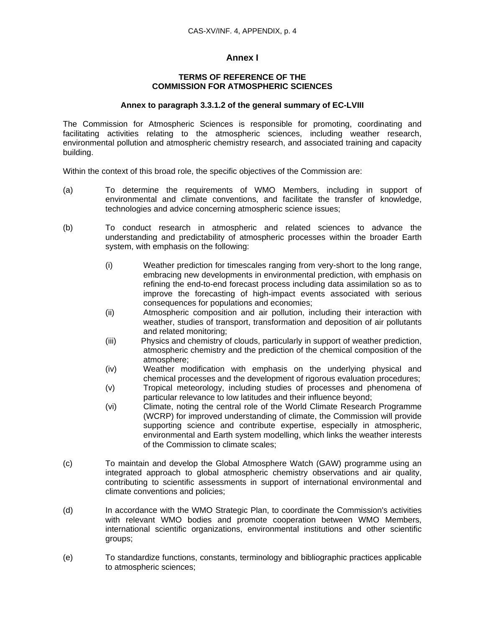## **Annex I**

#### **TERMS OF REFERENCE OF THE COMMISSION FOR ATMOSPHERIC SCIENCES**

#### **Annex to paragraph 3.3.1.2 of the general summary of EC-LVIII**

The Commission for Atmospheric Sciences is responsible for promoting, coordinating and facilitating activities relating to the atmospheric sciences, including weather research, environmental pollution and atmospheric chemistry research, and associated training and capacity building.

Within the context of this broad role, the specific objectives of the Commission are:

- (a) To determine the requirements of WMO Members, including in support of environmental and climate conventions, and facilitate the transfer of knowledge, technologies and advice concerning atmospheric science issues;
- (b) To conduct research in atmospheric and related sciences to advance the understanding and predictability of atmospheric processes within the broader Earth system, with emphasis on the following:
	- (i) Weather prediction for timescales ranging from very-short to the long range, embracing new developments in environmental prediction, with emphasis on refining the end-to-end forecast process including data assimilation so as to improve the forecasting of high-impact events associated with serious consequences for populations and economies;
	- (ii) Atmospheric composition and air pollution, including their interaction with weather, studies of transport, transformation and deposition of air pollutants and related monitoring;
	- (iii) Physics and chemistry of clouds, particularly in support of weather prediction, atmospheric chemistry and the prediction of the chemical composition of the atmosphere;
	- (iv) Weather modification with emphasis on the underlying physical and chemical processes and the development of rigorous evaluation procedures;
	- (v) Tropical meteorology, including studies of processes and phenomena of particular relevance to low latitudes and their influence beyond;
	- (vi) Climate, noting the central role of the World Climate Research Programme (WCRP) for improved understanding of climate, the Commission will provide supporting science and contribute expertise, especially in atmospheric, environmental and Earth system modelling, which links the weather interests of the Commission to climate scales;
- (c) To maintain and develop the Global Atmosphere Watch (GAW) programme using an integrated approach to global atmospheric chemistry observations and air quality, contributing to scientific assessments in support of international environmental and climate conventions and policies;
- (d) In accordance with the WMO Strategic Plan, to coordinate the Commission's activities with relevant WMO bodies and promote cooperation between WMO Members, international scientific organizations, environmental institutions and other scientific groups;
- (e) To standardize functions, constants, terminology and bibliographic practices applicable to atmospheric sciences;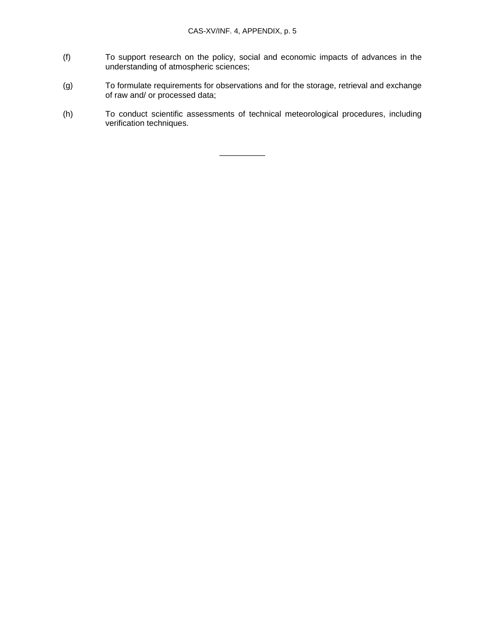- (f) To support research on the policy, social and economic impacts of advances in the understanding of atmospheric sciences;
- (g) To formulate requirements for observations and for the storage, retrieval and exchange of raw and/ or processed data;
- (h) To conduct scientific assessments of technical meteorological procedures, including verification techniques.

\_\_\_\_\_\_\_\_\_\_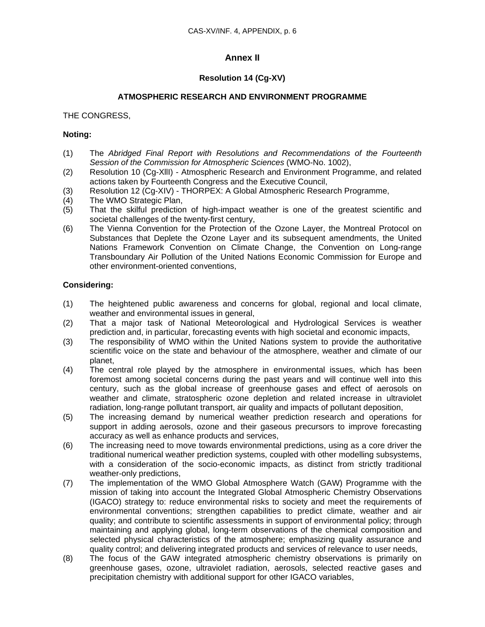# **Annex II**

## **Resolution 14 (Cg-XV)**

### **ATMOSPHERIC RESEARCH AND ENVIRONMENT PROGRAMME**

#### THE CONGRESS,

#### **Noting:**

- (1) The *Abridged Final Report with Resolutions and Recommendations of the Fourteenth Session of the Commission for Atmospheric Sciences* (WMO-No. 1002),
- (2) Resolution 10 (Cg-XllI) Atmospheric Research and Environment Programme, and related actions taken by Fourteenth Congress and the Executive Council,
- (3) Resolution 12 (Cg-XIV) THORPEX: A Global Atmospheric Research Programme,
- (4) The WMO Strategic Plan,
- (5) That the skilful prediction of high-impact weather is one of the greatest scientific and societal challenges of the twenty-first century,
- (6) The Vienna Convention for the Protection of the Ozone Layer, the Montreal Protocol on Substances that Deplete the Ozone Layer and its subsequent amendments, the United Nations Framework Convention on Climate Change, the Convention on Long-range Transboundary Air Pollution of the United Nations Economic Commission for Europe and other environment-oriented conventions,

#### **Considering:**

- (1) The heightened public awareness and concerns for global, regional and local climate, weather and environmental issues in general,
- (2) That a major task of National Meteorological and Hydrological Services is weather prediction and, in particular, forecasting events with high societal and economic impacts,
- (3) The responsibility of WMO within the United Nations system to provide the authoritative scientific voice on the state and behaviour of the atmosphere, weather and climate of our planet,
- (4) The central role played by the atmosphere in environmental issues, which has been foremost among societal concerns during the past years and will continue well into this century, such as the global increase of greenhouse gases and effect of aerosols on weather and climate, stratospheric ozone depletion and related increase in ultraviolet radiation, long-range pollutant transport, air quality and impacts of pollutant deposition,
- (5) The increasing demand by numerical weather prediction research and operations for support in adding aerosols, ozone and their gaseous precursors to improve forecasting accuracy as well as enhance products and services,
- (6) The increasing need to move towards environmental predictions, using as a core driver the traditional numerical weather prediction systems, coupled with other modelling subsystems, with a consideration of the socio-economic impacts, as distinct from strictly traditional weather-only predictions,
- (7) The implementation of the WMO Global Atmosphere Watch (GAW) Programme with the mission of taking into account the Integrated Global Atmospheric Chemistry Observations (IGACO) strategy to: reduce environmental risks to society and meet the requirements of environmental conventions; strengthen capabilities to predict climate, weather and air quality; and contribute to scientific assessments in support of environmental policy; through maintaining and applying global, long-term observations of the chemical composition and selected physical characteristics of the atmosphere; emphasizing quality assurance and quality control; and delivering integrated products and services of relevance to user needs,
- (8) The focus of the GAW integrated atmospheric chemistry observations is primarily on greenhouse gases, ozone, ultraviolet radiation, aerosols, selected reactive gases and precipitation chemistry with additional support for other IGACO variables,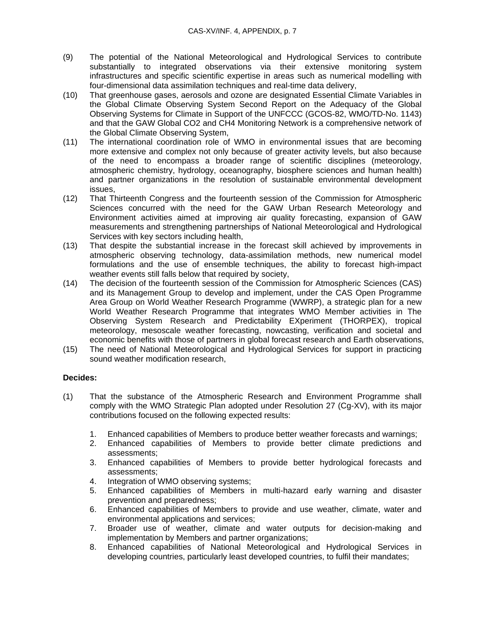- (9) The potential of the National Meteorological and Hydrological Services to contribute substantially to integrated observations via their extensive monitoring system infrastructures and specific scientific expertise in areas such as numerical modelling with four-dimensional data assimilation techniques and real-time data delivery,
- (10) That greenhouse gases, aerosols and ozone are designated Essential Climate Variables in the Global Climate Observing System Second Report on the Adequacy of the Global Observing Systems for Climate in Support of the UNFCCC (GCOS-82, WMO/TD-No. 1143) and that the GAW Global CO2 and CH4 Monitoring Network is a comprehensive network of the Global Climate Observing System,
- (11) The international coordination role of WMO in environmental issues that are becoming more extensive and complex not only because of greater activity levels, but also because of the need to encompass a broader range of scientific disciplines (meteorology, atmospheric chemistry, hydrology, oceanography, biosphere sciences and human health) and partner organizations in the resolution of sustainable environmental development issues,
- (12) That Thirteenth Congress and the fourteenth session of the Commission for Atmospheric Sciences concurred with the need for the GAW Urban Research Meteorology and Environment activities aimed at improving air quality forecasting, expansion of GAW measurements and strengthening partnerships of National Meteorological and Hydrological Services with key sectors including health,
- (13) That despite the substantial increase in the forecast skill achieved by improvements in atmospheric observing technology, data-assimilation methods, new numerical model formulations and the use of ensemble techniques, the ability to forecast high-impact weather events still falls below that required by society,
- (14) The decision of the fourteenth session of the Commission for Atmospheric Sciences (CAS) and its Management Group to develop and implement, under the CAS Open Programme Area Group on World Weather Research Programme (WWRP), a strategic plan for a new World Weather Research Programme that integrates WMO Member activities in The Observing System Research and Predictability EXperiment (THORPEX), tropical meteorology, mesoscale weather forecasting, nowcasting, verification and societal and economic benefits with those of partners in global forecast research and Earth observations,
- (15) The need of National Meteorological and Hydrological Services for support in practicing sound weather modification research,

## **Decides:**

- (1) That the substance of the Atmospheric Research and Environment Programme shall comply with the WMO Strategic Plan adopted under Resolution 27 (Cg-XV), with its major contributions focused on the following expected results:
	- 1. Enhanced capabilities of Members to produce better weather forecasts and warnings;
	- 2. Enhanced capabilities of Members to provide better climate predictions and assessments;
	- 3. Enhanced capabilities of Members to provide better hydrological forecasts and assessments;
	- 4. Integration of WMO observing systems;
	- 5. Enhanced capabilities of Members in multi-hazard early warning and disaster prevention and preparedness;
	- 6. Enhanced capabilities of Members to provide and use weather, climate, water and environmental applications and services;
	- 7. Broader use of weather, climate and water outputs for decision-making and implementation by Members and partner organizations;
	- 8. Enhanced capabilities of National Meteorological and Hydrological Services in developing countries, particularly least developed countries, to fulfil their mandates;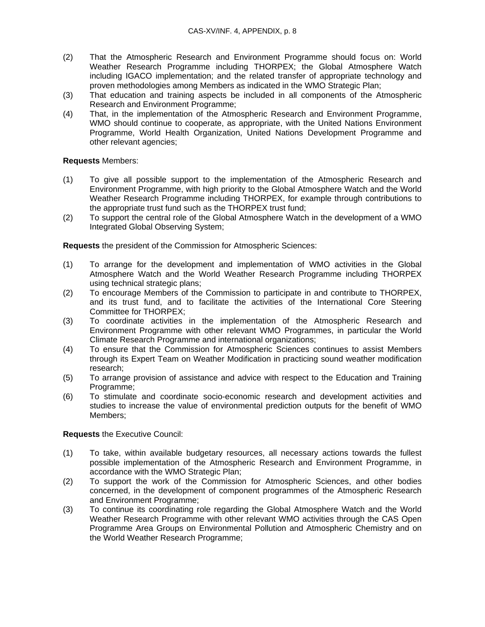- (2) That the Atmospheric Research and Environment Programme should focus on: World Weather Research Programme including THORPEX; the Global Atmosphere Watch including IGACO implementation; and the related transfer of appropriate technology and proven methodologies among Members as indicated in the WMO Strategic Plan;
- (3) That education and training aspects be included in all components of the Atmospheric Research and Environment Programme;
- (4) That, in the implementation of the Atmospheric Research and Environment Programme, WMO should continue to cooperate, as appropriate, with the United Nations Environment Programme, World Health Organization, United Nations Development Programme and other relevant agencies;

### **Requests** Members:

- (1) To give all possible support to the implementation of the Atmospheric Research and Environment Programme, with high priority to the Global Atmosphere Watch and the World Weather Research Programme including THORPEX, for example through contributions to the appropriate trust fund such as the THORPEX trust fund;
- (2) To support the central role of the Global Atmosphere Watch in the development of a WMO Integrated Global Observing System;

**Requests** the president of the Commission for Atmospheric Sciences:

- (1) To arrange for the development and implementation of WMO activities in the Global Atmosphere Watch and the World Weather Research Programme including THORPEX using technical strategic plans;
- (2) To encourage Members of the Commission to participate in and contribute to THORPEX, and its trust fund, and to facilitate the activities of the International Core Steering Committee for THORPEX;
- (3) To coordinate activities in the implementation of the Atmospheric Research and Environment Programme with other relevant WMO Programmes, in particular the World Climate Research Programme and international organizations;
- (4) To ensure that the Commission for Atmospheric Sciences continues to assist Members through its Expert Team on Weather Modification in practicing sound weather modification research;
- (5) To arrange provision of assistance and advice with respect to the Education and Training Programme;
- (6) To stimulate and coordinate socio-economic research and development activities and studies to increase the value of environmental prediction outputs for the benefit of WMO Members;

**Requests** the Executive Council:

- (1) To take, within available budgetary resources, all necessary actions towards the fullest possible implementation of the Atmospheric Research and Environment Programme, in accordance with the WMO Strategic Plan;
- (2) To support the work of the Commission for Atmospheric Sciences, and other bodies concerned, in the development of component programmes of the Atmospheric Research and Environment Programme;
- (3) To continue its coordinating role regarding the Global Atmosphere Watch and the World Weather Research Programme with other relevant WMO activities through the CAS Open Programme Area Groups on Environmental Pollution and Atmospheric Chemistry and on the World Weather Research Programme;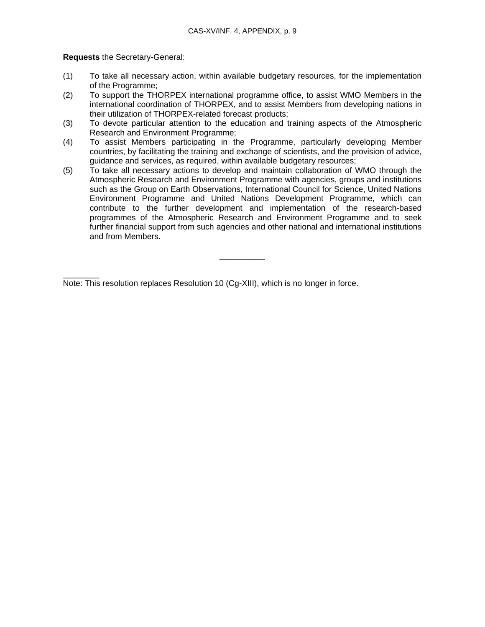**Requests** the Secretary-General:

- (1) To take all necessary action, within available budgetary resources, for the implementation of the Programme;
- (2) To support the THORPEX international programme office, to assist WMO Members in the international coordination of THORPEX, and to assist Members from developing nations in their utilization of THORPEX-related forecast products;
- (3) To devote particular attention to the education and training aspects of the Atmospheric Research and Environment Programme;
- (4) To assist Members participating in the Programme, particularly developing Member countries, by facilitating the training and exchange of scientists, and the provision of advice, guidance and services, as required, within available budgetary resources;
- (5) To take all necessary actions to develop and maintain collaboration of WMO through the Atmospheric Research and Environment Programme with agencies, groups and institutions such as the Group on Earth Observations, International Council for Science, United Nations Environment Programme and United Nations Development Programme, which can contribute to the further development and implementation of the research-based programmes of the Atmospheric Research and Environment Programme and to seek further financial support from such agencies and other national and international institutions and from Members.

\_\_\_\_\_\_\_\_\_\_

 $\overline{\phantom{a}}$  ,  $\overline{\phantom{a}}$  ,  $\overline{\phantom{a}}$  ,  $\overline{\phantom{a}}$  ,  $\overline{\phantom{a}}$  ,  $\overline{\phantom{a}}$  ,  $\overline{\phantom{a}}$  ,  $\overline{\phantom{a}}$  ,  $\overline{\phantom{a}}$  ,  $\overline{\phantom{a}}$  ,  $\overline{\phantom{a}}$  ,  $\overline{\phantom{a}}$  ,  $\overline{\phantom{a}}$  ,  $\overline{\phantom{a}}$  ,  $\overline{\phantom{a}}$  ,  $\overline{\phantom{a}}$ Note: This resolution replaces Resolution 10 (Cg-XIII), which is no longer in force.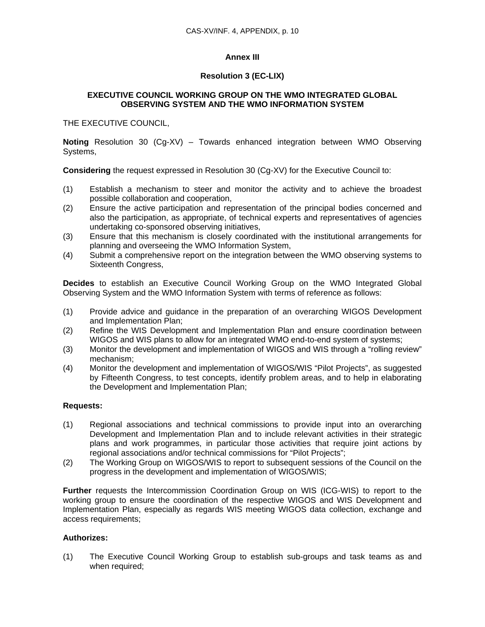## **Annex III**

## **Resolution 3 (EC-LIX)**

## **EXECUTIVE COUNCIL WORKING GROUP ON THE WMO INTEGRATED GLOBAL OBSERVING SYSTEM AND THE WMO INFORMATION SYSTEM**

THE EXECUTIVE COUNCIL,

**Noting** Resolution 30 (Cg-XV) – Towards enhanced integration between WMO Observing Systems,

**Considering** the request expressed in Resolution 30 (Cg-XV) for the Executive Council to:

- (1) Establish a mechanism to steer and monitor the activity and to achieve the broadest possible collaboration and cooperation,
- (2) Ensure the active participation and representation of the principal bodies concerned and also the participation, as appropriate, of technical experts and representatives of agencies undertaking co-sponsored observing initiatives,
- (3) Ensure that this mechanism is closely coordinated with the institutional arrangements for planning and overseeing the WMO Information System,
- (4) Submit a comprehensive report on the integration between the WMO observing systems to Sixteenth Congress,

**Decides** to establish an Executive Council Working Group on the WMO Integrated Global Observing System and the WMO Information System with terms of reference as follows:

- (1) Provide advice and guidance in the preparation of an overarching WIGOS Development and Implementation Plan;
- (2) Refine the WIS Development and Implementation Plan and ensure coordination between WIGOS and WIS plans to allow for an integrated WMO end-to-end system of systems;
- (3) Monitor the development and implementation of WIGOS and WIS through a "rolling review" mechanism;
- (4) Monitor the development and implementation of WIGOS/WIS "Pilot Projects", as suggested by Fifteenth Congress, to test concepts, identify problem areas, and to help in elaborating the Development and Implementation Plan;

### **Requests:**

- (1) Regional associations and technical commissions to provide input into an overarching Development and Implementation Plan and to include relevant activities in their strategic plans and work programmes, in particular those activities that require joint actions by regional associations and/or technical commissions for "Pilot Projects";
- (2) The Working Group on WIGOS/WIS to report to subsequent sessions of the Council on the progress in the development and implementation of WIGOS/WIS;

**Further** requests the Intercommission Coordination Group on WIS (ICG-WIS) to report to the working group to ensure the coordination of the respective WIGOS and WIS Development and Implementation Plan, especially as regards WIS meeting WIGOS data collection, exchange and access requirements;

### **Authorizes:**

(1) The Executive Council Working Group to establish sub-groups and task teams as and when required;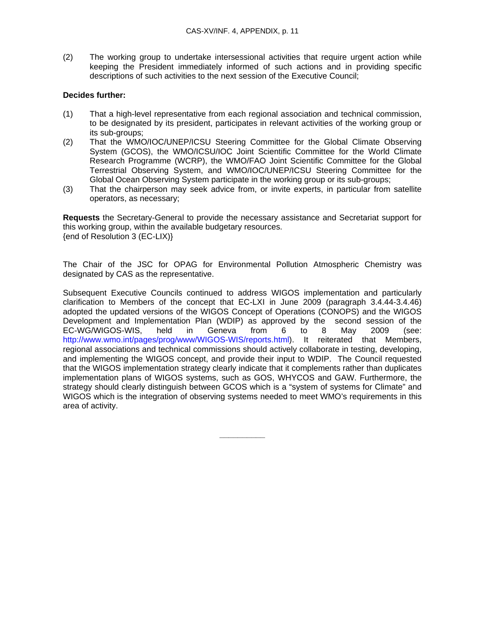(2) The working group to undertake intersessional activities that require urgent action while keeping the President immediately informed of such actions and in providing specific descriptions of such activities to the next session of the Executive Council;

#### **Decides further:**

- (1) That a high-level representative from each regional association and technical commission, to be designated by its president, participates in relevant activities of the working group or its sub-groups;
- (2) That the WMO/IOC/UNEP/ICSU Steering Committee for the Global Climate Observing System (GCOS), the WMO/ICSU/IOC Joint Scientific Committee for the World Climate Research Programme (WCRP), the WMO/FAO Joint Scientific Committee for the Global Terrestrial Observing System, and WMO/IOC/UNEP/ICSU Steering Committee for the Global Ocean Observing System participate in the working group or its sub-groups;
- (3) That the chairperson may seek advice from, or invite experts, in particular from satellite operators, as necessary;

**Requests** the Secretary-General to provide the necessary assistance and Secretariat support for this working group, within the available budgetary resources. {end of Resolution 3 (EC-LIX)}

The Chair of the JSC for OPAG for Environmental Pollution Atmospheric Chemistry was designated by CAS as the representative.

Subsequent Executive Councils continued to address WIGOS implementation and particularly clarification to Members of the concept that EC-LXI in June 2009 (paragraph 3.4.44-3.4.46) adopted the updated versions of the WIGOS Concept of Operations (CONOPS) and the WIGOS Development and Implementation Plan (WDIP) as approved by the second session of the EC-WG/WIGOS-WIS, held in Geneva from 6 to 8 May 2009 (see: http://www.wmo.int/pages/prog/www/WIGOS-WIS/reports.html). It reiterated that Members, regional associations and technical commissions should actively collaborate in testing, developing, and implementing the WIGOS concept, and provide their input to WDIP. The Council requested that the WIGOS implementation strategy clearly indicate that it complements rather than duplicates implementation plans of WIGOS systems, such as GOS, WHYCOS and GAW. Furthermore, the strategy should clearly distinguish between GCOS which is a "system of systems for Climate" and WIGOS which is the integration of observing systems needed to meet WMO's requirements in this area of activity.

**\_\_\_\_\_\_\_\_\_\_**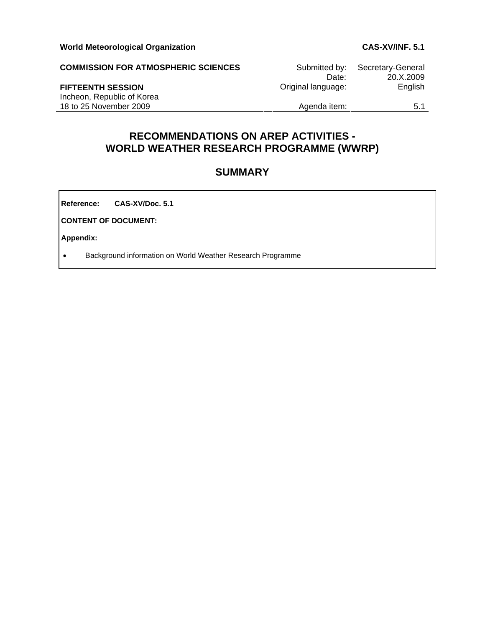| <b>COMMISSION FOR ATMOSPHERIC SCIENCES</b> | Submitted by:      | Secretary-General |
|--------------------------------------------|--------------------|-------------------|
|                                            | Date:              | 20.X.2009         |
| <b>FIFTEENTH SESSION</b>                   | Original language: | English           |
| Incheon, Republic of Korea                 |                    |                   |
| 18 to 25 November 2009                     | Agenda item:       | 5.1               |

# **RECOMMENDATIONS ON AREP ACTIVITIES - WORLD WEATHER RESEARCH PROGRAMME (WWRP)**

# **SUMMARY**

**Reference: CAS-XV/Doc. 5.1**

**CONTENT OF DOCUMENT:** 

**Appendix:** 

• Background information on World Weather Research Programme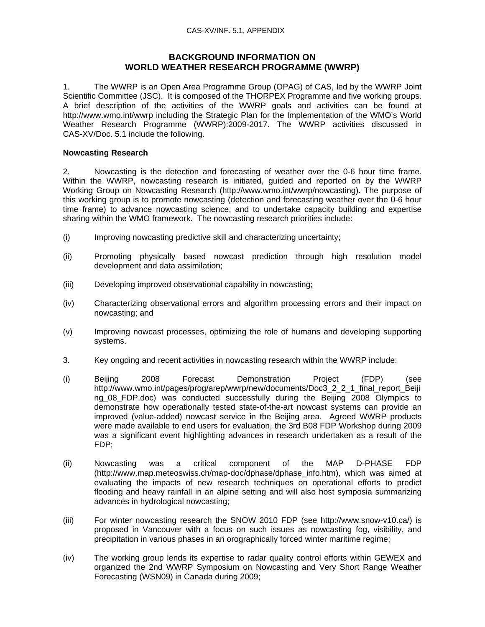## **BACKGROUND INFORMATION ON WORLD WEATHER RESEARCH PROGRAMME (WWRP)**

1. The WWRP is an Open Area Programme Group (OPAG) of CAS, led by the WWRP Joint Scientific Committee (JSC). It is composed of the THORPEX Programme and five working groups. A brief description of the activities of the WWRP goals and activities can be found at http://www.wmo.int/wwrp including the Strategic Plan for the Implementation of the WMO's World Weather Research Programme (WWRP):2009-2017. The WWRP activities discussed in CAS-XV/Doc. 5.1 include the following.

#### **Nowcasting Research**

2. Nowcasting is the detection and forecasting of weather over the 0-6 hour time frame. Within the WWRP, nowcasting research is initiated, guided and reported on by the WWRP Working Group on Nowcasting Research (http://www.wmo.int/wwrp/nowcasting). The purpose of this working group is to promote nowcasting (detection and forecasting weather over the 0-6 hour time frame) to advance nowcasting science, and to undertake capacity building and expertise sharing within the WMO framework. The nowcasting research priorities include:

- (i) Improving nowcasting predictive skill and characterizing uncertainty;
- (ii) Promoting physically based nowcast prediction through high resolution model development and data assimilation;
- (iii) Developing improved observational capability in nowcasting;
- (iv) Characterizing observational errors and algorithm processing errors and their impact on nowcasting; and
- (v) Improving nowcast processes, optimizing the role of humans and developing supporting systems.
- 3. Key ongoing and recent activities in nowcasting research within the WWRP include:
- (i) Beijing 2008 Forecast Demonstration Project (FDP) (see http://www.wmo.int/pages/prog/arep/wwrp/new/documents/Doc3\_2\_2\_1\_final\_report\_Beiji ng\_08\_FDP.doc) was conducted successfully during the Beijing 2008 Olympics to demonstrate how operationally tested state-of-the-art nowcast systems can provide an improved (value-added) nowcast service in the Beijing area. Agreed WWRP products were made available to end users for evaluation, the 3rd B08 FDP Workshop during 2009 was a significant event highlighting advances in research undertaken as a result of the FDP;
- (ii) Nowcasting was a critical component of the MAP D-PHASE FDP (http://www.map.meteoswiss.ch/map-doc/dphase/dphase\_info.htm), which was aimed at evaluating the impacts of new research techniques on operational efforts to predict flooding and heavy rainfall in an alpine setting and will also host symposia summarizing advances in hydrological nowcasting;
- (iii) For winter nowcasting research the SNOW 2010 FDP (see http://www.snow-v10.ca/) is proposed in Vancouver with a focus on such issues as nowcasting fog, visibility, and precipitation in various phases in an orographically forced winter maritime regime;
- (iv) The working group lends its expertise to radar quality control efforts within GEWEX and organized the 2nd WWRP Symposium on Nowcasting and Very Short Range Weather Forecasting (WSN09) in Canada during 2009;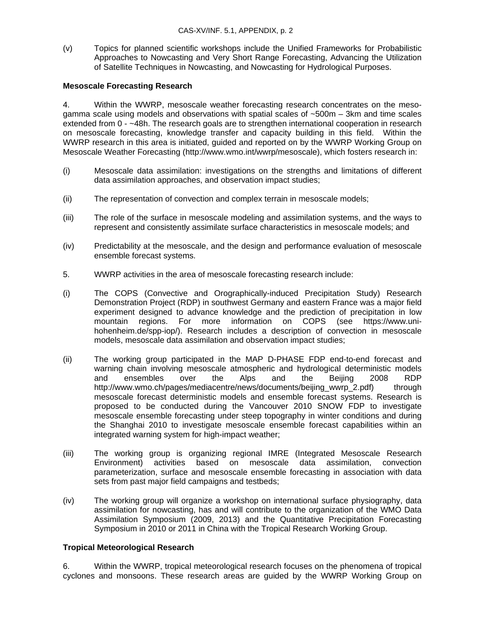(v) Topics for planned scientific workshops include the Unified Frameworks for Probabilistic Approaches to Nowcasting and Very Short Range Forecasting, Advancing the Utilization of Satellite Techniques in Nowcasting, and Nowcasting for Hydrological Purposes.

#### **Mesoscale Forecasting Research**

4. Within the WWRP, mesoscale weather forecasting research concentrates on the mesogamma scale using models and observations with spatial scales of ~500m – 3km and time scales extended from 0 - ~48h. The research goals are to strengthen international cooperation in research on mesoscale forecasting, knowledge transfer and capacity building in this field. Within the WWRP research in this area is initiated, guided and reported on by the WWRP Working Group on Mesoscale Weather Forecasting (http://www.wmo.int/wwrp/mesoscale), which fosters research in:

- (i) Mesoscale data assimilation: investigations on the strengths and limitations of different data assimilation approaches, and observation impact studies;
- (ii) The representation of convection and complex terrain in mesoscale models;
- (iii) The role of the surface in mesoscale modeling and assimilation systems, and the ways to represent and consistently assimilate surface characteristics in mesoscale models; and
- (iv) Predictability at the mesoscale, and the design and performance evaluation of mesoscale ensemble forecast systems.
- 5. WWRP activities in the area of mesoscale forecasting research include:
- (i) The COPS (Convective and Orographically-induced Precipitation Study) Research Demonstration Project (RDP) in southwest Germany and eastern France was a major field experiment designed to advance knowledge and the prediction of precipitation in low mountain regions. For more information on COPS (see https://www.unihohenheim.de/spp-iop/). Research includes a description of convection in mesoscale models, mesoscale data assimilation and observation impact studies;
- (ii) The working group participated in the MAP D-PHASE FDP end-to-end forecast and warning chain involving mesoscale atmospheric and hydrological deterministic models and ensembles over the Alps and the Beijing 2008 RDP http://www.wmo.ch/pages/mediacentre/news/documents/beijing\_wwrp\_2.pdf) through mesoscale forecast deterministic models and ensemble forecast systems. Research is proposed to be conducted during the Vancouver 2010 SNOW FDP to investigate mesoscale ensemble forecasting under steep topography in winter conditions and during the Shanghai 2010 to investigate mesoscale ensemble forecast capabilities within an integrated warning system for high-impact weather;
- (iii) The working group is organizing regional IMRE (Integrated Mesoscale Research Environment) activities based on mesoscale data assimilation, convection parameterization, surface and mesoscale ensemble forecasting in association with data sets from past major field campaigns and testbeds;
- (iv) The working group will organize a workshop on international surface physiography, data assimilation for nowcasting, has and will contribute to the organization of the WMO Data Assimilation Symposium (2009, 2013) and the Quantitative Precipitation Forecasting Symposium in 2010 or 2011 in China with the Tropical Research Working Group.

#### **Tropical Meteorological Research**

6. Within the WWRP, tropical meteorological research focuses on the phenomena of tropical cyclones and monsoons. These research areas are guided by the WWRP Working Group on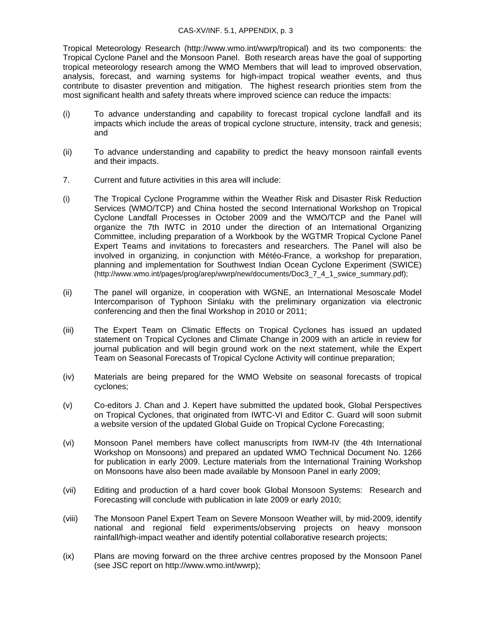#### CAS-XV/INF. 5.1, APPENDIX, p. 3

Tropical Meteorology Research (http://www.wmo.int/wwrp/tropical) and its two components: the Tropical Cyclone Panel and the Monsoon Panel. Both research areas have the goal of supporting tropical meteorology research among the WMO Members that will lead to improved observation, analysis, forecast, and warning systems for high-impact tropical weather events, and thus contribute to disaster prevention and mitigation. The highest research priorities stem from the most significant health and safety threats where improved science can reduce the impacts:

- (i) To advance understanding and capability to forecast tropical cyclone landfall and its impacts which include the areas of tropical cyclone structure, intensity, track and genesis; and
- (ii) To advance understanding and capability to predict the heavy monsoon rainfall events and their impacts.
- 7. Current and future activities in this area will include:
- (i) The Tropical Cyclone Programme within the Weather Risk and Disaster Risk Reduction Services (WMO/TCP) and China hosted the second International Workshop on Tropical Cyclone Landfall Processes in October 2009 and the WMO/TCP and the Panel will organize the 7th IWTC in 2010 under the direction of an International Organizing Committee, including preparation of a Workbook by the WGTMR Tropical Cyclone Panel Expert Teams and invitations to forecasters and researchers. The Panel will also be involved in organizing, in conjunction with Météo-France, a workshop for preparation, planning and implementation for Southwest Indian Ocean Cyclone Experiment (SWICE) (http://www.wmo.int/pages/prog/arep/wwrp/new/documents/Doc3\_7\_4\_1\_swice\_summary.pdf);
- (ii) The panel will organize, in cooperation with WGNE, an International Mesoscale Model Intercomparison of Typhoon Sinlaku with the preliminary organization via electronic conferencing and then the final Workshop in 2010 or 2011;
- (iii) The Expert Team on Climatic Effects on Tropical Cyclones has issued an updated statement on Tropical Cyclones and Climate Change in 2009 with an article in review for journal publication and will begin ground work on the next statement, while the Expert Team on Seasonal Forecasts of Tropical Cyclone Activity will continue preparation;
- (iv) Materials are being prepared for the WMO Website on seasonal forecasts of tropical cyclones;
- (v) Co-editors J. Chan and J. Kepert have submitted the updated book, Global Perspectives on Tropical Cyclones, that originated from IWTC-VI and Editor C. Guard will soon submit a website version of the updated Global Guide on Tropical Cyclone Forecasting;
- (vi) Monsoon Panel members have collect manuscripts from IWM-IV (the 4th International Workshop on Monsoons) and prepared an updated WMO Technical Document No. 1266 for publication in early 2009. Lecture materials from the International Training Workshop on Monsoons have also been made available by Monsoon Panel in early 2009;
- (vii) Editing and production of a hard cover book Global Monsoon Systems: Research and Forecasting will conclude with publication in late 2009 or early 2010;
- (viii) The Monsoon Panel Expert Team on Severe Monsoon Weather will, by mid-2009, identify national and regional field experiments/observing projects on heavy monsoon rainfall/high-impact weather and identify potential collaborative research projects;
- (ix) Plans are moving forward on the three archive centres proposed by the Monsoon Panel (see JSC report on http://www.wmo.int/wwrp);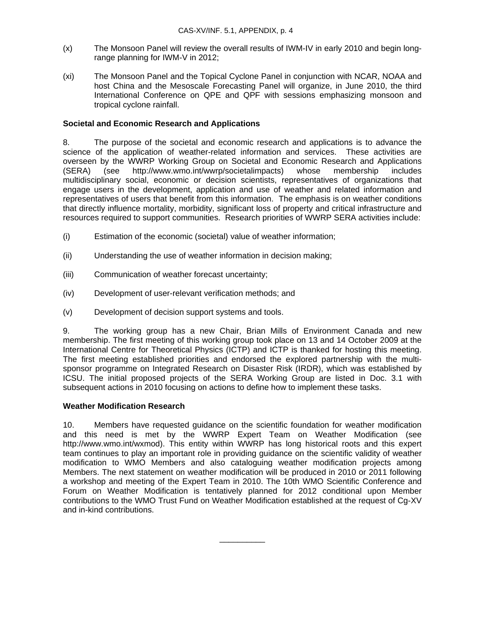- (x) The Monsoon Panel will review the overall results of IWM-IV in early 2010 and begin longrange planning for IWM-V in 2012;
- (xi) The Monsoon Panel and the Topical Cyclone Panel in conjunction with NCAR, NOAA and host China and the Mesoscale Forecasting Panel will organize, in June 2010, the third International Conference on QPE and QPF with sessions emphasizing monsoon and tropical cyclone rainfall.

## **Societal and Economic Research and Applications**

8. The purpose of the societal and economic research and applications is to advance the science of the application of weather-related information and services. These activities are overseen by the WWRP Working Group on Societal and Economic Research and Applications (SERA) (see http://www.wmo.int/wwrp/societalimpacts) whose membership includes multidisciplinary social, economic or decision scientists, representatives of organizations that engage users in the development, application and use of weather and related information and representatives of users that benefit from this information. The emphasis is on weather conditions that directly influence mortality, morbidity, significant loss of property and critical infrastructure and resources required to support communities. Research priorities of WWRP SERA activities include:

- (i) Estimation of the economic (societal) value of weather information;
- (ii) Understanding the use of weather information in decision making;
- (iii) Communication of weather forecast uncertainty;
- (iv) Development of user-relevant verification methods; and
- (v) Development of decision support systems and tools.

9. The working group has a new Chair, Brian Mills of Environment Canada and new membership. The first meeting of this working group took place on 13 and 14 October 2009 at the International Centre for Theoretical Physics (ICTP) and ICTP is thanked for hosting this meeting. The first meeting established priorities and endorsed the explored partnership with the multisponsor programme on Integrated Research on Disaster Risk (IRDR), which was established by ICSU. The initial proposed projects of the SERA Working Group are listed in Doc. 3.1 with subsequent actions in 2010 focusing on actions to define how to implement these tasks.

### **Weather Modification Research**

10. Members have requested guidance on the scientific foundation for weather modification and this need is met by the WWRP Expert Team on Weather Modification (see http://www.wmo.int/wxmod). This entity within WWRP has long historical roots and this expert team continues to play an important role in providing guidance on the scientific validity of weather modification to WMO Members and also cataloguing weather modification projects among Members. The next statement on weather modification will be produced in 2010 or 2011 following a workshop and meeting of the Expert Team in 2010. The 10th WMO Scientific Conference and Forum on Weather Modification is tentatively planned for 2012 conditional upon Member contributions to the WMO Trust Fund on Weather Modification established at the request of Cg-XV and in-kind contributions.

\_\_\_\_\_\_\_\_\_\_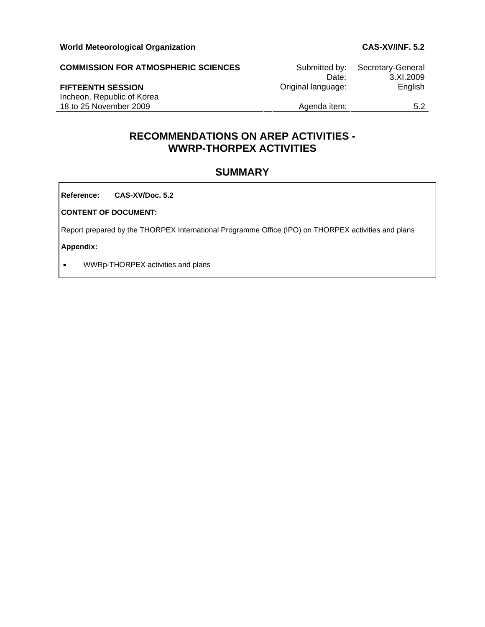| <b>COMMISSION FOR ATMOSPHERIC SCIENCES</b>           | Submitted by:<br>Date: | Secretary-General<br>3.XL2009 |
|------------------------------------------------------|------------------------|-------------------------------|
| <b>FIFTEENTH SESSION</b>                             | Original language:     | English                       |
| Incheon, Republic of Korea<br>18 to 25 November 2009 | Agenda item:           | 5.2                           |

# **RECOMMENDATIONS ON AREP ACTIVITIES - WWRP-THORPEX ACTIVITIES**

# **SUMMARY**

**Reference: CAS-XV/Doc. 5.2**

**CONTENT OF DOCUMENT:** 

Report prepared by the THORPEX International Programme Office (IPO) on THORPEX activities and plans

**Appendix:** 

• WWRp-THORPEX activities and plans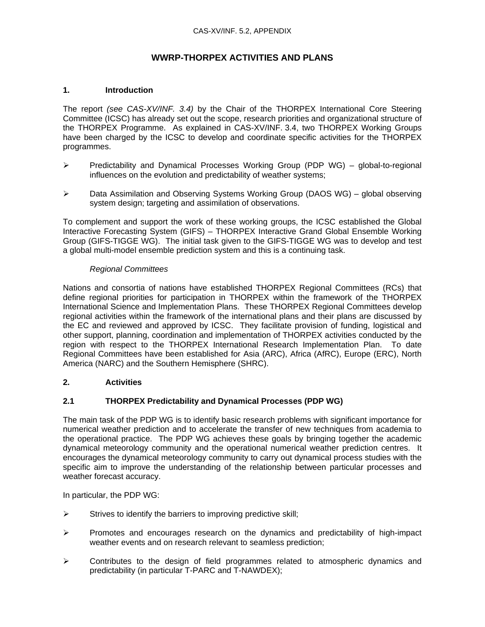# **WWRP-THORPEX ACTIVITIES AND PLANS**

### **1. Introduction**

The report *(see CAS-XV/INF. 3.4)* by the Chair of the THORPEX International Core Steering Committee (ICSC) has already set out the scope, research priorities and organizational structure of the THORPEX Programme. As explained in CAS-XV/INF. 3.4, two THORPEX Working Groups have been charged by the ICSC to develop and coordinate specific activities for the THORPEX programmes.

- ¾ Predictability and Dynamical Processes Working Group (PDP WG) global-to-regional influences on the evolution and predictability of weather systems;
- ¾ Data Assimilation and Observing Systems Working Group (DAOS WG) global observing system design; targeting and assimilation of observations.

To complement and support the work of these working groups, the ICSC established the Global Interactive Forecasting System (GIFS) – THORPEX Interactive Grand Global Ensemble Working Group (GIFS-TIGGE WG). The initial task given to the GIFS-TIGGE WG was to develop and test a global multi-model ensemble prediction system and this is a continuing task.

#### *Regional Committees*

Nations and consortia of nations have established THORPEX Regional Committees (RCs) that define regional priorities for participation in THORPEX within the framework of the THORPEX International Science and Implementation Plans. These THORPEX Regional Committees develop regional activities within the framework of the international plans and their plans are discussed by the EC and reviewed and approved by ICSC. They facilitate provision of funding, logistical and other support, planning, coordination and implementation of THORPEX activities conducted by the region with respect to the THORPEX International Research Implementation Plan. To date Regional Committees have been established for Asia (ARC), Africa (AfRC), Europe (ERC), North America (NARC) and the Southern Hemisphere (SHRC).

## **2. Activities**

### **2.1 THORPEX Predictability and Dynamical Processes (PDP WG)**

The main task of the PDP WG is to identify basic research problems with significant importance for numerical weather prediction and to accelerate the transfer of new techniques from academia to the operational practice. The PDP WG achieves these goals by bringing together the academic dynamical meteorology community and the operational numerical weather prediction centres. It encourages the dynamical meteorology community to carry out dynamical process studies with the specific aim to improve the understanding of the relationship between particular processes and weather forecast accuracy.

In particular, the PDP WG:

- $\triangleright$  Strives to identify the barriers to improving predictive skill;
- $\triangleright$  Promotes and encourages research on the dynamics and predictability of high-impact weather events and on research relevant to seamless prediction;
- $\triangleright$  Contributes to the design of field programmes related to atmospheric dynamics and predictability (in particular T-PARC and T-NAWDEX);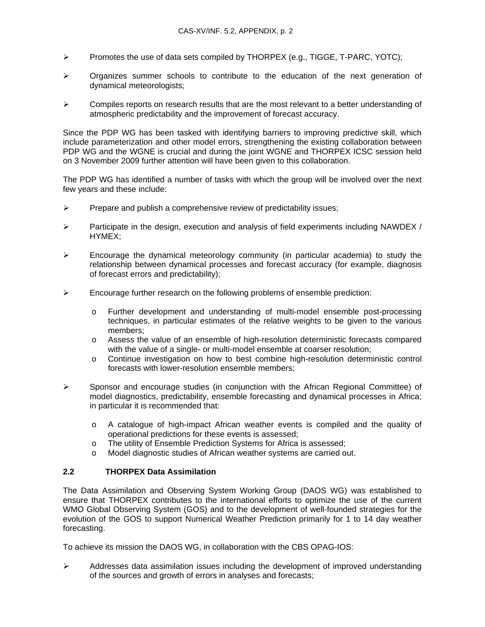- $\triangleright$  Promotes the use of data sets compiled by THORPEX (e.g., TIGGE, T-PARC, YOTC);
- $\triangleright$  Organizes summer schools to contribute to the education of the next generation of dynamical meteorologists;
- $\triangleright$  Compiles reports on research results that are the most relevant to a better understanding of atmospheric predictability and the improvement of forecast accuracy.

Since the PDP WG has been tasked with identifying barriers to improving predictive skill, which include parameterization and other model errors, strengthening the existing collaboration between PDP WG and the WGNE is crucial and during the joint WGNE and THORPEX ICSC session held on 3 November 2009 further attention will have been given to this collaboration.

The PDP WG has identified a number of tasks with which the group will be involved over the next few years and these include:

- $\triangleright$  Prepare and publish a comprehensive review of predictability issues;
- $\triangleright$  Participate in the design, execution and analysis of field experiments including NAWDEX / HYMEX;
- $\triangleright$  Encourage the dynamical meteorology community (in particular academia) to study the relationship between dynamical processes and forecast accuracy (for example, diagnosis of forecast errors and predictability);
- $\triangleright$  Encourage further research on the following problems of ensemble prediction:
	- o Further development and understanding of multi-model ensemble post-processing techniques, in particular estimates of the relative weights to be given to the various members;
	- o Assess the value of an ensemble of high-resolution deterministic forecasts compared with the value of a single- or multi-model ensemble at coarser resolution;
	- o Continue investigation on how to best combine high-resolution deterministic control forecasts with lower-resolution ensemble members;
- $\triangleright$  Sponsor and encourage studies (in conjunction with the African Regional Committee) of model diagnostics, predictability, ensemble forecasting and dynamical processes in Africa; in particular it is recommended that:
	- o A catalogue of high-impact African weather events is compiled and the quality of operational predictions for these events is assessed;
	- o The utility of Ensemble Prediction Systems for Africa is assessed;
	- o Model diagnostic studies of African weather systems are carried out.

### **2.2 THORPEX Data Assimilation**

The Data Assimilation and Observing System Working Group (DAOS WG) was established to ensure that THORPEX contributes to the international efforts to optimize the use of the current WMO Global Observing System (GOS) and to the development of well-founded strategies for the evolution of the GOS to support Numerical Weather Prediction primarily for 1 to 14 day weather forecasting.

To achieve its mission the DAOS WG, in collaboration with the CBS OPAG-IOS:

 $\triangleright$  Addresses data assimilation issues including the development of improved understanding of the sources and growth of errors in analyses and forecasts;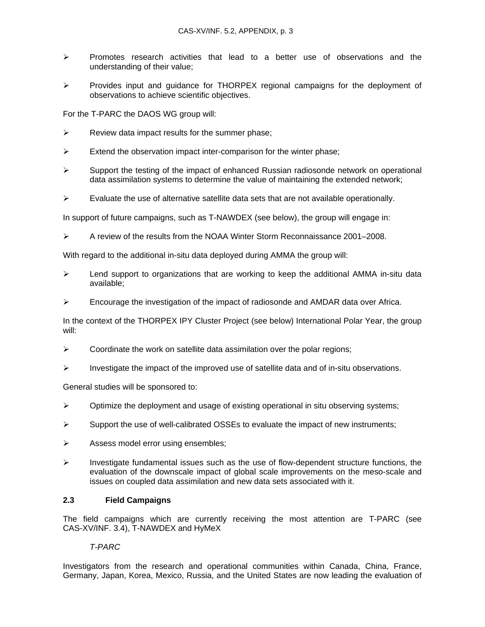- $\triangleright$  Promotes research activities that lead to a better use of observations and the understanding of their value;
- ¾ Provides input and guidance for THORPEX regional campaigns for the deployment of observations to achieve scientific objectives.

For the T-PARC the DAOS WG group will:

- $\triangleright$  Review data impact results for the summer phase;
- $\triangleright$  Extend the observation impact inter-comparison for the winter phase;
- $\triangleright$  Support the testing of the impact of enhanced Russian radiosonde network on operational data assimilation systems to determine the value of maintaining the extended network;
- $\triangleright$  Evaluate the use of alternative satellite data sets that are not available operationally.

In support of future campaigns, such as T-NAWDEX (see below), the group will engage in:

¾ A review of the results from the NOAA Winter Storm Reconnaissance 2001–2008.

With regard to the additional in-situ data deployed during AMMA the group will:

- $\triangleright$  Lend support to organizations that are working to keep the additional AMMA in-situ data available;
- $\triangleright$  Encourage the investigation of the impact of radiosonde and AMDAR data over Africa.

In the context of the THORPEX IPY Cluster Project (see below) International Polar Year, the group will:

- $\triangleright$  Coordinate the work on satellite data assimilation over the polar regions;
- $\triangleright$  Investigate the impact of the improved use of satellite data and of in-situ observations.

General studies will be sponsored to:

- $\triangleright$  Optimize the deployment and usage of existing operational in situ observing systems;
- $\triangleright$  Support the use of well-calibrated OSSEs to evaluate the impact of new instruments;
- ¾ Assess model error using ensembles;
- $\triangleright$  Investigate fundamental issues such as the use of flow-dependent structure functions, the evaluation of the downscale impact of global scale improvements on the meso-scale and issues on coupled data assimilation and new data sets associated with it.

#### **2.3 Field Campaigns**

The field campaigns which are currently receiving the most attention are T-PARC (see CAS-XV/INF. 3.4), T-NAWDEX and HyMeX

### *T-PARC*

Investigators from the research and operational communities within Canada, China, France, Germany, Japan, Korea, Mexico, Russia, and the United States are now leading the evaluation of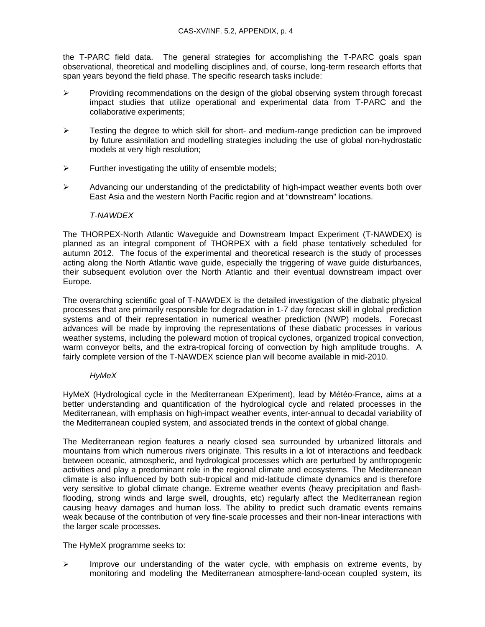the T-PARC field data. The general strategies for accomplishing the T-PARC goals span observational, theoretical and modelling disciplines and, of course, long-term research efforts that span years beyond the field phase. The specific research tasks include:

- $\triangleright$  Providing recommendations on the design of the global observing system through forecast impact studies that utilize operational and experimental data from T-PARC and the collaborative experiments;
- ¾ Testing the degree to which skill for short- and medium-range prediction can be improved by future assimilation and modelling strategies including the use of global non-hydrostatic models at very high resolution;
- $\triangleright$  Further investigating the utility of ensemble models;
- ¾ Advancing our understanding of the predictability of high-impact weather events both over East Asia and the western North Pacific region and at "downstream" locations.

#### *T-NAWDEX*

The THORPEX-North Atlantic Waveguide and Downstream Impact Experiment (T-NAWDEX) is planned as an integral component of THORPEX with a field phase tentatively scheduled for autumn 2012. The focus of the experimental and theoretical research is the study of processes acting along the North Atlantic wave guide, especially the triggering of wave guide disturbances, their subsequent evolution over the North Atlantic and their eventual downstream impact over Europe.

The overarching scientific goal of T-NAWDEX is the detailed investigation of the diabatic physical processes that are primarily responsible for degradation in 1-7 day forecast skill in global prediction systems and of their representation in numerical weather prediction (NWP) models. Forecast advances will be made by improving the representations of these diabatic processes in various weather systems, including the poleward motion of tropical cyclones, organized tropical convection, warm conveyor belts, and the extra-tropical forcing of convection by high amplitude troughs. A fairly complete version of the T-NAWDEX science plan will become available in mid-2010.

### *HyMeX*

HyMeX (Hydrological cycle in the Mediterranean EXperiment), lead by Météo-France, aims at a better understanding and quantification of the hydrological cycle and related processes in the Mediterranean, with emphasis on high-impact weather events, inter-annual to decadal variability of the Mediterranean coupled system, and associated trends in the context of global change.

The Mediterranean region features a nearly closed sea surrounded by urbanized littorals and mountains from which numerous rivers originate. This results in a lot of interactions and feedback between oceanic, atmospheric, and hydrological processes which are perturbed by anthropogenic activities and play a predominant role in the regional climate and ecosystems. The Mediterranean climate is also influenced by both sub-tropical and mid-latitude climate dynamics and is therefore very sensitive to global climate change. Extreme weather events (heavy precipitation and flashflooding, strong winds and large swell, droughts, etc) regularly affect the Mediterranean region causing heavy damages and human loss. The ability to predict such dramatic events remains weak because of the contribution of very fine-scale processes and their non-linear interactions with the larger scale processes.

The HyMeX programme seeks to:

 $\triangleright$  Improve our understanding of the water cycle, with emphasis on extreme events, by monitoring and modeling the Mediterranean atmosphere-land-ocean coupled system, its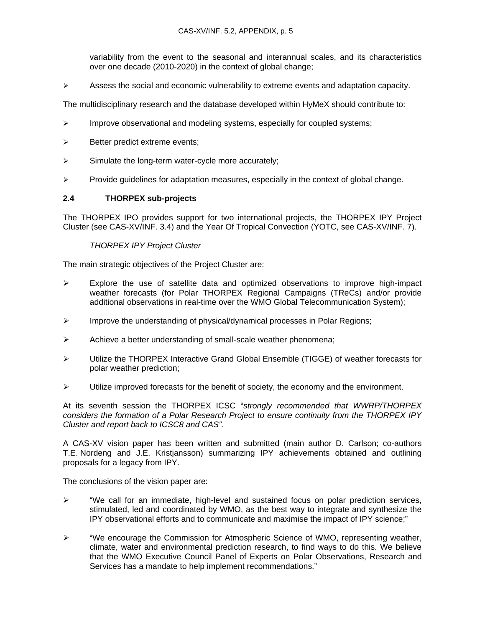variability from the event to the seasonal and interannual scales, and its characteristics over one decade (2010-2020) in the context of global change;

 $\triangleright$  Assess the social and economic vulnerability to extreme events and adaptation capacity.

The multidisciplinary research and the database developed within HyMeX should contribute to:

- $\triangleright$  Improve observational and modeling systems, especially for coupled systems;
- $\triangleright$  Better predict extreme events;
- $\triangleright$  Simulate the long-term water-cycle more accurately;
- $\triangleright$  Provide guidelines for adaptation measures, especially in the context of global change.

### **2.4 THORPEX sub-projects**

The THORPEX IPO provides support for two international projects, the THORPEX IPY Project Cluster (see CAS-XV/INF. 3.4) and the Year Of Tropical Convection (YOTC, see CAS-XV/INF. 7).

### *THORPEX IPY Project Cluster*

The main strategic objectives of the Project Cluster are:

- $\triangleright$  Explore the use of satellite data and optimized observations to improve high-impact weather forecasts (for Polar THORPEX Regional Campaigns (TReCs) and/or provide additional observations in real-time over the WMO Global Telecommunication System);
- ¾ Improve the understanding of physical/dynamical processes in Polar Regions;
- $\triangleright$  Achieve a better understanding of small-scale weather phenomena;
- ¾ Utilize the THORPEX Interactive Grand Global Ensemble (TIGGE) of weather forecasts for polar weather prediction;
- $\blacktriangleright$  Utilize improved forecasts for the benefit of society, the economy and the environment.

At its seventh session the THORPEX ICSC "*strongly recommended that WWRP/THORPEX considers the formation of a Polar Research Project to ensure continuity from the THORPEX IPY Cluster and report back to ICSC8 and CAS".* 

A CAS-XV vision paper has been written and submitted (main author D. Carlson; co-authors T.E. Nordeng and J.E. Kristjansson) summarizing IPY achievements obtained and outlining proposals for a legacy from IPY.

The conclusions of the vision paper are:

- $\triangleright$  "We call for an immediate, high-level and sustained focus on polar prediction services, stimulated, led and coordinated by WMO, as the best way to integrate and synthesize the IPY observational efforts and to communicate and maximise the impact of IPY science;"
- ¾ "We encourage the Commission for Atmospheric Science of WMO, representing weather, climate, water and environmental prediction research, to find ways to do this. We believe that the WMO Executive Council Panel of Experts on Polar Observations, Research and Services has a mandate to help implement recommendations."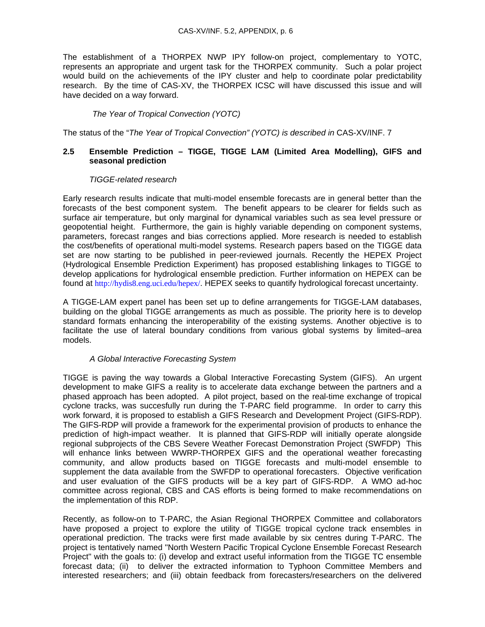The establishment of a THORPEX NWP IPY follow-on project, complementary to YOTC, represents an appropriate and urgent task for the THORPEX community. Such a polar project would build on the achievements of the IPY cluster and help to coordinate polar predictability research. By the time of CAS-XV, the THORPEX ICSC will have discussed this issue and will have decided on a way forward.

### *The Year of Tropical Convection (YOTC)*

The status of the "*The Year of Tropical Convection" (YOTC) is described in* CAS-XV/INF. 7

### **2.5 Ensemble Prediction – TIGGE, TIGGE LAM (Limited Area Modelling), GIFS and seasonal prediction**

#### *TIGGE-related research*

Early research results indicate that multi-model ensemble forecasts are in general better than the forecasts of the best component system. The benefit appears to be clearer for fields such as surface air temperature, but only marginal for dynamical variables such as sea level pressure or geopotential height. Furthermore, the gain is highly variable depending on component systems, parameters, forecast ranges and bias corrections applied. More research is needed to establish the cost/benefits of operational multi-model systems. Research papers based on the TIGGE data set are now starting to be published in peer-reviewed journals. Recently the HEPEX Project (Hydrological Ensemble Prediction Experiment) has proposed establishing linkages to TIGGE to develop applications for hydrological ensemble prediction. Further information on HEPEX can be found at http://hydis8.eng.uci.edu/hepex/. HEPEX seeks to quantify hydrological forecast uncertainty.

A TIGGE-LAM expert panel has been set up to define arrangements for TIGGE-LAM databases, building on the global TIGGE arrangements as much as possible. The priority here is to develop standard formats enhancing the interoperability of the existing systems. Another objective is to facilitate the use of lateral boundary conditions from various global systems by limited–area models.

### *A Global Interactive Forecasting System*

TIGGE is paving the way towards a Global Interactive Forecasting System (GIFS). An urgent development to make GIFS a reality is to accelerate data exchange between the partners and a phased approach has been adopted. A pilot project, based on the real-time exchange of tropical cyclone tracks, was succesfully run during the T-PARC field programme. In order to carry this work forward, it is proposed to establish a GIFS Research and Development Project (GIFS-RDP). The GIFS-RDP will provide a framework for the experimental provision of products to enhance the prediction of high-impact weather. It is planned that GIFS-RDP will initially operate alongside regional subprojects of the CBS Severe Weather Forecast Demonstration Project (SWFDP) This will enhance links between WWRP-THORPEX GIFS and the operational weather forecasting community, and allow products based on TIGGE forecasts and multi-model ensemble to supplement the data available from the SWFDP to operational forecasters. Objective verification and user evaluation of the GIFS products will be a key part of GIFS-RDP. A WMO ad-hoc committee across regional, CBS and CAS efforts is being formed to make recommendations on the implementation of this RDP.

Recently, as follow-on to T-PARC, the Asian Regional THORPEX Committee and collaborators have proposed a project to explore the utility of TIGGE tropical cyclone track ensembles in operational prediction. The tracks were first made available by six centres during T-PARC. The project is tentatively named "North Western Pacific Tropical Cyclone Ensemble Forecast Research Project" with the goals to: (i) develop and extract useful information from the TIGGE TC ensemble forecast data; (ii) to deliver the extracted information to Typhoon Committee Members and interested researchers; and (iii) obtain feedback from forecasters/researchers on the delivered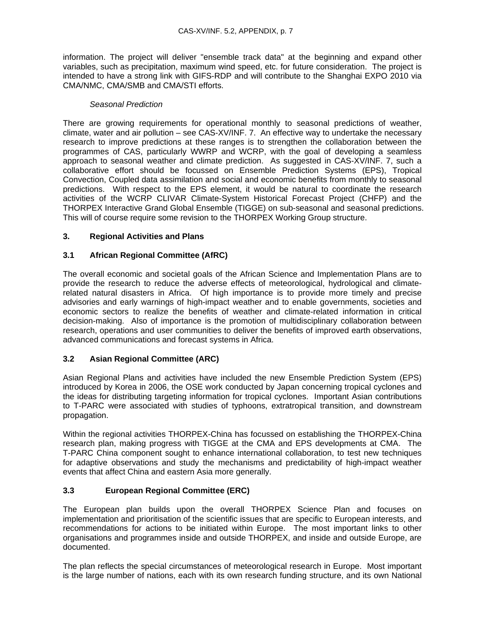information. The project will deliver "ensemble track data" at the beginning and expand other variables, such as precipitation, maximum wind speed, etc. for future consideration. The project is intended to have a strong link with GIFS-RDP and will contribute to the Shanghai EXPO 2010 via CMA/NMC, CMA/SMB and CMA/STI efforts.

#### *Seasonal Prediction*

There are growing requirements for operational monthly to seasonal predictions of weather, climate, water and air pollution – see CAS-XV/INF. 7. An effective way to undertake the necessary research to improve predictions at these ranges is to strengthen the collaboration between the programmes of CAS, particularly WWRP and WCRP, with the goal of developing a seamless approach to seasonal weather and climate prediction. As suggested in CAS-XV/INF. 7, such a collaborative effort should be focussed on Ensemble Prediction Systems (EPS), Tropical Convection, Coupled data assimilation and social and economic benefits from monthly to seasonal predictions. With respect to the EPS element, it would be natural to coordinate the research activities of the WCRP CLIVAR Climate-System Historical Forecast Project (CHFP) and the THORPEX Interactive Grand Global Ensemble (TIGGE) on sub-seasonal and seasonal predictions. This will of course require some revision to the THORPEX Working Group structure.

### **3. Regional Activities and Plans**

### **3.1 African Regional Committee (AfRC)**

The overall economic and societal goals of the African Science and Implementation Plans are to provide the research to reduce the adverse effects of meteorological, hydrological and climaterelated natural disasters in Africa. Of high importance is to provide more timely and precise advisories and early warnings of high-impact weather and to enable governments, societies and economic sectors to realize the benefits of weather and climate-related information in critical decision-making. Also of importance is the promotion of multidisciplinary collaboration between research, operations and user communities to deliver the benefits of improved earth observations, advanced communications and forecast systems in Africa.

### **3.2 Asian Regional Committee (ARC)**

Asian Regional Plans and activities have included the new Ensemble Prediction System (EPS) introduced by Korea in 2006, the OSE work conducted by Japan concerning tropical cyclones and the ideas for distributing targeting information for tropical cyclones. Important Asian contributions to T-PARC were associated with studies of typhoons, extratropical transition, and downstream propagation.

Within the regional activities THORPEX-China has focussed on establishing the THORPEX-China research plan, making progress with TIGGE at the CMA and EPS developments at CMA. The T-PARC China component sought to enhance international collaboration, to test new techniques for adaptive observations and study the mechanisms and predictability of high-impact weather events that affect China and eastern Asia more generally.

### **3.3 European Regional Committee (ERC)**

The European plan builds upon the overall THORPEX Science Plan and focuses on implementation and prioritisation of the scientific issues that are specific to European interests, and recommendations for actions to be initiated within Europe. The most important links to other organisations and programmes inside and outside THORPEX, and inside and outside Europe, are documented.

The plan reflects the special circumstances of meteorological research in Europe. Most important is the large number of nations, each with its own research funding structure, and its own National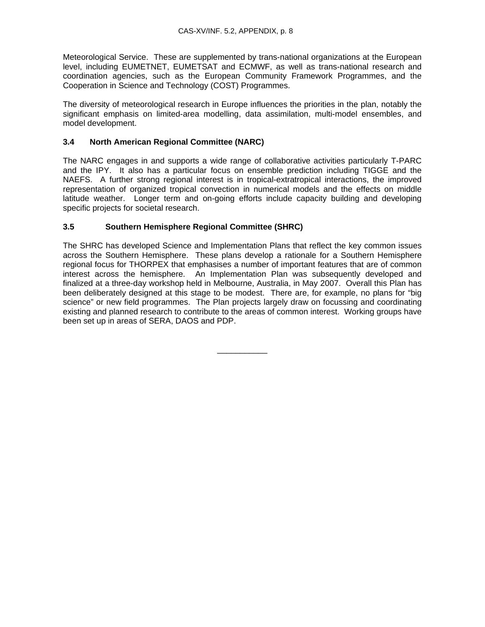Meteorological Service. These are supplemented by trans-national organizations at the European level, including EUMETNET, EUMETSAT and ECMWF, as well as trans-national research and coordination agencies, such as the European Community Framework Programmes, and the Cooperation in Science and Technology (COST) Programmes.

The diversity of meteorological research in Europe influences the priorities in the plan, notably the significant emphasis on limited-area modelling, data assimilation, multi-model ensembles, and model development.

## **3.4 North American Regional Committee (NARC)**

The NARC engages in and supports a wide range of collaborative activities particularly T-PARC and the IPY. It also has a particular focus on ensemble prediction including TIGGE and the NAEFS. A further strong regional interest is in tropical-extratropical interactions, the improved representation of organized tropical convection in numerical models and the effects on middle latitude weather. Longer term and on-going efforts include capacity building and developing specific projects for societal research.

## **3.5 Southern Hemisphere Regional Committee (SHRC)**

The SHRC has developed Science and Implementation Plans that reflect the key common issues across the Southern Hemisphere. These plans develop a rationale for a Southern Hemisphere regional focus for THORPEX that emphasises a number of important features that are of common interest across the hemisphere. An Implementation Plan was subsequently developed and finalized at a three-day workshop held in Melbourne, Australia, in May 2007. Overall this Plan has been deliberately designed at this stage to be modest. There are, for example, no plans for "big science" or new field programmes. The Plan projects largely draw on focussing and coordinating existing and planned research to contribute to the areas of common interest. Working groups have been set up in areas of SERA, DAOS and PDP.

\_\_\_\_\_\_\_\_\_\_\_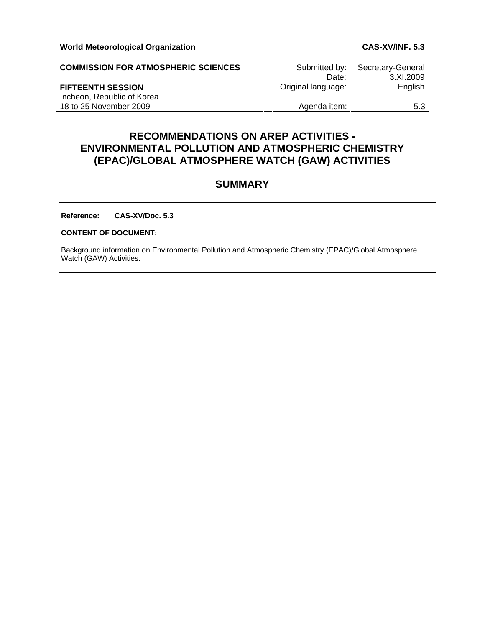| <b>COMMISSION FOR ATMOSPHERIC SCIENCES</b> | Submitted by:      | Secretary-General |
|--------------------------------------------|--------------------|-------------------|
|                                            | Date:              | 3.XL2009          |
| <b>FIFTEENTH SESSION</b>                   | Original language: | <b>English</b>    |
| Incheon, Republic of Korea                 |                    |                   |
| 18 to 25 November 2009                     | Agenda item:       | 5.3               |

# **RECOMMENDATIONS ON AREP ACTIVITIES - ENVIRONMENTAL POLLUTION AND ATMOSPHERIC CHEMISTRY (EPAC)/GLOBAL ATMOSPHERE WATCH (GAW) ACTIVITIES**

# **SUMMARY**

**Reference: CAS-XV/Doc. 5.3**

#### **CONTENT OF DOCUMENT:**

Background information on Environmental Pollution and Atmospheric Chemistry (EPAC)/Global Atmosphere Watch (GAW) Activities.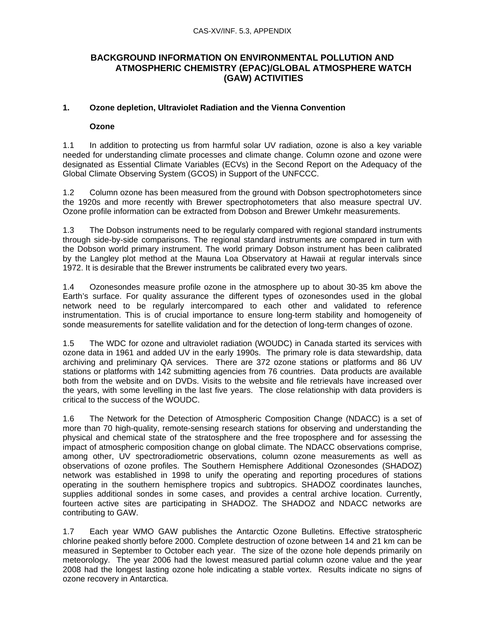# **BACKGROUND INFORMATION ON ENVIRONMENTAL POLLUTION AND ATMOSPHERIC CHEMISTRY (EPAC)/GLOBAL ATMOSPHERE WATCH (GAW) ACTIVITIES**

## **1. Ozone depletion, Ultraviolet Radiation and the Vienna Convention**

## **Ozone**

1.1 In addition to protecting us from harmful solar UV radiation, ozone is also a key variable needed for understanding climate processes and climate change. Column ozone and ozone were designated as Essential Climate Variables (ECVs) in the Second Report on the Adequacy of the Global Climate Observing System (GCOS) in Support of the UNFCCC.

1.2 Column ozone has been measured from the ground with Dobson spectrophotometers since the 1920s and more recently with Brewer spectrophotometers that also measure spectral UV. Ozone profile information can be extracted from Dobson and Brewer Umkehr measurements.

1.3 The Dobson instruments need to be regularly compared with regional standard instruments through side-by-side comparisons. The regional standard instruments are compared in turn with the Dobson world primary instrument. The world primary Dobson instrument has been calibrated by the Langley plot method at the Mauna Loa Observatory at Hawaii at regular intervals since 1972. It is desirable that the Brewer instruments be calibrated every two years.

1.4 Ozonesondes measure profile ozone in the atmosphere up to about 30-35 km above the Earth's surface. For quality assurance the different types of ozonesondes used in the global network need to be regularly intercompared to each other and validated to reference instrumentation. This is of crucial importance to ensure long-term stability and homogeneity of sonde measurements for satellite validation and for the detection of long-term changes of ozone.

1.5 The WDC for ozone and ultraviolet radiation (WOUDC) in Canada started its services with ozone data in 1961 and added UV in the early 1990s. The primary role is data stewardship, data archiving and preliminary QA services. There are 372 ozone stations or platforms and 86 UV stations or platforms with 142 submitting agencies from 76 countries. Data products are available both from the website and on DVDs. Visits to the website and file retrievals have increased over the years, with some levelling in the last five years. The close relationship with data providers is critical to the success of the WOUDC.

1.6 The Network for the Detection of Atmospheric Composition Change (NDACC) is a set of more than 70 high-quality, remote-sensing research stations for observing and understanding the physical and chemical state of the stratosphere and the free troposphere and for assessing the impact of atmospheric composition change on global climate. The NDACC observations comprise, among other, UV spectroradiometric observations, column ozone measurements as well as observations of ozone profiles. The Southern Hemisphere Additional Ozonesondes (SHADOZ) network was established in 1998 to unify the operating and reporting procedures of stations operating in the southern hemisphere tropics and subtropics. SHADOZ coordinates launches, supplies additional sondes in some cases, and provides a central archive location. Currently, fourteen active sites are participating in SHADOZ. The SHADOZ and NDACC networks are contributing to GAW.

1.7 Each year WMO GAW publishes the Antarctic Ozone Bulletins. Effective stratospheric chlorine peaked shortly before 2000. Complete destruction of ozone between 14 and 21 km can be measured in September to October each year. The size of the ozone hole depends primarily on meteorology. The year 2006 had the lowest measured partial column ozone value and the year 2008 had the longest lasting ozone hole indicating a stable vortex. Results indicate no signs of ozone recovery in Antarctica.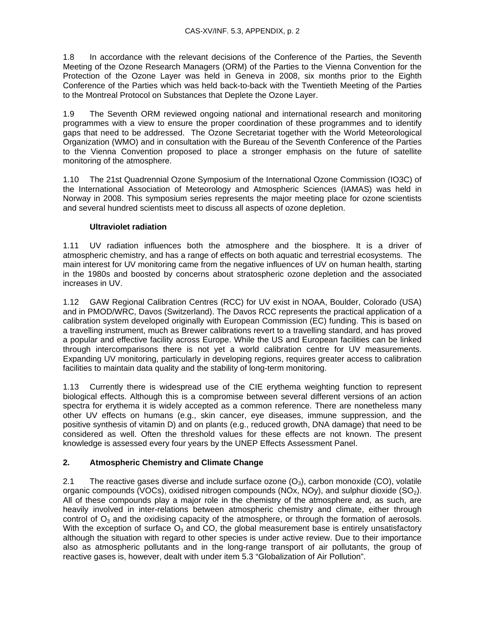1.8 In accordance with the relevant decisions of the Conference of the Parties, the Seventh Meeting of the Ozone Research Managers (ORM) of the Parties to the Vienna Convention for the Protection of the Ozone Layer was held in Geneva in 2008, six months prior to the Eighth Conference of the Parties which was held back-to-back with the Twentieth Meeting of the Parties to the Montreal Protocol on Substances that Deplete the Ozone Layer.

1.9 The Seventh ORM reviewed ongoing national and international research and monitoring programmes with a view to ensure the proper coordination of these programmes and to identify gaps that need to be addressed. The Ozone Secretariat together with the World Meteorological Organization (WMO) and in consultation with the Bureau of the Seventh Conference of the Parties to the Vienna Convention proposed to place a stronger emphasis on the future of satellite monitoring of the atmosphere.

1.10 The 21st Quadrennial Ozone Symposium of the International Ozone Commission (IO3C) of the International Association of Meteorology and Atmospheric Sciences (IAMAS) was held in Norway in 2008. This symposium series represents the major meeting place for ozone scientists and several hundred scientists meet to discuss all aspects of ozone depletion.

## **Ultraviolet radiation**

1.11 UV radiation influences both the atmosphere and the biosphere. It is a driver of atmospheric chemistry, and has a range of effects on both aquatic and terrestrial ecosystems. The main interest for UV monitoring came from the negative influences of UV on human health, starting in the 1980s and boosted by concerns about stratospheric ozone depletion and the associated increases in UV.

1.12 GAW Regional Calibration Centres (RCC) for UV exist in NOAA, Boulder, Colorado (USA) and in PMOD/WRC, Davos (Switzerland). The Davos RCC represents the practical application of a calibration system developed originally with European Commission (EC) funding. This is based on a travelling instrument, much as Brewer calibrations revert to a travelling standard, and has proved a popular and effective facility across Europe. While the US and European facilities can be linked through intercomparisons there is not yet a world calibration centre for UV measurements. Expanding UV monitoring, particularly in developing regions, requires greater access to calibration facilities to maintain data quality and the stability of long-term monitoring.

1.13 Currently there is widespread use of the CIE erythema weighting function to represent biological effects. Although this is a compromise between several different versions of an action spectra for erythema it is widely accepted as a common reference. There are nonetheless many other UV effects on humans (e.g., skin cancer, eye diseases, immune suppression, and the positive synthesis of vitamin D) and on plants (e.g., reduced growth, DNA damage) that need to be considered as well. Often the threshold values for these effects are not known. The present knowledge is assessed every four years by the UNEP Effects Assessment Panel.

## **2. Atmospheric Chemistry and Climate Change**

2.1 The reactive gases diverse and include surface ozone  $(O_3)$ , carbon monoxide (CO), volatile organic compounds (VOCs), oxidised nitrogen compounds (NOx, NOy), and sulphur dioxide (SO<sub>2</sub>). All of these compounds play a major role in the chemistry of the atmosphere and, as such, are heavily involved in inter-relations between atmospheric chemistry and climate, either through control of  $O_3$  and the oxidising capacity of the atmosphere, or through the formation of aerosols. With the exception of surface  $O_3$  and CO, the global measurement base is entirely unsatisfactory although the situation with regard to other species is under active review. Due to their importance also as atmospheric pollutants and in the long-range transport of air pollutants, the group of reactive gases is, however, dealt with under item 5.3 "Globalization of Air Pollution".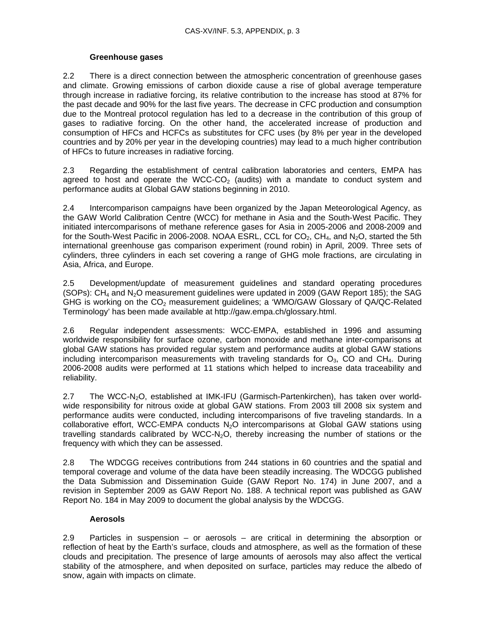## **Greenhouse gases**

2.2 There is a direct connection between the atmospheric concentration of greenhouse gases and climate. Growing emissions of carbon dioxide cause a rise of global average temperature through increase in radiative forcing, its relative contribution to the increase has stood at 87% for the past decade and 90% for the last five years. The decrease in CFC production and consumption due to the Montreal protocol regulation has led to a decrease in the contribution of this group of gases to radiative forcing. On the other hand, the accelerated increase of production and consumption of HFCs and HCFCs as substitutes for CFC uses (by 8% per year in the developed countries and by 20% per year in the developing countries) may lead to a much higher contribution of HFCs to future increases in radiative forcing.

2.3 Regarding the establishment of central calibration laboratories and centers, EMPA has agreed to host and operate the WCC-CO<sub>2</sub> (audits) with a mandate to conduct system and performance audits at Global GAW stations beginning in 2010.

2.4 Intercomparison campaigns have been organized by the Japan Meteorological Agency, as the GAW World Calibration Centre (WCC) for methane in Asia and the South-West Pacific. They initiated intercomparisons of methane reference gases for Asia in 2005-2006 and 2008-2009 and for the South-West Pacific in 2006-2008. NOAA ESRL, CCL for  $CO<sub>2</sub>$ , CH<sub>4</sub>, and N<sub>2</sub>O, started the 5th international greenhouse gas comparison experiment (round robin) in April, 2009. Three sets of cylinders, three cylinders in each set covering a range of GHG mole fractions, are circulating in Asia, Africa, and Europe.

2.5 Development/update of measurement guidelines and standard operating procedures (SOPs):  $CH<sub>4</sub>$  and N<sub>2</sub>O measurement guidelines were updated in 2009 (GAW Report 185); the SAG GHG is working on the  $CO<sub>2</sub>$  measurement guidelines; a 'WMO/GAW Glossary of QA/QC-Related Terminology' has been made available at http://gaw.empa.ch/glossary.html.

2.6 Regular independent assessments: WCC-EMPA, established in 1996 and assuming worldwide responsibility for surface ozone, carbon monoxide and methane inter-comparisons at global GAW stations has provided regular system and performance audits at global GAW stations including intercomparison measurements with traveling standards for  $O_3$ , CO and CH<sub>4</sub>. During 2006-2008 audits were performed at 11 stations which helped to increase data traceability and reliability.

2.7 The WCC-N<sub>2</sub>O, established at IMK-IFU (Garmisch-Partenkirchen), has taken over worldwide responsibility for nitrous oxide at global GAW stations. From 2003 till 2008 six system and performance audits were conducted, including intercomparisons of five traveling standards. In a collaborative effort, WCC-EMPA conducts N<sub>2</sub>O intercomparisons at Global GAW stations using travelling standards calibrated by WCC-N<sub>2</sub>O, thereby increasing the number of stations or the frequency with which they can be assessed.

2.8 The WDCGG receives contributions from 244 stations in 60 countries and the spatial and temporal coverage and volume of the data have been steadily increasing. The WDCGG published the Data Submission and Dissemination Guide (GAW Report No. 174) in June 2007, and a revision in September 2009 as GAW Report No. 188. A technical report was published as GAW Report No. 184 in May 2009 to document the global analysis by the WDCGG.

## **Aerosols**

2.9 Particles in suspension – or aerosols – are critical in determining the absorption or reflection of heat by the Earth's surface, clouds and atmosphere, as well as the formation of these clouds and precipitation. The presence of large amounts of aerosols may also affect the vertical stability of the atmosphere, and when deposited on surface, particles may reduce the albedo of snow, again with impacts on climate.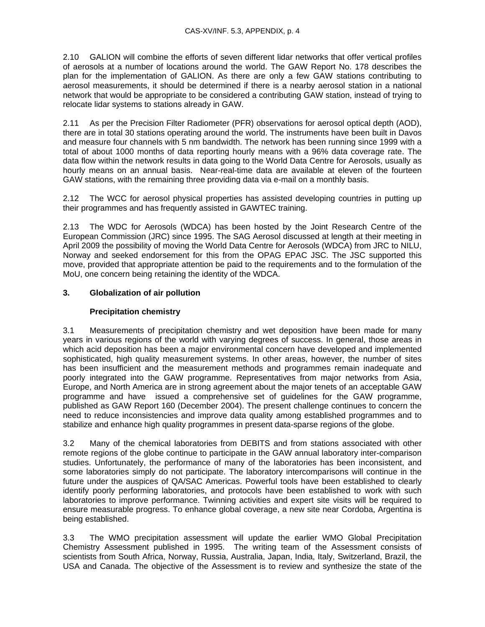2.10 GALION will combine the efforts of seven different lidar networks that offer vertical profiles of aerosols at a number of locations around the world. The GAW Report No. 178 describes the plan for the implementation of GALION. As there are only a few GAW stations contributing to aerosol measurements, it should be determined if there is a nearby aerosol station in a national network that would be appropriate to be considered a contributing GAW station, instead of trying to relocate lidar systems to stations already in GAW.

2.11 As per the Precision Filter Radiometer (PFR) observations for aerosol optical depth (AOD), there are in total 30 stations operating around the world. The instruments have been built in Davos and measure four channels with 5 nm bandwidth. The network has been running since 1999 with a total of about 1000 months of data reporting hourly means with a 96% data coverage rate. The data flow within the network results in data going to the World Data Centre for Aerosols, usually as hourly means on an annual basis. Near-real-time data are available at eleven of the fourteen GAW stations, with the remaining three providing data via e-mail on a monthly basis.

2.12 The WCC for aerosol physical properties has assisted developing countries in putting up their programmes and has frequently assisted in GAWTEC training.

2.13 The WDC for Aerosols (WDCA) has been hosted by the Joint Research Centre of the European Commission (JRC) since 1995. The SAG Aerosol discussed at length at their meeting in April 2009 the possibility of moving the World Data Centre for Aerosols (WDCA) from JRC to NILU, Norway and seeked endorsement for this from the OPAG EPAC JSC. The JSC supported this move, provided that appropriate attention be paid to the requirements and to the formulation of the MoU, one concern being retaining the identity of the WDCA.

## **3. Globalization of air pollution**

## **Precipitation chemistry**

3.1 Measurements of precipitation chemistry and wet deposition have been made for many years in various regions of the world with varying degrees of success. In general, those areas in which acid deposition has been a major environmental concern have developed and implemented sophisticated, high quality measurement systems. In other areas, however, the number of sites has been insufficient and the measurement methods and programmes remain inadequate and poorly integrated into the GAW programme. Representatives from major networks from Asia, Europe, and North America are in strong agreement about the major tenets of an acceptable GAW programme and have issued a comprehensive set of guidelines for the GAW programme, published as GAW Report 160 (December 2004). The present challenge continues to concern the need to reduce inconsistencies and improve data quality among established programmes and to stabilize and enhance high quality programmes in present data-sparse regions of the globe.

3.2 Many of the chemical laboratories from DEBITS and from stations associated with other remote regions of the globe continue to participate in the GAW annual laboratory inter-comparison studies. Unfortunately, the performance of many of the laboratories has been inconsistent, and some laboratories simply do not participate. The laboratory intercomparisons will continue in the future under the auspices of QA/SAC Americas. Powerful tools have been established to clearly identify poorly performing laboratories, and protocols have been established to work with such laboratories to improve performance. Twinning activities and expert site visits will be required to ensure measurable progress. To enhance global coverage, a new site near Cordoba, Argentina is being established.

3.3 The WMO precipitation assessment will update the earlier WMO Global Precipitation Chemistry Assessment published in 1995. The writing team of the Assessment consists of scientists from South Africa, Norway, Russia, Australia, Japan, India, Italy, Switzerland, Brazil, the USA and Canada. The objective of the Assessment is to review and synthesize the state of the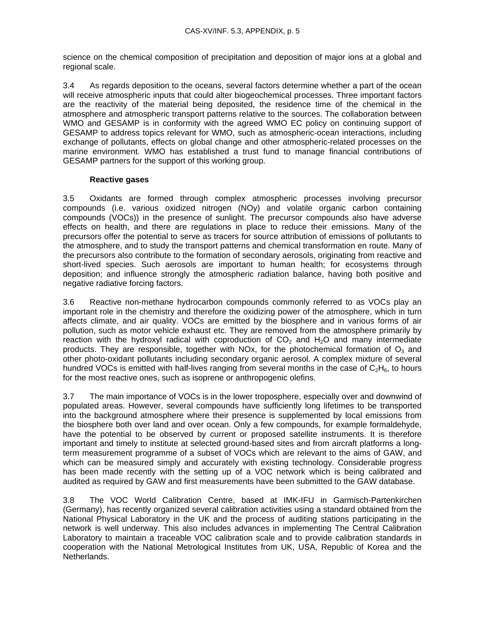science on the chemical composition of precipitation and deposition of major ions at a global and regional scale.

3.4 As regards deposition to the oceans, several factors determine whether a part of the ocean will receive atmospheric inputs that could alter biogeochemical processes. Three important factors are the reactivity of the material being deposited, the residence time of the chemical in the atmosphere and atmospheric transport patterns relative to the sources. The collaboration between WMO and GESAMP is in conformity with the agreed WMO EC policy on continuing support of GESAMP to address topics relevant for WMO, such as atmospheric-ocean interactions, including exchange of pollutants, effects on global change and other atmospheric-related processes on the marine environment. WMO has established a trust fund to manage financial contributions of GESAMP partners for the support of this working group.

#### **Reactive gases**

3.5 Oxidants are formed through complex atmospheric processes involving precursor compounds (i.e. various oxidized nitrogen (NOy) and volatile organic carbon containing compounds (VOCs)) in the presence of sunlight. The precursor compounds also have adverse effects on health, and there are regulations in place to reduce their emissions. Many of the precursors offer the potential to serve as tracers for source attribution of emissions of pollutants to the atmosphere, and to study the transport patterns and chemical transformation en route. Many of the precursors also contribute to the formation of secondary aerosols, originating from reactive and short-lived species. Such aerosols are important to human health; for ecosystems through deposition; and influence strongly the atmospheric radiation balance, having both positive and negative radiative forcing factors.

3.6 Reactive non-methane hydrocarbon compounds commonly referred to as VOCs play an important role in the chemistry and therefore the oxidizing power of the atmosphere, which in turn affects climate, and air quality. VOCs are emitted by the biosphere and in various forms of air pollution, such as motor vehicle exhaust etc. They are removed from the atmosphere primarily by reaction with the hydroxyl radical with coproduction of  $CO<sub>2</sub>$  and H<sub>2</sub>O and many intermediate products. They are responsible, together with NOx, for the photochemical formation of  $O_3$  and other photo-oxidant pollutants including secondary organic aerosol. A complex mixture of several hundred VOCs is emitted with half-lives ranging from several months in the case of  $C_2H_6$ , to hours for the most reactive ones, such as isoprene or anthropogenic olefins.

3.7 The main importance of VOCs is in the lower troposphere, especially over and downwind of populated areas. However, several compounds have sufficiently long lifetimes to be transported into the background atmosphere where their presence is supplemented by local emissions from the biosphere both over land and over ocean. Only a few compounds, for example formaldehyde, have the potential to be observed by current or proposed satellite instruments. It is therefore important and timely to institute at selected ground-based sites and from aircraft platforms a longterm measurement programme of a subset of VOCs which are relevant to the aims of GAW, and which can be measured simply and accurately with existing technology. Considerable progress has been made recently with the setting up of a VOC network which is being calibrated and audited as required by GAW and first measurements have been submitted to the GAW database.

3.8 The VOC World Calibration Centre, based at IMK-IFU in Garmisch-Partenkirchen (Germany), has recently organized several calibration activities using a standard obtained from the National Physical Laboratory in the UK and the process of auditing stations participating in the network is well underway. This also includes advances in implementing The Central Calibration Laboratory to maintain a traceable VOC calibration scale and to provide calibration standards in cooperation with the National Metrological Institutes from UK, USA, Republic of Korea and the Netherlands.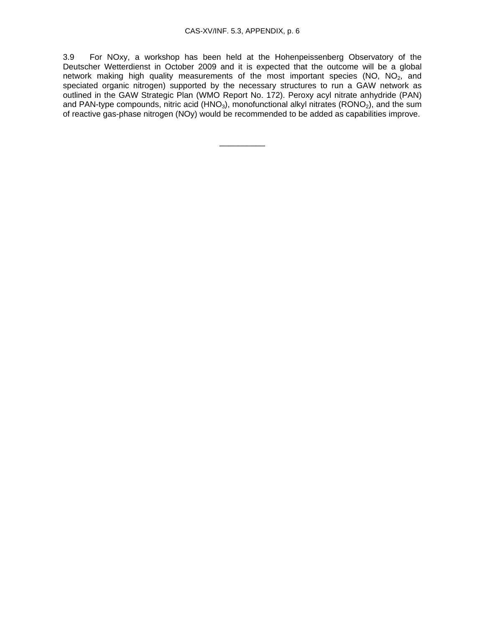3.9 For NOxy, a workshop has been held at the Hohenpeissenberg Observatory of the Deutscher Wetterdienst in October 2009 and it is expected that the outcome will be a global network making high quality measurements of the most important species (NO,  $NO<sub>2</sub>$ , and speciated organic nitrogen) supported by the necessary structures to run a GAW network as outlined in the GAW Strategic Plan (WMO Report No. 172). Peroxy acyl nitrate anhydride (PAN) and PAN-type compounds, nitric acid (HNO<sub>3</sub>), monofunctional alkyl nitrates (RONO<sub>2</sub>), and the sum of reactive gas-phase nitrogen (NOy) would be recommended to be added as capabilities improve.

\_\_\_\_\_\_\_\_\_\_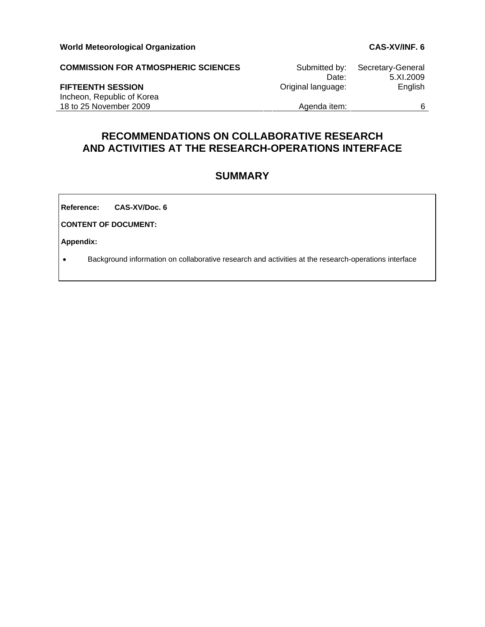| <b>COMMISSION FOR ATMOSPHERIC SCIENCES</b>           | Submitted by:<br>Date: | Secretary-General<br>5.XI.2009 |
|------------------------------------------------------|------------------------|--------------------------------|
| <b>FIFTEENTH SESSION</b>                             | Original language:     | English                        |
| Incheon, Republic of Korea<br>18 to 25 November 2009 | Agenda item:           | 6                              |

# **RECOMMENDATIONS ON COLLABORATIVE RESEARCH AND ACTIVITIES AT THE RESEARCH-OPERATIONS INTERFACE**

# **SUMMARY**

**Reference: CAS-XV/Doc. 6**

**CONTENT OF DOCUMENT:** 

**Appendix:** 

• Background information on collaborative research and activities at the research-operations interface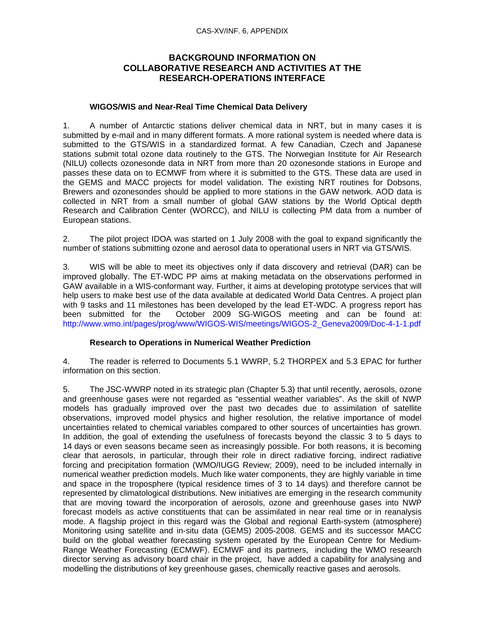#### CAS-XV/INF. 6, APPENDIX

## **BACKGROUND INFORMATION ON COLLABORATIVE RESEARCH AND ACTIVITIES AT THE RESEARCH-OPERATIONS INTERFACE**

#### **WIGOS/WIS and Near-Real Time Chemical Data Delivery**

1. A number of Antarctic stations deliver chemical data in NRT, but in many cases it is submitted by e-mail and in many different formats. A more rational system is needed where data is submitted to the GTS/WIS in a standardized format. A few Canadian, Czech and Japanese stations submit total ozone data routinely to the GTS. The Norwegian Institute for Air Research (NILU) collects ozonesonde data in NRT from more than 20 ozonesonde stations in Europe and passes these data on to ECMWF from where it is submitted to the GTS. These data are used in the GEMS and MACC projects for model validation. The existing NRT routines for Dobsons, Brewers and ozonesondes should be applied to more stations in the GAW network. AOD data is collected in NRT from a small number of global GAW stations by the World Optical depth Research and Calibration Center (WORCC), and NILU is collecting PM data from a number of European stations.

2. The pilot project IDOA was started on 1 July 2008 with the goal to expand significantly the number of stations submitting ozone and aerosol data to operational users in NRT via GTS/WIS.

3. WIS will be able to meet its objectives only if data discovery and retrieval (DAR) can be improved globally. The ET-WDC PP aims at making metadata on the observations performed in GAW available in a WIS-conformant way. Further, it aims at developing prototype services that will help users to make best use of the data available at dedicated World Data Centres. A project plan with 9 tasks and 11 milestones has been developed by the lead ET-WDC. A progress report has been submitted for the October 2009 SG-WIGOS meeting and can be found at: http://www.wmo.int/pages/prog/www/WIGOS-WIS/meetings/WIGOS-2\_Geneva2009/Doc-4-1-1.pdf

#### **Research to Operations in Numerical Weather Prediction**

4. The reader is referred to Documents 5.1 WWRP, 5.2 THORPEX and 5.3 EPAC for further information on this section.

5. The JSC-WWRP noted in its strategic plan (Chapter 5.3) that until recently, aerosols, ozone and greenhouse gases were not regarded as "essential weather variables". As the skill of NWP models has gradually improved over the past two decades due to assimilation of satellite observations, improved model physics and higher resolution, the relative importance of model uncertainties related to chemical variables compared to other sources of uncertainties has grown. In addition, the goal of extending the usefulness of forecasts beyond the classic 3 to 5 days to 14 days or even seasons became seen as increasingly possible. For both reasons, it is becoming clear that aerosols, in particular, through their role in direct radiative forcing, indirect radiative forcing and precipitation formation (WMO/IUGG Review; 2009), need to be included internally in numerical weather prediction models. Much like water components, they are highly variable in time and space in the troposphere (typical residence times of 3 to 14 days) and therefore cannot be represented by climatological distributions. New initiatives are emerging in the research community that are moving toward the incorporation of aerosols, ozone and greenhouse gases into NWP forecast models as active constituents that can be assimilated in near real time or in reanalysis mode. A flagship project in this regard was the Global and regional Earth-system (atmosphere) Monitoring using satellite and in-situ data (GEMS) 2005-2008. GEMS and its successor MACC build on the global weather forecasting system operated by the European Centre for Medium-Range Weather Forecasting (ECMWF). ECMWF and its partners, including the WMO research director serving as advisory board chair in the project, have added a capability for analysing and modelling the distributions of key greenhouse gases, chemically reactive gases and aerosols.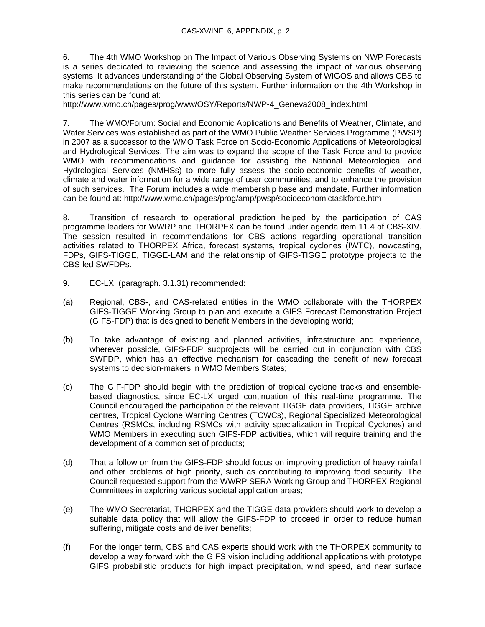6. The 4th WMO Workshop on The Impact of Various Observing Systems on NWP Forecasts is a series dedicated to reviewing the science and assessing the impact of various observing systems. It advances understanding of the Global Observing System of WIGOS and allows CBS to make recommendations on the future of this system. Further information on the 4th Workshop in this series can be found at:

http://www.wmo.ch/pages/prog/www/OSY/Reports/NWP-4\_Geneva2008\_index.html

7. The WMO/Forum: Social and Economic Applications and Benefits of Weather, Climate, and Water Services was established as part of the WMO Public Weather Services Programme (PWSP) in 2007 as a successor to the WMO Task Force on Socio-Economic Applications of Meteorological and Hydrological Services. The aim was to expand the scope of the Task Force and to provide WMO with recommendations and guidance for assisting the National Meteorological and Hydrological Services (NMHSs) to more fully assess the socio-economic benefits of weather, climate and water information for a wide range of user communities, and to enhance the provision of such services. The Forum includes a wide membership base and mandate. Further information can be found at: http://www.wmo.ch/pages/prog/amp/pwsp/socioeconomictaskforce.htm

8. Transition of research to operational prediction helped by the participation of CAS programme leaders for WWRP and THORPEX can be found under agenda item 11.4 of CBS-XIV. The session resulted in recommendations for CBS actions regarding operational transition activities related to THORPEX Africa, forecast systems, tropical cyclones (IWTC), nowcasting, FDPs, GIFS-TIGGE, TIGGE-LAM and the relationship of GIFS-TIGGE prototype projects to the CBS-led SWFDPs.

- 9. EC-LXI (paragraph. 3.1.31) recommended:
- (a) Regional, CBS-, and CAS-related entities in the WMO collaborate with the THORPEX GIFS-TIGGE Working Group to plan and execute a GIFS Forecast Demonstration Project (GIFS-FDP) that is designed to benefit Members in the developing world;
- (b) To take advantage of existing and planned activities, infrastructure and experience, wherever possible, GIFS-FDP subprojects will be carried out in conjunction with CBS SWFDP, which has an effective mechanism for cascading the benefit of new forecast systems to decision-makers in WMO Members States;
- (c) The GIF-FDP should begin with the prediction of tropical cyclone tracks and ensemblebased diagnostics, since EC-LX urged continuation of this real-time programme. The Council encouraged the participation of the relevant TIGGE data providers, TIGGE archive centres, Tropical Cyclone Warning Centres (TCWCs), Regional Specialized Meteorological Centres (RSMCs, including RSMCs with activity specialization in Tropical Cyclones) and WMO Members in executing such GIFS-FDP activities, which will require training and the development of a common set of products;
- (d) That a follow on from the GIFS-FDP should focus on improving prediction of heavy rainfall and other problems of high priority, such as contributing to improving food security. The Council requested support from the WWRP SERA Working Group and THORPEX Regional Committees in exploring various societal application areas;
- (e) The WMO Secretariat, THORPEX and the TIGGE data providers should work to develop a suitable data policy that will allow the GIFS-FDP to proceed in order to reduce human suffering, mitigate costs and deliver benefits;
- (f) For the longer term, CBS and CAS experts should work with the THORPEX community to develop a way forward with the GIFS vision including additional applications with prototype GIFS probabilistic products for high impact precipitation, wind speed, and near surface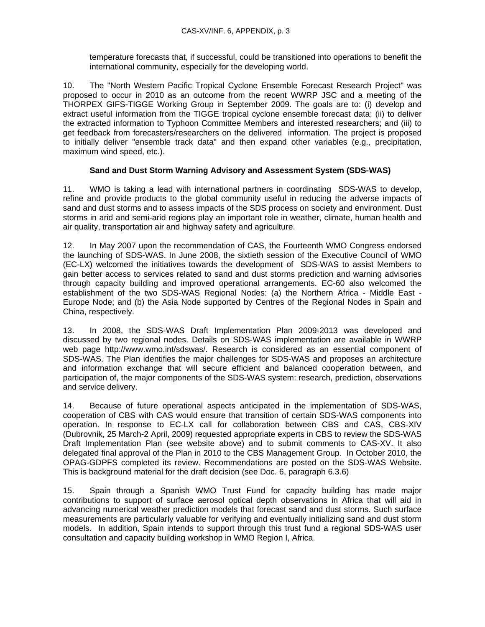temperature forecasts that, if successful, could be transitioned into operations to benefit the international community, especially for the developing world.

10. The "North Western Pacific Tropical Cyclone Ensemble Forecast Research Project" was proposed to occur in 2010 as an outcome from the recent WWRP JSC and a meeting of the THORPEX GIFS-TIGGE Working Group in September 2009. The goals are to: (i) develop and extract useful information from the TIGGE tropical cyclone ensemble forecast data; (ii) to deliver the extracted information to Typhoon Committee Members and interested researchers; and (iii) to get feedback from forecasters/researchers on the delivered information. The project is proposed to initially deliver "ensemble track data" and then expand other variables (e.g., precipitation, maximum wind speed, etc.).

### **Sand and Dust Storm Warning Advisory and Assessment System (SDS-WAS)**

11. WMO is taking a lead with international partners in coordinating SDS-WAS to develop, refine and provide products to the global community useful in reducing the adverse impacts of sand and dust storms and to assess impacts of the SDS process on society and environment. Dust storms in arid and semi-arid regions play an important role in weather, climate, human health and air quality, transportation air and highway safety and agriculture.

12. In May 2007 upon the recommendation of CAS, the Fourteenth WMO Congress endorsed the launching of SDS-WAS. In June 2008, the sixtieth session of the Executive Council of WMO (EC-LX) welcomed the initiatives towards the development of SDS-WAS to assist Members to gain better access to services related to sand and dust storms prediction and warning advisories through capacity building and improved operational arrangements. EC-60 also welcomed the establishment of the two SDS-WAS Regional Nodes: (a) the Northern Africa - Middle East - Europe Node; and (b) the Asia Node supported by Centres of the Regional Nodes in Spain and China, respectively.

13. In 2008, the SDS-WAS Draft Implementation Plan 2009-2013 was developed and discussed by two regional nodes. Details on SDS-WAS implementation are available in WWRP web page http://www.wmo.int/sdswas/. Research is considered as an essential component of SDS-WAS. The Plan identifies the major challenges for SDS-WAS and proposes an architecture and information exchange that will secure efficient and balanced cooperation between, and participation of, the major components of the SDS-WAS system: research, prediction, observations and service delivery.

14. Because of future operational aspects anticipated in the implementation of SDS-WAS, cooperation of CBS with CAS would ensure that transition of certain SDS-WAS components into operation. In response to EC-LX call for collaboration between CBS and CAS, CBS-XIV (Dubrovnik, 25 March-2 April, 2009) requested appropriate experts in CBS to review the SDS-WAS Draft Implementation Plan (see website above) and to submit comments to CAS-XV. It also delegated final approval of the Plan in 2010 to the CBS Management Group. In October 2010, the OPAG-GDPFS completed its review. Recommendations are posted on the SDS-WAS Website. This is background material for the draft decision (see Doc. 6, paragraph 6.3.6)

15. Spain through a Spanish WMO Trust Fund for capacity building has made major contributions to support of surface aerosol optical depth observations in Africa that will aid in advancing numerical weather prediction models that forecast sand and dust storms. Such surface measurements are particularly valuable for verifying and eventually initializing sand and dust storm models. In addition, Spain intends to support through this trust fund a regional SDS-WAS user consultation and capacity building workshop in WMO Region I, Africa.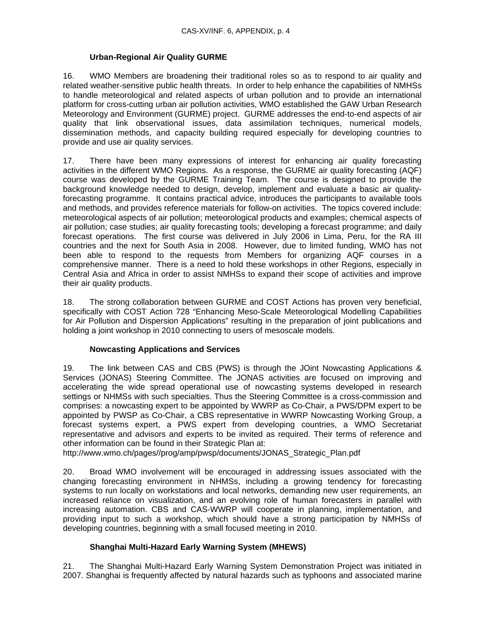#### **Urban-Regional Air Quality GURME**

16. WMO Members are broadening their traditional roles so as to respond to air quality and related weather-sensitive public health threats. In order to help enhance the capabilities of NMHSs to handle meteorological and related aspects of urban pollution and to provide an international platform for cross-cutting urban air pollution activities, WMO established the GAW Urban Research Meteorology and Environment (GURME) project. GURME addresses the end-to-end aspects of air quality that link observational issues, data assimilation techniques, numerical models, dissemination methods, and capacity building required especially for developing countries to provide and use air quality services.

17. There have been many expressions of interest for enhancing air quality forecasting activities in the different WMO Regions. As a response, the GURME air quality forecasting (AQF) course was developed by the GURME Training Team. The course is designed to provide the background knowledge needed to design, develop, implement and evaluate a basic air qualityforecasting programme. It contains practical advice, introduces the participants to available tools and methods, and provides reference materials for follow-on activities. The topics covered include: meteorological aspects of air pollution; meteorological products and examples; chemical aspects of air pollution; case studies; air quality forecasting tools; developing a forecast programme; and daily forecast operations. The first course was delivered in July 2006 in Lima, Peru, for the RA III countries and the next for South Asia in 2008. However, due to limited funding, WMO has not been able to respond to the requests from Members for organizing AQF courses in a comprehensive manner. There is a need to hold these workshops in other Regions, especially in Central Asia and Africa in order to assist NMHSs to expand their scope of activities and improve their air quality products.

18. The strong collaboration between GURME and COST Actions has proven very beneficial, specifically with COST Action 728 "Enhancing Meso-Scale Meteorological Modelling Capabilities for Air Pollution and Dispersion Applications" resulting in the preparation of joint publications and holding a joint workshop in 2010 connecting to users of mesoscale models.

### **Nowcasting Applications and Services**

19. The link between CAS and CBS (PWS) is through the JOint Nowcasting Applications & Services (JONAS) Steering Committee. The JONAS activities are focused on improving and accelerating the wide spread operational use of nowcasting systems developed in research settings or NHMSs with such specialties. Thus the Steering Committee is a cross-commission and comprises: a nowcasting expert to be appointed by WWRP as Co-Chair, a PWS/DPM expert to be appointed by PWSP as Co-Chair, a CBS representative in WWRP Nowcasting Working Group, a forecast systems expert, a PWS expert from developing countries, a WMO Secretariat representative and advisors and experts to be invited as required. Their terms of reference and other information can be found in their Strategic Plan at:

http://www.wmo.ch/pages//prog/amp/pwsp/documents/JONAS\_Strategic\_Plan.pdf

20. Broad WMO involvement will be encouraged in addressing issues associated with the changing forecasting environment in NHMSs, including a growing tendency for forecasting systems to run locally on workstations and local networks, demanding new user requirements, an increased reliance on visualization, and an evolving role of human forecasters in parallel with increasing automation. CBS and CAS-WWRP will cooperate in planning, implementation, and providing input to such a workshop, which should have a strong participation by NMHSs of developing countries, beginning with a small focused meeting in 2010.

### **Shanghai Multi-Hazard Early Warning System (MHEWS)**

21. The Shanghai Multi-Hazard Early Warning System Demonstration Project was initiated in 2007. Shanghai is frequently affected by natural hazards such as typhoons and associated marine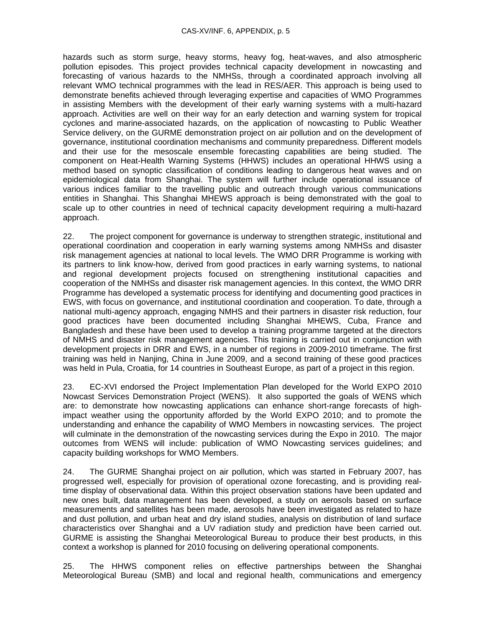hazards such as storm surge, heavy storms, heavy fog, heat-waves, and also atmospheric pollution episodes. This project provides technical capacity development in nowcasting and forecasting of various hazards to the NMHSs, through a coordinated approach involving all relevant WMO technical programmes with the lead in RES/AER. This approach is being used to demonstrate benefits achieved through leveraging expertise and capacities of WMO Programmes in assisting Members with the development of their early warning systems with a multi-hazard approach. Activities are well on their way for an early detection and warning system for tropical cyclones and marine-associated hazards, on the application of nowcasting to Public Weather Service delivery, on the GURME demonstration project on air pollution and on the development of governance, institutional coordination mechanisms and community preparedness. Different models and their use for the mesoscale ensemble forecasting capabilities are being studied. The component on Heat-Health Warning Systems (HHWS) includes an operational HHWS using a method based on synoptic classification of conditions leading to dangerous heat waves and on epidemiological data from Shanghai. The system will further include operational issuance of various indices familiar to the travelling public and outreach through various communications entities in Shanghai. This Shanghai MHEWS approach is being demonstrated with the goal to scale up to other countries in need of technical capacity development requiring a multi-hazard approach.

22. The project component for governance is underway to strengthen strategic, institutional and operational coordination and cooperation in early warning systems among NMHSs and disaster risk management agencies at national to local levels. The WMO DRR Programme is working with its partners to link know-how, derived from good practices in early warning systems, to national and regional development projects focused on strengthening institutional capacities and cooperation of the NMHSs and disaster risk management agencies. In this context, the WMO DRR Programme has developed a systematic process for identifying and documenting good practices in EWS, with focus on governance, and institutional coordination and cooperation. To date, through a national multi-agency approach, engaging NMHS and their partners in disaster risk reduction, four good practices have been documented including Shanghai MHEWS, Cuba, France and Bangladesh and these have been used to develop a training programme targeted at the directors of NMHS and disaster risk management agencies. This training is carried out in conjunction with development projects in DRR and EWS, in a number of regions in 2009-2010 timeframe. The first training was held in Nanjing, China in June 2009, and a second training of these good practices was held in Pula, Croatia, for 14 countries in Southeast Europe, as part of a project in this region.

23. EC-XVI endorsed the Project Implementation Plan developed for the World EXPO 2010 Nowcast Services Demonstration Project (WENS). It also supported the goals of WENS which are: to demonstrate how nowcasting applications can enhance short-range forecasts of highimpact weather using the opportunity afforded by the World EXPO 2010; and to promote the understanding and enhance the capability of WMO Members in nowcasting services. The project will culminate in the demonstration of the nowcasting services during the Expo in 2010. The major outcomes from WENS will include: publication of WMO Nowcasting services guidelines; and capacity building workshops for WMO Members.

24. The GURME Shanghai project on air pollution, which was started in February 2007, has progressed well, especially for provision of operational ozone forecasting, and is providing realtime display of observational data. Within this project observation stations have been updated and new ones built, data management has been developed, a study on aerosols based on surface measurements and satellites has been made, aerosols have been investigated as related to haze and dust pollution, and urban heat and dry island studies, analysis on distribution of land surface characteristics over Shanghai and a UV radiation study and prediction have been carried out. GURME is assisting the Shanghai Meteorological Bureau to produce their best products, in this context a workshop is planned for 2010 focusing on delivering operational components.

25. The HHWS component relies on effective partnerships between the Shanghai Meteorological Bureau (SMB) and local and regional health, communications and emergency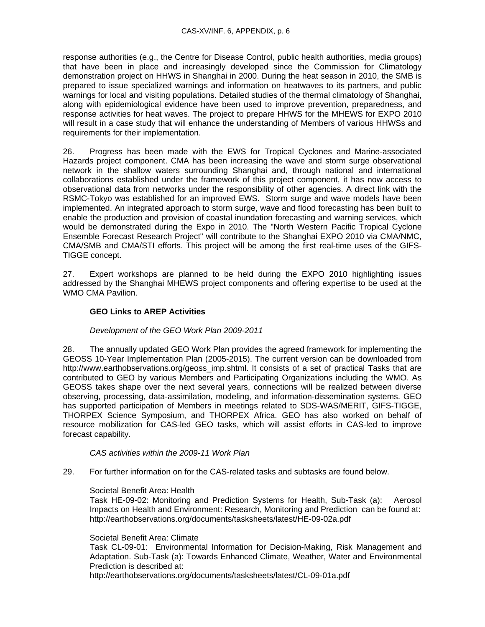response authorities (e.g., the Centre for Disease Control, public health authorities, media groups) that have been in place and increasingly developed since the Commission for Climatology demonstration project on HHWS in Shanghai in 2000. During the heat season in 2010, the SMB is prepared to issue specialized warnings and information on heatwaves to its partners, and public warnings for local and visiting populations. Detailed studies of the thermal climatology of Shanghai, along with epidemiological evidence have been used to improve prevention, preparedness, and response activities for heat waves. The project to prepare HHWS for the MHEWS for EXPO 2010 will result in a case study that will enhance the understanding of Members of various HHWSs and requirements for their implementation.

26. Progress has been made with the EWS for Tropical Cyclones and Marine-associated Hazards project component. CMA has been increasing the wave and storm surge observational network in the shallow waters surrounding Shanghai and, through national and international collaborations established under the framework of this project component, it has now access to observational data from networks under the responsibility of other agencies. A direct link with the RSMC-Tokyo was established for an improved EWS. Storm surge and wave models have been implemented. An integrated approach to storm surge, wave and flood forecasting has been built to enable the production and provision of coastal inundation forecasting and warning services, which would be demonstrated during the Expo in 2010. The "North Western Pacific Tropical Cyclone Ensemble Forecast Research Project" will contribute to the Shanghai EXPO 2010 via CMA/NMC, CMA/SMB and CMA/STI efforts. This project will be among the first real-time uses of the GIFS-TIGGE concept.

27. Expert workshops are planned to be held during the EXPO 2010 highlighting issues addressed by the Shanghai MHEWS project components and offering expertise to be used at the WMO CMA Pavilion.

## **GEO Links to AREP Activities**

#### *Development of the GEO Work Plan 2009-2011*

28. The annually updated GEO Work Plan provides the agreed framework for implementing the GEOSS 10-Year Implementation Plan (2005-2015). The current version can be downloaded from http://www.earthobservations.org/geoss\_imp.shtml. It consists of a set of practical Tasks that are contributed to GEO by various Members and Participating Organizations including the WMO. As GEOSS takes shape over the next several years, connections will be realized between diverse observing, processing, data-assimilation, modeling, and information-dissemination systems. GEO has supported participation of Members in meetings related to SDS-WAS/MERIT, GIFS-TIGGE, THORPEX Science Symposium, and THORPEX Africa. GEO has also worked on behalf of resource mobilization for CAS-led GEO tasks, which will assist efforts in CAS-led to improve forecast capability.

#### *CAS activities within the 2009-11 Work Plan*

29. For further information on for the CAS-related tasks and subtasks are found below.

#### Societal Benefit Area: Health

Task HE-09-02: Monitoring and Prediction Systems for Health, Sub-Task (a): Aerosol Impacts on Health and Environment: Research, Monitoring and Prediction can be found at: http://earthobservations.org/documents/tasksheets/latest/HE-09-02a.pdf

#### Societal Benefit Area: Climate

Task CL-09-01: Environmental Information for Decision-Making, Risk Management and Adaptation. Sub-Task (a): Towards Enhanced Climate, Weather, Water and Environmental Prediction is described at:

http://earthobservations.org/documents/tasksheets/latest/CL-09-01a.pdf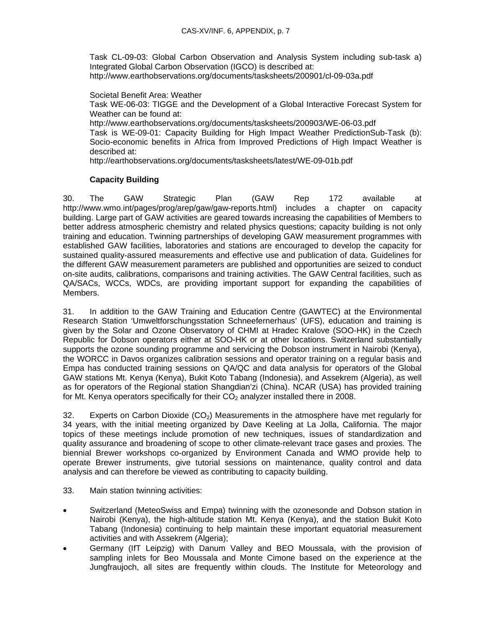Task CL-09-03: Global Carbon Observation and Analysis System including sub-task a) Integrated Global Carbon Observation (IGCO) is described at: http://www.earthobservations.org/documents/tasksheets/200901/cl-09-03a.pdf

Societal Benefit Area: Weather Task WE-06-03: TIGGE and the Development of a Global Interactive Forecast System for Weather can be found at: http://www.earthobservations.org/documents/tasksheets/200903/WE-06-03.pdf Task is WE-09-01: Capacity Building for High Impact Weather PredictionSub-Task (b): Socio-economic benefits in Africa from Improved Predictions of High Impact Weather is described at: http://earthobservations.org/documents/tasksheets/latest/WE-09-01b.pdf

## **Capacity Building**

30. The GAW Strategic Plan (GAW Rep 172 available at http://www.wmo.int/pages/prog/arep/gaw/gaw-reports.html) includes a chapter on capacity building. Large part of GAW activities are geared towards increasing the capabilities of Members to better address atmospheric chemistry and related physics questions; capacity building is not only training and education. Twinning partnerships of developing GAW measurement programmes with established GAW facilities, laboratories and stations are encouraged to develop the capacity for sustained quality-assured measurements and effective use and publication of data. Guidelines for the different GAW measurement parameters are published and opportunities are seized to conduct on-site audits, calibrations, comparisons and training activities. The GAW Central facilities, such as QA/SACs, WCCs, WDCs, are providing important support for expanding the capabilities of Members.

31. In addition to the GAW Training and Education Centre (GAWTEC) at the Environmental Research Station 'Umweltforschungsstation Schneefernerhaus' (UFS), education and training is given by the Solar and Ozone Observatory of CHMI at Hradec Kralove (SOO-HK) in the Czech Republic for Dobson operators either at SOO-HK or at other locations. Switzerland substantially supports the ozone sounding programme and servicing the Dobson instrument in Nairobi (Kenya), the WORCC in Davos organizes calibration sessions and operator training on a regular basis and Empa has conducted training sessions on QA/QC and data analysis for operators of the Global GAW stations Mt. Kenya (Kenya), Bukit Koto Tabang (Indonesia), and Assekrem (Algeria), as well as for operators of the Regional station Shangdian'zi (China). NCAR (USA) has provided training for Mt. Kenya operators specifically for their  $CO<sub>2</sub>$  analyzer installed there in 2008.

32. Experts on Carbon Dioxide  $(CO<sub>2</sub>)$  Measurements in the atmosphere have met regularly for 34 years, with the initial meeting organized by Dave Keeling at La Jolla, California. The major topics of these meetings include promotion of new techniques, issues of standardization and quality assurance and broadening of scope to other climate-relevant trace gases and proxies. The biennial Brewer workshops co-organized by Environment Canada and WMO provide help to operate Brewer instruments, give tutorial sessions on maintenance, quality control and data analysis and can therefore be viewed as contributing to capacity building.

- 33. Main station twinning activities:
- Switzerland (MeteoSwiss and Empa) twinning with the ozonesonde and Dobson station in Nairobi (Kenya), the high-altitude station Mt. Kenya (Kenya), and the station Bukit Koto Tabang (Indonesia) continuing to help maintain these important equatorial measurement activities and with Assekrem (Algeria);
- Germany (IfT Leipzig) with Danum Valley and BEO Moussala, with the provision of sampling inlets for Beo Moussala and Monte Cimone based on the experience at the Jungfraujoch, all sites are frequently within clouds. The Institute for Meteorology and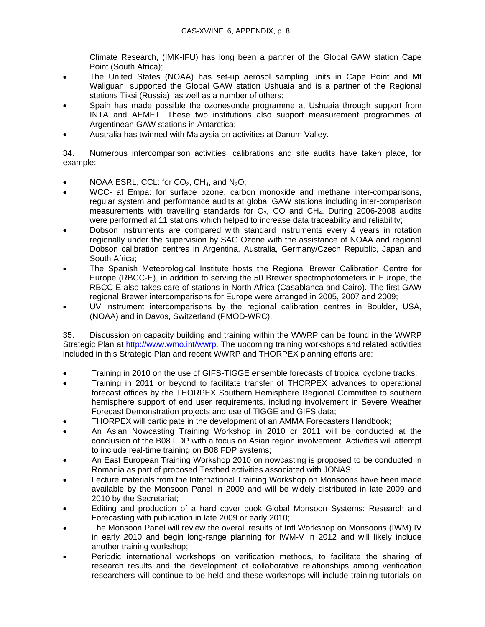Climate Research, (IMK-IFU) has long been a partner of the Global GAW station Cape Point (South Africa);

- The United States (NOAA) has set-up aerosol sampling units in Cape Point and Mt Waliguan, supported the Global GAW station Ushuaia and is a partner of the Regional stations Tiksi (Russia), as well as a number of others;
- Spain has made possible the ozonesonde programme at Ushuaia through support from INTA and AEMET. These two institutions also support measurement programmes at Argentinean GAW stations in Antarctica;
- Australia has twinned with Malaysia on activities at Danum Valley.

34. Numerous intercomparison activities, calibrations and site audits have taken place, for example:

- NOAA ESRL, CCL: for  $CO<sub>2</sub>$ , CH<sub>4</sub>, and N<sub>2</sub>O;
- WCC- at Empa: for surface ozone, carbon monoxide and methane inter-comparisons, regular system and performance audits at global GAW stations including inter-comparison measurements with travelling standards for  $O_3$ , CO and CH<sub>4</sub>. During 2006-2008 audits were performed at 11 stations which helped to increase data traceability and reliability;
- Dobson instruments are compared with standard instruments every 4 years in rotation regionally under the supervision by SAG Ozone with the assistance of NOAA and regional Dobson calibration centres in Argentina, Australia, Germany/Czech Republic, Japan and South Africa;
- The Spanish Meteorological Institute hosts the Regional Brewer Calibration Centre for Europe (RBCC-E), in addition to serving the 50 Brewer spectrophotometers in Europe, the RBCC-E also takes care of stations in North Africa (Casablanca and Cairo). The first GAW regional Brewer intercomparisons for Europe were arranged in 2005, 2007 and 2009;
- UV instrument intercomparisons by the regional calibration centres in Boulder, USA, (NOAA) and in Davos, Switzerland (PMOD-WRC).

35. Discussion on capacity building and training within the WWRP can be found in the WWRP Strategic Plan at http://www.wmo.int/wwrp. The upcoming training workshops and related activities included in this Strategic Plan and recent WWRP and THORPEX planning efforts are:

- Training in 2010 on the use of GIFS-TIGGE ensemble forecasts of tropical cyclone tracks;
- Training in 2011 or beyond to facilitate transfer of THORPEX advances to operational forecast offices by the THORPEX Southern Hemisphere Regional Committee to southern hemisphere support of end user requirements, including involvement in Severe Weather Forecast Demonstration projects and use of TIGGE and GIFS data;
- THORPEX will participate in the development of an AMMA Forecasters Handbook;
- An Asian Nowcasting Training Workshop in 2010 or 2011 will be conducted at the conclusion of the B08 FDP with a focus on Asian region involvement. Activities will attempt to include real-time training on B08 FDP systems;
- An East European Training Workshop 2010 on nowcasting is proposed to be conducted in Romania as part of proposed Testbed activities associated with JONAS;
- Lecture materials from the International Training Workshop on Monsoons have been made available by the Monsoon Panel in 2009 and will be widely distributed in late 2009 and 2010 by the Secretariat;
- Editing and production of a hard cover book Global Monsoon Systems: Research and Forecasting with publication in late 2009 or early 2010;
- The Monsoon Panel will review the overall results of Intl Workshop on Monsoons (IWM) IV in early 2010 and begin long-range planning for IWM-V in 2012 and will likely include another training workshop;
- Periodic international workshops on verification methods, to facilitate the sharing of research results and the development of collaborative relationships among verification researchers will continue to be held and these workshops will include training tutorials on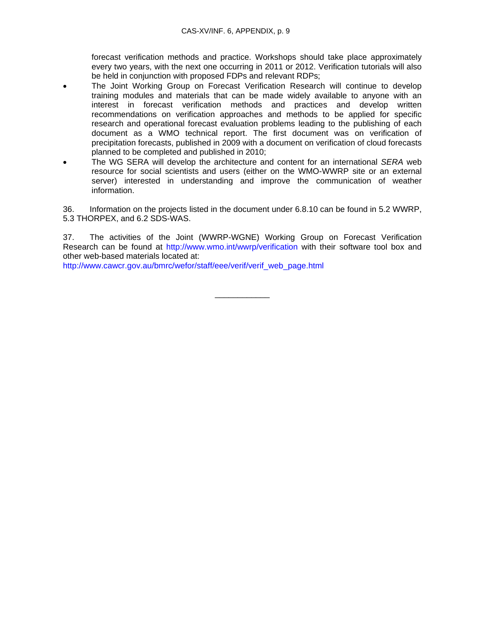forecast verification methods and practice. Workshops should take place approximately every two years, with the next one occurring in 2011 or 2012. Verification tutorials will also be held in conjunction with proposed FDPs and relevant RDPs;

- The Joint Working Group on Forecast Verification Research will continue to develop training modules and materials that can be made widely available to anyone with an interest in forecast verification methods and practices and develop written recommendations on verification approaches and methods to be applied for specific research and operational forecast evaluation problems leading to the publishing of each document as a WMO technical report. The first document was on verification of precipitation forecasts, published in 2009 with a document on verification of cloud forecasts planned to be completed and published in 2010;
- The WG SERA will develop the architecture and content for an international *SERA* web resource for social scientists and users (either on the WMO-WWRP site or an external server) interested in understanding and improve the communication of weather information.

36. Information on the projects listed in the document under 6.8.10 can be found in 5.2 WWRP, 5.3 THORPEX, and 6.2 SDS-WAS.

37. The activities of the Joint (WWRP-WGNE) Working Group on Forecast Verification Research can be found at http://www.wmo.int/wwrp/verification with their software tool box and other web-based materials located at:

http://www.cawcr.gov.au/bmrc/wefor/staff/eee/verif/verif\_web\_page.html

\_\_\_\_\_\_\_\_\_\_\_\_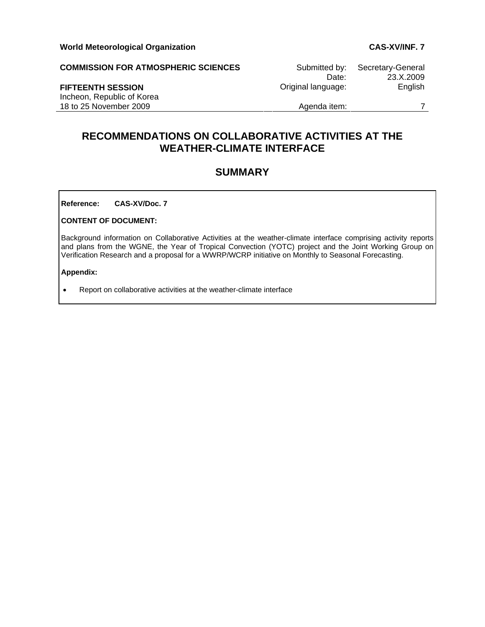**COMMISSION FOR ATMOSPHERIC SCIENCES** Submitted by: Secretary-General

Incheon, Republic of Korea 18 to 25 November 2009 **Agenda** item: 7

 Date: 23.X.2009 **FIFTEENTH SESSION Community Community Community Community Community Community Community Community Community Community Community Community Community Community Community Community Community Community Community Community C** 

# **RECOMMENDATIONS ON COLLABORATIVE ACTIVITIES AT THE WEATHER-CLIMATE INTERFACE**

## **SUMMARY**

**Reference: CAS-XV/Doc. 7** 

#### **CONTENT OF DOCUMENT:**

Background information on Collaborative Activities at the weather-climate interface comprising activity reports and plans from the WGNE, the Year of Tropical Convection (YOTC) project and the Joint Working Group on Verification Research and a proposal for a WWRP/WCRP initiative on Monthly to Seasonal Forecasting.

#### **Appendix:**

• Report on collaborative activities at the weather-climate interface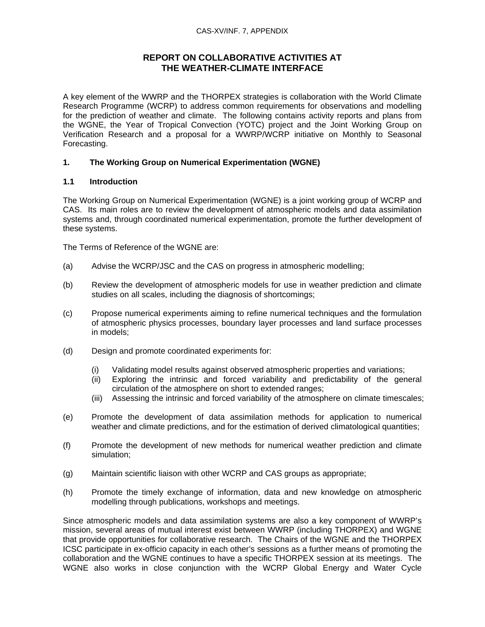#### CAS-XV/INF. 7, APPENDIX

## **REPORT ON COLLABORATIVE ACTIVITIES AT THE WEATHER-CLIMATE INTERFACE**

A key element of the WWRP and the THORPEX strategies is collaboration with the World Climate Research Programme (WCRP) to address common requirements for observations and modelling for the prediction of weather and climate. The following contains activity reports and plans from the WGNE, the Year of Tropical Convection (YOTC) project and the Joint Working Group on Verification Research and a proposal for a WWRP/WCRP initiative on Monthly to Seasonal Forecasting.

## **1. The Working Group on Numerical Experimentation (WGNE)**

## **1.1 Introduction**

The Working Group on Numerical Experimentation (WGNE) is a joint working group of WCRP and CAS. Its main roles are to review the development of atmospheric models and data assimilation systems and, through coordinated numerical experimentation, promote the further development of these systems.

The Terms of Reference of the WGNE are:

- (a) Advise the WCRP/JSC and the CAS on progress in atmospheric modelling;
- (b) Review the development of atmospheric models for use in weather prediction and climate studies on all scales, including the diagnosis of shortcomings;
- (c) Propose numerical experiments aiming to refine numerical techniques and the formulation of atmospheric physics processes, boundary layer processes and land surface processes in models;
- (d) Design and promote coordinated experiments for:
	- (i) Validating model results against observed atmospheric properties and variations;
	- (ii) Exploring the intrinsic and forced variability and predictability of the general circulation of the atmosphere on short to extended ranges;
	- (iii) Assessing the intrinsic and forced variability of the atmosphere on climate timescales;
- (e) Promote the development of data assimilation methods for application to numerical weather and climate predictions, and for the estimation of derived climatological quantities;
- (f) Promote the development of new methods for numerical weather prediction and climate simulation;
- (g) Maintain scientific liaison with other WCRP and CAS groups as appropriate;
- (h) Promote the timely exchange of information, data and new knowledge on atmospheric modelling through publications, workshops and meetings.

Since atmospheric models and data assimilation systems are also a key component of WWRP's mission, several areas of mutual interest exist between WWRP (including THORPEX) and WGNE that provide opportunities for collaborative research. The Chairs of the WGNE and the THORPEX ICSC participate in ex-officio capacity in each other's sessions as a further means of promoting the collaboration and the WGNE continues to have a specific THORPEX session at its meetings. The WGNE also works in close conjunction with the WCRP Global Energy and Water Cycle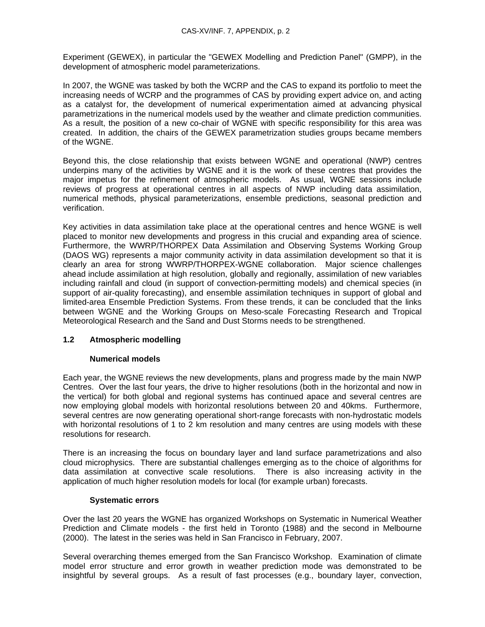Experiment (GEWEX), in particular the "GEWEX Modelling and Prediction Panel" (GMPP), in the development of atmospheric model parameterizations.

In 2007, the WGNE was tasked by both the WCRP and the CAS to expand its portfolio to meet the increasing needs of WCRP and the programmes of CAS by providing expert advice on, and acting as a catalyst for, the development of numerical experimentation aimed at advancing physical parametrizations in the numerical models used by the weather and climate prediction communities. As a result, the position of a new co-chair of WGNE with specific responsibility for this area was created. In addition, the chairs of the GEWEX parametrization studies groups became members of the WGNE.

Beyond this, the close relationship that exists between WGNE and operational (NWP) centres underpins many of the activities by WGNE and it is the work of these centres that provides the major impetus for the refinement of atmospheric models. As usual, WGNE sessions include reviews of progress at operational centres in all aspects of NWP including data assimilation, numerical methods, physical parameterizations, ensemble predictions, seasonal prediction and verification.

Key activities in data assimilation take place at the operational centres and hence WGNE is well placed to monitor new developments and progress in this crucial and expanding area of science. Furthermore, the WWRP/THORPEX Data Assimilation and Observing Systems Working Group (DAOS WG) represents a major community activity in data assimilation development so that it is clearly an area for strong WWRP/THORPEX-WGNE collaboration. Major science challenges ahead include assimilation at high resolution, globally and regionally, assimilation of new variables including rainfall and cloud (in support of convection-permitting models) and chemical species (in support of air-quality forecasting), and ensemble assimilation techniques in support of global and limited-area Ensemble Prediction Systems. From these trends, it can be concluded that the links between WGNE and the Working Groups on Meso-scale Forecasting Research and Tropical Meteorological Research and the Sand and Dust Storms needs to be strengthened.

## **1.2 Atmospheric modelling**

#### **Numerical models**

Each year, the WGNE reviews the new developments, plans and progress made by the main NWP Centres. Over the last four years, the drive to higher resolutions (both in the horizontal and now in the vertical) for both global and regional systems has continued apace and several centres are now employing global models with horizontal resolutions between 20 and 40kms. Furthermore, several centres are now generating operational short-range forecasts with non-hydrostatic models with horizontal resolutions of 1 to 2 km resolution and many centres are using models with these resolutions for research.

There is an increasing the focus on boundary layer and land surface parametrizations and also cloud microphysics. There are substantial challenges emerging as to the choice of algorithms for data assimilation at convective scale resolutions. There is also increasing activity in the application of much higher resolution models for local (for example urban) forecasts.

#### **Systematic errors**

Over the last 20 years the WGNE has organized Workshops on Systematic in Numerical Weather Prediction and Climate models - the first held in Toronto (1988) and the second in Melbourne (2000). The latest in the series was held in San Francisco in February, 2007.

Several overarching themes emerged from the San Francisco Workshop. Examination of climate model error structure and error growth in weather prediction mode was demonstrated to be insightful by several groups. As a result of fast processes (e.g., boundary layer, convection,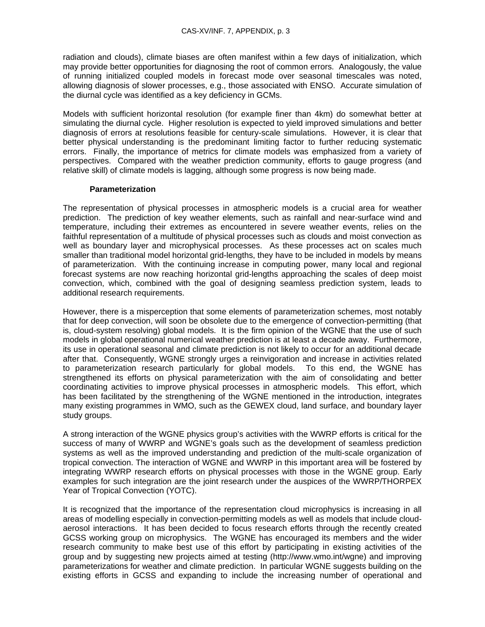radiation and clouds), climate biases are often manifest within a few days of initialization, which may provide better opportunities for diagnosing the root of common errors. Analogously, the value of running initialized coupled models in forecast mode over seasonal timescales was noted, allowing diagnosis of slower processes, e.g., those associated with ENSO. Accurate simulation of the diurnal cycle was identified as a key deficiency in GCMs.

Models with sufficient horizontal resolution (for example finer than 4km) do somewhat better at simulating the diurnal cycle. Higher resolution is expected to yield improved simulations and better diagnosis of errors at resolutions feasible for century-scale simulations. However, it is clear that better physical understanding is the predominant limiting factor to further reducing systematic errors. Finally, the importance of metrics for climate models was emphasized from a variety of perspectives. Compared with the weather prediction community, efforts to gauge progress (and relative skill) of climate models is lagging, although some progress is now being made.

#### **Parameterization**

The representation of physical processes in atmospheric models is a crucial area for weather prediction. The prediction of key weather elements, such as rainfall and near-surface wind and temperature, including their extremes as encountered in severe weather events, relies on the faithful representation of a multitude of physical processes such as clouds and moist convection as well as boundary layer and microphysical processes. As these processes act on scales much smaller than traditional model horizontal grid-lengths, they have to be included in models by means of parameterization. With the continuing increase in computing power, many local and regional forecast systems are now reaching horizontal grid-lengths approaching the scales of deep moist convection, which, combined with the goal of designing seamless prediction system, leads to additional research requirements.

However, there is a misperception that some elements of parameterization schemes, most notably that for deep convection, will soon be obsolete due to the emergence of convection-permitting (that is, cloud-system resolving) global models. It is the firm opinion of the WGNE that the use of such models in global operational numerical weather prediction is at least a decade away. Furthermore, its use in operational seasonal and climate prediction is not likely to occur for an additional decade after that. Consequently, WGNE strongly urges a reinvigoration and increase in activities related to parameterization research particularly for global models. To this end, the WGNE has strengthened its efforts on physical parameterization with the aim of consolidating and better coordinating activities to improve physical processes in atmospheric models. This effort, which has been facilitated by the strengthening of the WGNE mentioned in the introduction, integrates many existing programmes in WMO, such as the GEWEX cloud, land surface, and boundary layer study groups.

A strong interaction of the WGNE physics group's activities with the WWRP efforts is critical for the success of many of WWRP and WGNE's goals such as the development of seamless prediction systems as well as the improved understanding and prediction of the multi-scale organization of tropical convection. The interaction of WGNE and WWRP in this important area will be fostered by integrating WWRP research efforts on physical processes with those in the WGNE group. Early examples for such integration are the joint research under the auspices of the WWRP/THORPEX Year of Tropical Convection (YOTC).

It is recognized that the importance of the representation cloud microphysics is increasing in all areas of modelling especially in convection-permitting models as well as models that include cloudaerosol interactions. It has been decided to focus research efforts through the recently created GCSS working group on microphysics. The WGNE has encouraged its members and the wider research community to make best use of this effort by participating in existing activities of the group and by suggesting new projects aimed at testing (http://www.wmo.int/wgne) and improving parameterizations for weather and climate prediction. In particular WGNE suggests building on the existing efforts in GCSS and expanding to include the increasing number of operational and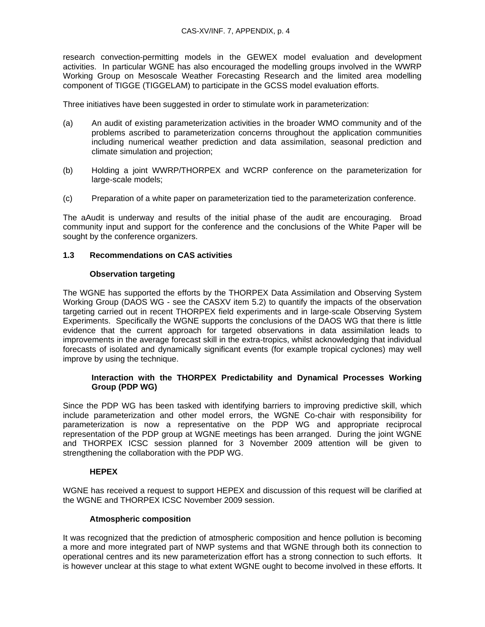research convection-permitting models in the GEWEX model evaluation and development activities. In particular WGNE has also encouraged the modelling groups involved in the WWRP Working Group on Mesoscale Weather Forecasting Research and the limited area modelling component of TIGGE (TIGGELAM) to participate in the GCSS model evaluation efforts.

Three initiatives have been suggested in order to stimulate work in parameterization:

- (a) An audit of existing parameterization activities in the broader WMO community and of the problems ascribed to parameterization concerns throughout the application communities including numerical weather prediction and data assimilation, seasonal prediction and climate simulation and projection;
- (b) Holding a joint WWRP/THORPEX and WCRP conference on the parameterization for large-scale models;
- (c) Preparation of a white paper on parameterization tied to the parameterization conference.

The aAudit is underway and results of the initial phase of the audit are encouraging. Broad community input and support for the conference and the conclusions of the White Paper will be sought by the conference organizers.

## **1.3 Recommendations on CAS activities**

## **Observation targeting**

The WGNE has supported the efforts by the THORPEX Data Assimilation and Observing System Working Group (DAOS WG - see the CASXV item 5.2) to quantify the impacts of the observation targeting carried out in recent THORPEX field experiments and in large-scale Observing System Experiments. Specifically the WGNE supports the conclusions of the DAOS WG that there is little evidence that the current approach for targeted observations in data assimilation leads to improvements in the average forecast skill in the extra-tropics, whilst acknowledging that individual forecasts of isolated and dynamically significant events (for example tropical cyclones) may well improve by using the technique.

## **Interaction with the THORPEX Predictability and Dynamical Processes Working Group (PDP WG)**

Since the PDP WG has been tasked with identifying barriers to improving predictive skill, which include parameterization and other model errors, the WGNE Co-chair with responsibility for parameterization is now a representative on the PDP WG and appropriate reciprocal representation of the PDP group at WGNE meetings has been arranged. During the joint WGNE and THORPEX ICSC session planned for 3 November 2009 attention will be given to strengthening the collaboration with the PDP WG.

## **HEPEX**

WGNE has received a request to support HEPEX and discussion of this request will be clarified at the WGNE and THORPEX ICSC November 2009 session.

#### **Atmospheric composition**

It was recognized that the prediction of atmospheric composition and hence pollution is becoming a more and more integrated part of NWP systems and that WGNE through both its connection to operational centres and its new parameterization effort has a strong connection to such efforts. It is however unclear at this stage to what extent WGNE ought to become involved in these efforts. It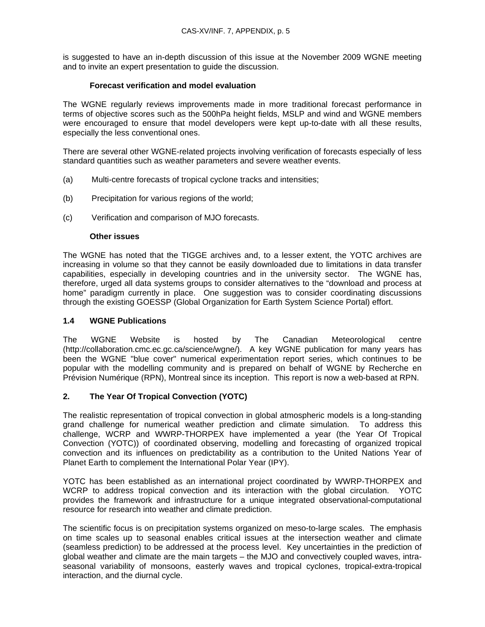is suggested to have an in-depth discussion of this issue at the November 2009 WGNE meeting and to invite an expert presentation to guide the discussion.

## **Forecast verification and model evaluation**

The WGNE regularly reviews improvements made in more traditional forecast performance in terms of objective scores such as the 500hPa height fields, MSLP and wind and WGNE members were encouraged to ensure that model developers were kept up-to-date with all these results, especially the less conventional ones.

There are several other WGNE-related projects involving verification of forecasts especially of less standard quantities such as weather parameters and severe weather events.

- (a) Multi-centre forecasts of tropical cyclone tracks and intensities;
- (b) Precipitation for various regions of the world;
- (c) Verification and comparison of MJO forecasts.

#### **Other issues**

The WGNE has noted that the TIGGE archives and, to a lesser extent, the YOTC archives are increasing in volume so that they cannot be easily downloaded due to limitations in data transfer capabilities, especially in developing countries and in the university sector. The WGNE has, therefore, urged all data systems groups to consider alternatives to the "download and process at home" paradigm currently in place. One suggestion was to consider coordinating discussions through the existing GOESSP (Global Organization for Earth System Science Portal) effort.

#### **1.4 WGNE Publications**

The WGNE Website is hosted by The Canadian Meteorological centre (http://collaboration.cmc.ec.gc.ca/science/wgne/). A key WGNE publication for many years has been the WGNE "blue cover" numerical experimentation report series, which continues to be popular with the modelling community and is prepared on behalf of WGNE by Recherche en Prévision Numérique (RPN), Montreal since its inception. This report is now a web-based at RPN.

#### **2. The Year Of Tropical Convection (YOTC)**

The realistic representation of tropical convection in global atmospheric models is a long-standing grand challenge for numerical weather prediction and climate simulation. To address this challenge, WCRP and WWRP-THORPEX have implemented a year (the Year Of Tropical Convection (YOTC)) of coordinated observing, modelling and forecasting of organized tropical convection and its influences on predictability as a contribution to the United Nations Year of Planet Earth to complement the International Polar Year (IPY).

YOTC has been established as an international project coordinated by WWRP-THORPEX and WCRP to address tropical convection and its interaction with the global circulation. YOTC provides the framework and infrastructure for a unique integrated observational-computational resource for research into weather and climate prediction.

The scientific focus is on precipitation systems organized on meso-to-large scales. The emphasis on time scales up to seasonal enables critical issues at the intersection weather and climate (seamless prediction) to be addressed at the process level. Key uncertainties in the prediction of global weather and climate are the main targets – the MJO and convectively coupled waves, intraseasonal variability of monsoons, easterly waves and tropical cyclones, tropical-extra-tropical interaction, and the diurnal cycle.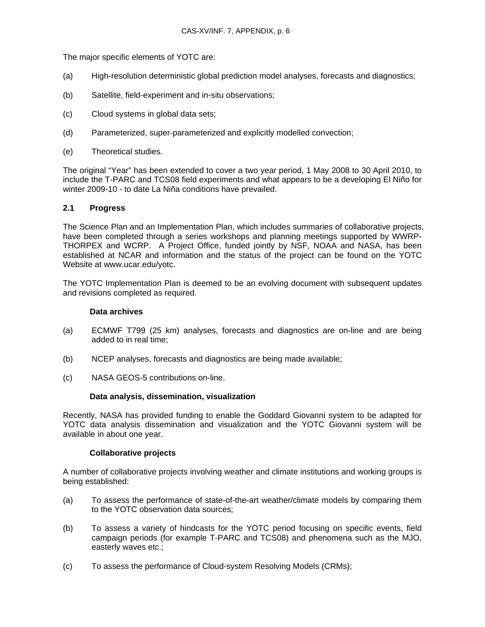The major specific elements of YOTC are:

- (a) High-resolution deterministic global prediction model analyses, forecasts and diagnostics;
- (b) Satellite, field-experiment and in-situ observations;
- (c) Cloud systems in global data sets;
- (d) Parameterized, super-parameterized and explicitly modelled convection;
- (e) Theoretical studies.

The original "Year" has been extended to cover a two year period, 1 May 2008 to 30 April 2010, to include the T-PARC and TCS08 field experiments and what appears to be a developing El Niño for winter 2009-10 - to date La Niña conditions have prevailed.

#### **2.1 Progress**

The Science Plan and an Implementation Plan, which includes summaries of collaborative projects, have been completed through a series workshops and planning meetings supported by WWRP-THORPEX and WCRP. A Project Office, funded jointly by NSF, NOAA and NASA, has been established at NCAR and information and the status of the project can be found on the YOTC Website at www.ucar.edu/yotc.

The YOTC Implementation Plan is deemed to be an evolving document with subsequent updates and revisions completed as required.

#### **Data archives**

- (a) ECMWF T799 (25 km) analyses, forecasts and diagnostics are on-line and are being added to in real time;
- (b) NCEP analyses, forecasts and diagnostics are being made available;
- (c) NASA GEOS-5 contributions on-line.

#### **Data analysis, dissemination, visualization**

Recently, NASA has provided funding to enable the Goddard Giovanni system to be adapted for YOTC data analysis dissemination and visualization and the YOTC Giovanni system will be available in about one year.

#### **Collaborative projects**

A number of collaborative projects involving weather and climate institutions and working groups is being established:

- (a) To assess the performance of state-of-the-art weather/climate models by comparing them to the YOTC observation data sources;
- (b) To assess a variety of hindcasts for the YOTC period focusing on specific events, field campaign periods (for example T-PARC and TCS08) and phenomena such as the MJO, easterly waves etc.;
- (c) To assess the performance of Cloud-system Resolving Models (CRMs);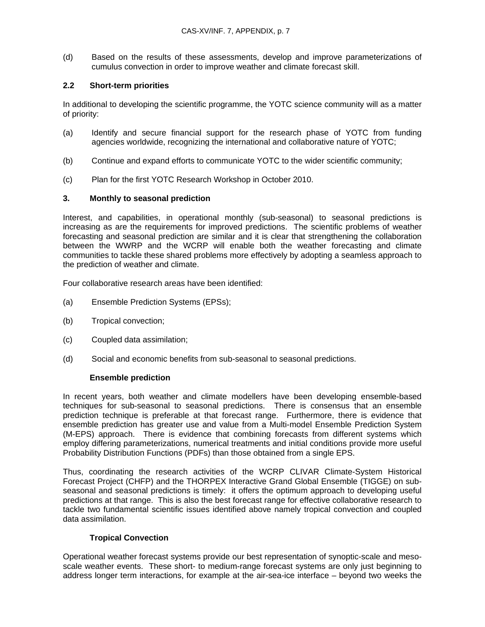(d) Based on the results of these assessments, develop and improve parameterizations of cumulus convection in order to improve weather and climate forecast skill.

## **2.2 Short-term priorities**

In additional to developing the scientific programme, the YOTC science community will as a matter of priority:

- (a) Identify and secure financial support for the research phase of YOTC from funding agencies worldwide, recognizing the international and collaborative nature of YOTC;
- (b) Continue and expand efforts to communicate YOTC to the wider scientific community;
- (c) Plan for the first YOTC Research Workshop in October 2010.

## **3. Monthly to seasonal prediction**

Interest, and capabilities, in operational monthly (sub-seasonal) to seasonal predictions is increasing as are the requirements for improved predictions. The scientific problems of weather forecasting and seasonal prediction are similar and it is clear that strengthening the collaboration between the WWRP and the WCRP will enable both the weather forecasting and climate communities to tackle these shared problems more effectively by adopting a seamless approach to the prediction of weather and climate.

Four collaborative research areas have been identified:

- (a) Ensemble Prediction Systems (EPSs);
- (b) Tropical convection;
- (c) Coupled data assimilation;
- (d) Social and economic benefits from sub-seasonal to seasonal predictions.

#### **Ensemble prediction**

In recent years, both weather and climate modellers have been developing ensemble-based techniques for sub-seasonal to seasonal predictions. There is consensus that an ensemble prediction technique is preferable at that forecast range. Furthermore, there is evidence that ensemble prediction has greater use and value from a Multi-model Ensemble Prediction System (M-EPS) approach. There is evidence that combining forecasts from different systems which employ differing parameterizations, numerical treatments and initial conditions provide more useful Probability Distribution Functions (PDFs) than those obtained from a single EPS.

Thus, coordinating the research activities of the WCRP CLIVAR Climate-System Historical Forecast Project (CHFP) and the THORPEX Interactive Grand Global Ensemble (TIGGE) on subseasonal and seasonal predictions is timely: it offers the optimum approach to developing useful predictions at that range. This is also the best forecast range for effective collaborative research to tackle two fundamental scientific issues identified above namely tropical convection and coupled data assimilation.

## **Tropical Convection**

Operational weather forecast systems provide our best representation of synoptic-scale and mesoscale weather events. These short- to medium-range forecast systems are only just beginning to address longer term interactions, for example at the air-sea-ice interface – beyond two weeks the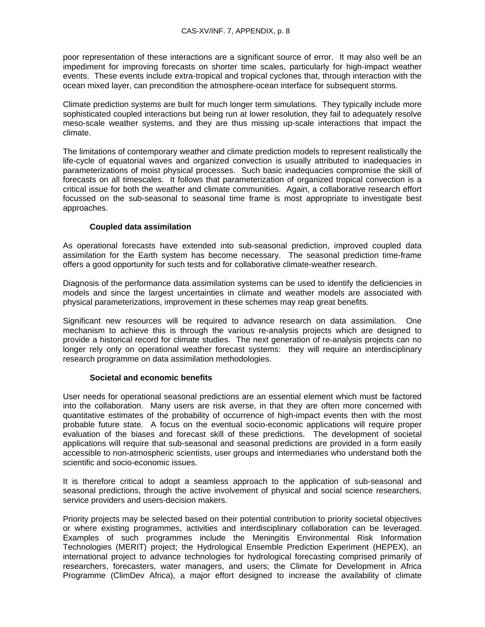poor representation of these interactions are a significant source of error. It may also well be an impediment for improving forecasts on shorter time scales, particularly for high-impact weather events. These events include extra-tropical and tropical cyclones that, through interaction with the ocean mixed layer, can precondition the atmosphere-ocean interface for subsequent storms.

Climate prediction systems are built for much longer term simulations. They typically include more sophisticated coupled interactions but being run at lower resolution, they fail to adequately resolve meso-scale weather systems, and they are thus missing up-scale interactions that impact the climate.

The limitations of contemporary weather and climate prediction models to represent realistically the life-cycle of equatorial waves and organized convection is usually attributed to inadequacies in parameterizations of moist physical processes. Such basic inadequacies compromise the skill of forecasts on all timescales. It follows that parameterization of organized tropical convection is a critical issue for both the weather and climate communities. Again, a collaborative research effort focussed on the sub-seasonal to seasonal time frame is most appropriate to investigate best approaches.

## **Coupled data assimilation**

As operational forecasts have extended into sub-seasonal prediction, improved coupled data assimilation for the Earth system has become necessary. The seasonal prediction time-frame offers a good opportunity for such tests and for collaborative climate-weather research.

Diagnosis of the performance data assimilation systems can be used to identify the deficiencies in models and since the largest uncertainties in climate and weather models are associated with physical parameterizations, improvement in these schemes may reap great benefits.

Significant new resources will be required to advance research on data assimilation. One mechanism to achieve this is through the various re-analysis projects which are designed to provide a historical record for climate studies. The next generation of re-analysis projects can no longer rely only on operational weather forecast systems: they will require an interdisciplinary research programme on data assimilation methodologies.

#### **Societal and economic benefits**

User needs for operational seasonal predictions are an essential element which must be factored into the collaboration. Many users are risk averse, in that they are often more concerned with quantitative estimates of the probability of occurrence of high-impact events then with the most probable future state. A focus on the eventual socio-economic applications will require proper evaluation of the biases and forecast skill of these predictions. The development of societal applications will require that sub-seasonal and seasonal predictions are provided in a form easily accessible to non-atmospheric scientists, user groups and intermediaries who understand both the scientific and socio-economic issues.

It is therefore critical to adopt a seamless approach to the application of sub-seasonal and seasonal predictions, through the active involvement of physical and social science researchers, service providers and users-decision makers.

Priority projects may be selected based on their potential contribution to priority societal objectives or where existing programmes, activities and interdisciplinary collaboration can be leveraged. Examples of such programmes include the Meningitis Environmental Risk Information Technologies (MERIT) project; the Hydrological Ensemble Prediction Experiment (HEPEX), an international project to advance technologies for hydrological forecasting comprised primarily of researchers, forecasters, water managers, and users; the Climate for Development in Africa Programme (ClimDev Africa), a major effort designed to increase the availability of climate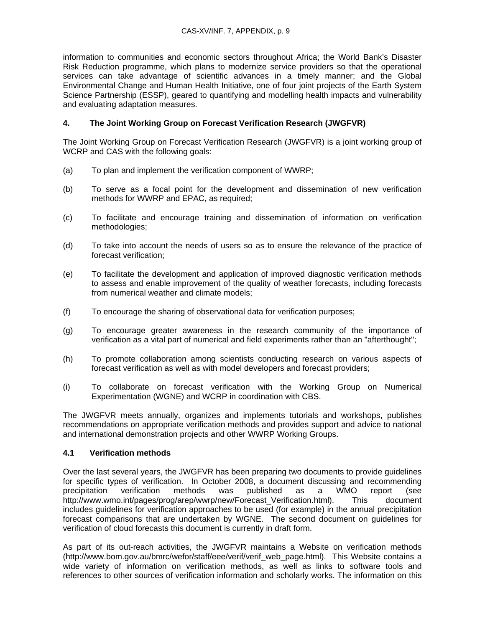information to communities and economic sectors throughout Africa; the World Bank's Disaster Risk Reduction programme, which plans to modernize service providers so that the operational services can take advantage of scientific advances in a timely manner; and the Global Environmental Change and Human Health Initiative, one of four joint projects of the Earth System Science Partnership (ESSP), geared to quantifying and modelling health impacts and vulnerability and evaluating adaptation measures.

## **4. The Joint Working Group on Forecast Verification Research (JWGFVR)**

The Joint Working Group on Forecast Verification Research (JWGFVR) is a joint working group of WCRP and CAS with the following goals:

- (a) To plan and implement the verification component of WWRP;
- (b) To serve as a focal point for the development and dissemination of new verification methods for WWRP and EPAC, as required;
- (c) To facilitate and encourage training and dissemination of information on verification methodologies;
- (d) To take into account the needs of users so as to ensure the relevance of the practice of forecast verification;
- (e) To facilitate the development and application of improved diagnostic verification methods to assess and enable improvement of the quality of weather forecasts, including forecasts from numerical weather and climate models;
- (f) To encourage the sharing of observational data for verification purposes;
- (g) To encourage greater awareness in the research community of the importance of verification as a vital part of numerical and field experiments rather than an "afterthought";
- (h) To promote collaboration among scientists conducting research on various aspects of forecast verification as well as with model developers and forecast providers;
- (i) To collaborate on forecast verification with the Working Group on Numerical Experimentation (WGNE) and WCRP in coordination with CBS.

The JWGFVR meets annually, organizes and implements tutorials and workshops, publishes recommendations on appropriate verification methods and provides support and advice to national and international demonstration projects and other WWRP Working Groups.

## **4.1 Verification methods**

Over the last several years, the JWGFVR has been preparing two documents to provide guidelines for specific types of verification. In October 2008, a document discussing and recommending precipitation verification methods was published as a WMO report (see http://www.wmo.int/pages/prog/arep/wwrp/new/Forecast\_Verification.html). This document includes guidelines for verification approaches to be used (for example) in the annual precipitation forecast comparisons that are undertaken by WGNE. The second document on guidelines for verification of cloud forecasts this document is currently in draft form.

As part of its out-reach activities, the JWGFVR maintains a Website on verification methods (http://www.bom.gov.au/bmrc/wefor/staff/eee/verif/verif\_web\_page.html). This Website contains a wide variety of information on verification methods, as well as links to software tools and references to other sources of verification information and scholarly works. The information on this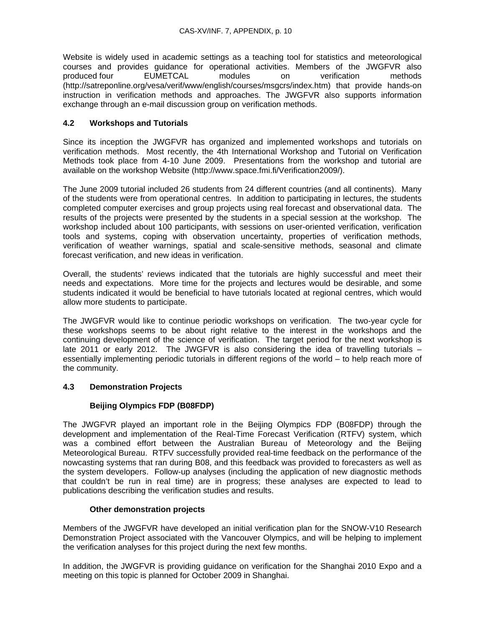Website is widely used in academic settings as a teaching tool for statistics and meteorological courses and provides guidance for operational activities. Members of the JWGFVR also produced four EUMETCAL modules on verification methods (http://satreponline.org/vesa/verif/www/english/courses/msgcrs/index.htm) that provide hands-on instruction in verification methods and approaches. The JWGFVR also supports information exchange through an e-mail discussion group on verification methods.

## **4.2 Workshops and Tutorials**

Since its inception the JWGFVR has organized and implemented workshops and tutorials on verification methods. Most recently, the 4th International Workshop and Tutorial on Verification Methods took place from 4-10 June 2009. Presentations from the workshop and tutorial are available on the workshop Website (http://www.space.fmi.fi/Verification2009/).

The June 2009 tutorial included 26 students from 24 different countries (and all continents). Many of the students were from operational centres. In addition to participating in lectures, the students completed computer exercises and group projects using real forecast and observational data. The results of the projects were presented by the students in a special session at the workshop. The workshop included about 100 participants, with sessions on user-oriented verification, verification tools and systems, coping with observation uncertainty, properties of verification methods, verification of weather warnings, spatial and scale-sensitive methods, seasonal and climate forecast verification, and new ideas in verification.

Overall, the students' reviews indicated that the tutorials are highly successful and meet their needs and expectations. More time for the projects and lectures would be desirable, and some students indicated it would be beneficial to have tutorials located at regional centres, which would allow more students to participate.

The JWGFVR would like to continue periodic workshops on verification. The two-year cycle for these workshops seems to be about right relative to the interest in the workshops and the continuing development of the science of verification. The target period for the next workshop is late 2011 or early 2012. The JWGFVR is also considering the idea of travelling tutorials – essentially implementing periodic tutorials in different regions of the world – to help reach more of the community.

## **4.3 Demonstration Projects**

## **Beijing Olympics FDP (B08FDP)**

The JWGFVR played an important role in the Beijing Olympics FDP (B08FDP) through the development and implementation of the Real-Time Forecast Verification (RTFV) system, which was a combined effort between the Australian Bureau of Meteorology and the Beijing Meteorological Bureau. RTFV successfully provided real-time feedback on the performance of the nowcasting systems that ran during B08, and this feedback was provided to forecasters as well as the system developers. Follow-up analyses (including the application of new diagnostic methods that couldn't be run in real time) are in progress; these analyses are expected to lead to publications describing the verification studies and results.

## **Other demonstration projects**

Members of the JWGFVR have developed an initial verification plan for the SNOW-V10 Research Demonstration Project associated with the Vancouver Olympics, and will be helping to implement the verification analyses for this project during the next few months.

In addition, the JWGFVR is providing guidance on verification for the Shanghai 2010 Expo and a meeting on this topic is planned for October 2009 in Shanghai.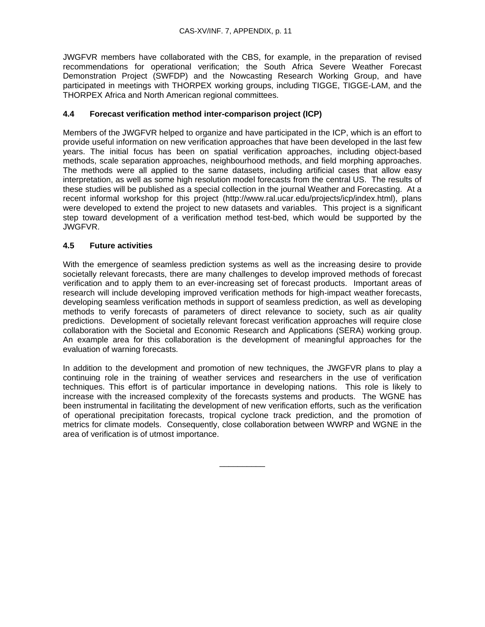JWGFVR members have collaborated with the CBS, for example, in the preparation of revised recommendations for operational verification; the South Africa Severe Weather Forecast Demonstration Project (SWFDP) and the Nowcasting Research Working Group, and have participated in meetings with THORPEX working groups, including TIGGE, TIGGE-LAM, and the THORPEX Africa and North American regional committees.

## **4.4 Forecast verification method inter-comparison project (ICP)**

Members of the JWGFVR helped to organize and have participated in the ICP, which is an effort to provide useful information on new verification approaches that have been developed in the last few years. The initial focus has been on spatial verification approaches, including object-based methods, scale separation approaches, neighbourhood methods, and field morphing approaches. The methods were all applied to the same datasets, including artificial cases that allow easy interpretation, as well as some high resolution model forecasts from the central US. The results of these studies will be published as a special collection in the journal Weather and Forecasting. At a recent informal workshop for this project (http://www.ral.ucar.edu/projects/icp/index.html), plans were developed to extend the project to new datasets and variables. This project is a significant step toward development of a verification method test-bed, which would be supported by the JWGFVR.

## **4.5 Future activities**

With the emergence of seamless prediction systems as well as the increasing desire to provide societally relevant forecasts, there are many challenges to develop improved methods of forecast verification and to apply them to an ever-increasing set of forecast products. Important areas of research will include developing improved verification methods for high-impact weather forecasts, developing seamless verification methods in support of seamless prediction, as well as developing methods to verify forecasts of parameters of direct relevance to society, such as air quality predictions. Development of societally relevant forecast verification approaches will require close collaboration with the Societal and Economic Research and Applications (SERA) working group. An example area for this collaboration is the development of meaningful approaches for the evaluation of warning forecasts.

In addition to the development and promotion of new techniques, the JWGFVR plans to play a continuing role in the training of weather services and researchers in the use of verification techniques. This effort is of particular importance in developing nations. This role is likely to increase with the increased complexity of the forecasts systems and products. The WGNE has been instrumental in facilitating the development of new verification efforts, such as the verification of operational precipitation forecasts, tropical cyclone track prediction, and the promotion of metrics for climate models. Consequently, close collaboration between WWRP and WGNE in the area of verification is of utmost importance.

\_\_\_\_\_\_\_\_\_\_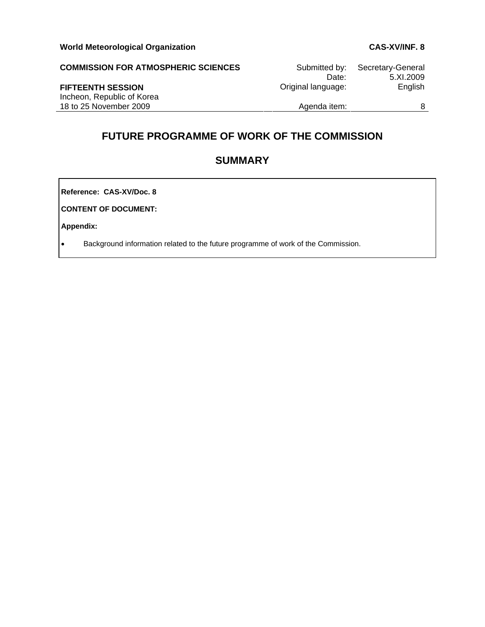| <b>COMMISSION FOR ATMOSPHERIC SCIENCES</b> | Submitted by:<br>Date: | Secretary-General<br>5.XI.2009 |
|--------------------------------------------|------------------------|--------------------------------|
| <b>FIFTEENTH SESSION</b>                   | Original language:     | English                        |
| Incheon, Republic of Korea                 |                        |                                |
| 18 to 25 November 2009                     | Agenda item:           | 8                              |

# **FUTURE PROGRAMME OF WORK OF THE COMMISSION**

# **SUMMARY**

**Reference: CAS-XV/Doc. 8**

**CONTENT OF DOCUMENT:** 

**Appendix:** 

• Background information related to the future programme of work of the Commission.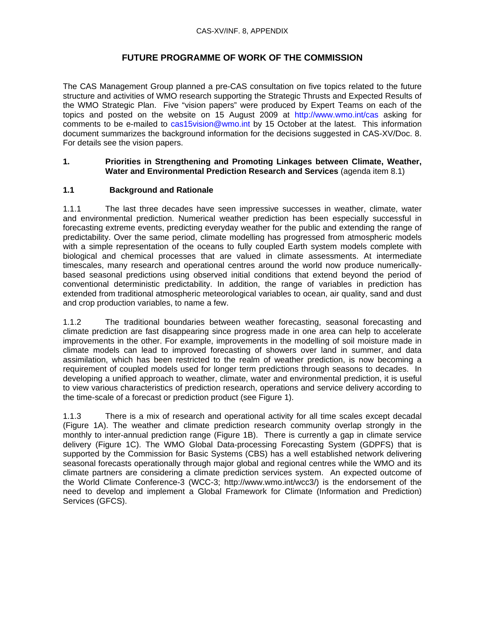## **FUTURE PROGRAMME OF WORK OF THE COMMISSION**

The CAS Management Group planned a pre-CAS consultation on five topics related to the future structure and activities of WMO research supporting the Strategic Thrusts and Expected Results of the WMO Strategic Plan. Five "vision papers" were produced by Expert Teams on each of the topics and posted on the website on 15 August 2009 at http://www.wmo.int/cas asking for comments to be e-mailed to cas15vision@wmo.int by 15 October at the latest. This information document summarizes the background information for the decisions suggested in CAS-XV/Doc. 8. For details see the vision papers.

## **1. Priorities in Strengthening and Promoting Linkages between Climate, Weather, Water and Environmental Prediction Research and Services** (agenda item 8.1)

## **1.1 Background and Rationale**

1.1.1 The last three decades have seen impressive successes in weather, climate, water and environmental prediction. Numerical weather prediction has been especially successful in forecasting extreme events, predicting everyday weather for the public and extending the range of predictability. Over the same period, climate modelling has progressed from atmospheric models with a simple representation of the oceans to fully coupled Earth system models complete with biological and chemical processes that are valued in climate assessments. At intermediate timescales, many research and operational centres around the world now produce numericallybased seasonal predictions using observed initial conditions that extend beyond the period of conventional deterministic predictability. In addition, the range of variables in prediction has extended from traditional atmospheric meteorological variables to ocean, air quality, sand and dust and crop production variables, to name a few.

1.1.2 The traditional boundaries between weather forecasting, seasonal forecasting and climate prediction are fast disappearing since progress made in one area can help to accelerate improvements in the other. For example, improvements in the modelling of soil moisture made in climate models can lead to improved forecasting of showers over land in summer, and data assimilation, which has been restricted to the realm of weather prediction, is now becoming a requirement of coupled models used for longer term predictions through seasons to decades. In developing a unified approach to weather, climate, water and environmental prediction, it is useful to view various characteristics of prediction research, operations and service delivery according to the time-scale of a forecast or prediction product (see Figure 1).

1.1.3 There is a mix of research and operational activity for all time scales except decadal (Figure 1A). The weather and climate prediction research community overlap strongly in the monthly to inter-annual prediction range (Figure 1B). There is currently a gap in climate service delivery (Figure 1C). The WMO Global Data-processing Forecasting System (GDPFS) that is supported by the Commission for Basic Systems (CBS) has a well established network delivering seasonal forecasts operationally through major global and regional centres while the WMO and its climate partners are considering a climate prediction services system. An expected outcome of the World Climate Conference-3 (WCC-3; http://www.wmo.int/wcc3/) is the endorsement of the need to develop and implement a Global Framework for Climate (Information and Prediction) Services (GFCS).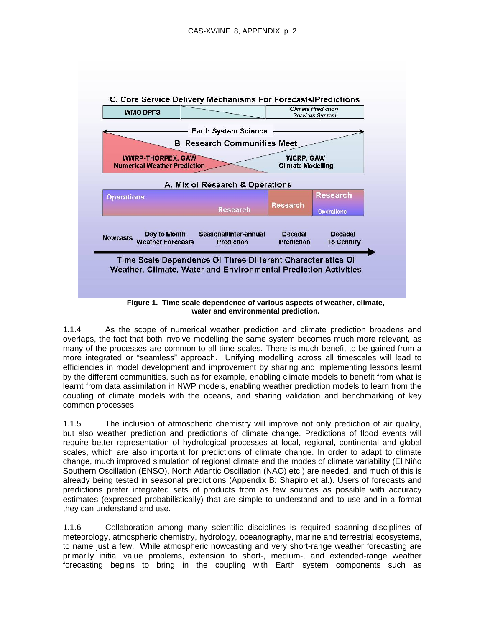

1.1.4 As the scope of numerical weather prediction and climate prediction broadens and overlaps, the fact that both involve modelling the same system becomes much more relevant, as many of the processes are common to all time scales. There is much benefit to be gained from a more integrated or "seamless" approach. Unifying modelling across all timescales will lead to efficiencies in model development and improvement by sharing and implementing lessons learnt by the different communities, such as for example, enabling climate models to benefit from what is learnt from data assimilation in NWP models, enabling weather prediction models to learn from the coupling of climate models with the oceans, and sharing validation and benchmarking of key common processes.

1.1.5 The inclusion of atmospheric chemistry will improve not only prediction of air quality, but also weather prediction and predictions of climate change. Predictions of flood events will require better representation of hydrological processes at local, regional, continental and global scales, which are also important for predictions of climate change. In order to adapt to climate change, much improved simulation of regional climate and the modes of climate variability (El Niño Southern Oscillation (ENSO), North Atlantic Oscillation (NAO) etc.) are needed, and much of this is already being tested in seasonal predictions (Appendix B: Shapiro et al.). Users of forecasts and predictions prefer integrated sets of products from as few sources as possible with accuracy estimates (expressed probabilistically) that are simple to understand and to use and in a format they can understand and use.

1.1.6 Collaboration among many scientific disciplines is required spanning disciplines of meteorology, atmospheric chemistry, hydrology, oceanography, marine and terrestrial ecosystems, to name just a few. While atmospheric nowcasting and very short-range weather forecasting are primarily initial value problems, extension to short-, medium-, and extended-range weather forecasting begins to bring in the coupling with Earth system components such as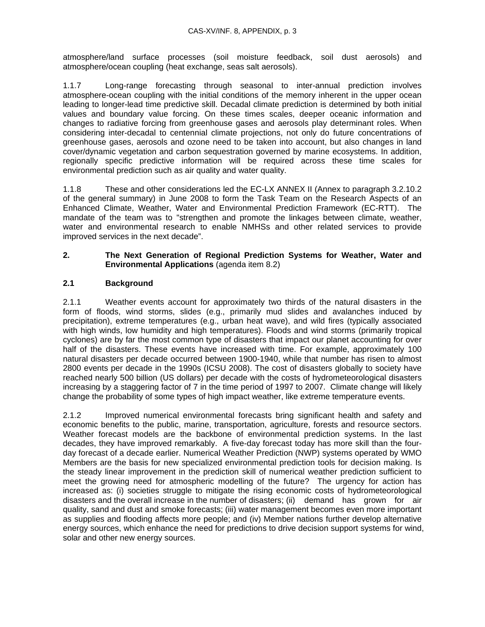atmosphere/land surface processes (soil moisture feedback, soil dust aerosols) and atmosphere/ocean coupling (heat exchange, seas salt aerosols).

1.1.7 Long-range forecasting through seasonal to inter-annual prediction involves atmosphere-ocean coupling with the initial conditions of the memory inherent in the upper ocean leading to longer-lead time predictive skill. Decadal climate prediction is determined by both initial values and boundary value forcing. On these times scales, deeper oceanic information and changes to radiative forcing from greenhouse gases and aerosols play determinant roles. When considering inter-decadal to centennial climate projections, not only do future concentrations of greenhouse gases, aerosols and ozone need to be taken into account, but also changes in land cover/dynamic vegetation and carbon sequestration governed by marine ecosystems. In addition, regionally specific predictive information will be required across these time scales for environmental prediction such as air quality and water quality.

1.1.8 These and other considerations led the EC-LX ANNEX II (Annex to paragraph 3.2.10.2 of the general summary) in June 2008 to form the Task Team on the Research Aspects of an Enhanced Climate, Weather, Water and Environmental Prediction Framework (EC-RTT). The mandate of the team was to "strengthen and promote the linkages between climate, weather, water and environmental research to enable NMHSs and other related services to provide improved services in the next decade".

## **2. The Next Generation of Regional Prediction Systems for Weather, Water and Environmental Applications** (agenda item 8.2)

## **2.1 Background**

2.1.1 Weather events account for approximately two thirds of the natural disasters in the form of floods, wind storms, slides (e.g., primarily mud slides and avalanches induced by precipitation), extreme temperatures (e.g., urban heat wave), and wild fires (typically associated with high winds, low humidity and high temperatures). Floods and wind storms (primarily tropical cyclones) are by far the most common type of disasters that impact our planet accounting for over half of the disasters. These events have increased with time. For example, approximately 100 natural disasters per decade occurred between 1900-1940, while that number has risen to almost 2800 events per decade in the 1990s (ICSU 2008). The cost of disasters globally to society have reached nearly 500 billion (US dollars) per decade with the costs of hydrometeorological disasters increasing by a staggering factor of 7 in the time period of 1997 to 2007. Climate change will likely change the probability of some types of high impact weather, like extreme temperature events.

2.1.2 Improved numerical environmental forecasts bring significant health and safety and economic benefits to the public, marine, transportation, agriculture, forests and resource sectors. Weather forecast models are the backbone of environmental prediction systems. In the last decades, they have improved remarkably. A five-day forecast today has more skill than the fourday forecast of a decade earlier. Numerical Weather Prediction (NWP) systems operated by WMO Members are the basis for new specialized environmental prediction tools for decision making. Is the steady linear improvement in the prediction skill of numerical weather prediction sufficient to meet the growing need for atmospheric modelling of the future? The urgency for action has increased as: (i) societies struggle to mitigate the rising economic costs of hydrometeorological disasters and the overall increase in the number of disasters; (ii) demand has grown for air quality, sand and dust and smoke forecasts; (iii) water management becomes even more important as supplies and flooding affects more people; and (iv) Member nations further develop alternative energy sources, which enhance the need for predictions to drive decision support systems for wind, solar and other new energy sources.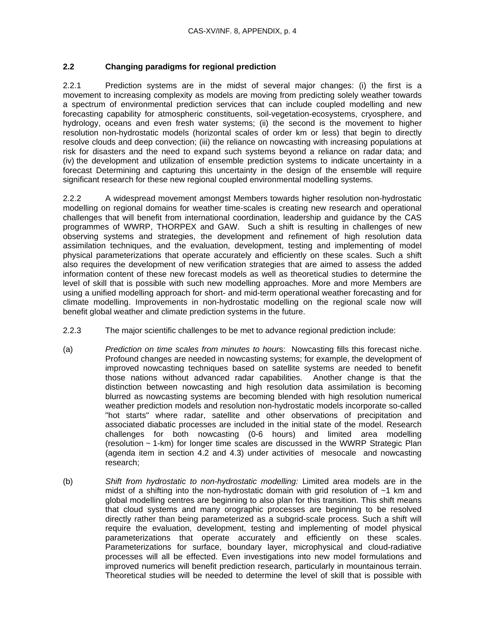## **2.2 Changing paradigms for regional prediction**

2.2.1 Prediction systems are in the midst of several major changes: (i) the first is a movement to increasing complexity as models are moving from predicting solely weather towards a spectrum of environmental prediction services that can include coupled modelling and new forecasting capability for atmospheric constituents, soil-vegetation-ecosystems, cryosphere, and hydrology, oceans and even fresh water systems; (ii) the second is the movement to higher resolution non-hydrostatic models (horizontal scales of order km or less) that begin to directly resolve clouds and deep convection; (iii) the reliance on nowcasting with increasing populations at risk for disasters and the need to expand such systems beyond a reliance on radar data; and (iv) the development and utilization of ensemble prediction systems to indicate uncertainty in a forecast Determining and capturing this uncertainty in the design of the ensemble will require significant research for these new regional coupled environmental modelling systems.

2.2.2 A widespread movement amongst Members towards higher resolution non-hydrostatic modelling on regional domains for weather time-scales is creating new research and operational challenges that will benefit from international coordination, leadership and guidance by the CAS programmes of WWRP, THORPEX and GAW. Such a shift is resulting in challenges of new observing systems and strategies, the development and refinement of high resolution data assimilation techniques, and the evaluation, development, testing and implementing of model physical parameterizations that operate accurately and efficiently on these scales. Such a shift also requires the development of new verification strategies that are aimed to assess the added information content of these new forecast models as well as theoretical studies to determine the level of skill that is possible with such new modelling approaches. More and more Members are using a unified modelling approach for short- and mid-term operational weather forecasting and for climate modelling. Improvements in non-hydrostatic modelling on the regional scale now will benefit global weather and climate prediction systems in the future.

- 2.2.3 The major scientific challenges to be met to advance regional prediction include:
- (a) *Prediction on time scales from minutes to hour*s: Nowcasting fills this forecast niche. Profound changes are needed in nowcasting systems; for example, the development of improved nowcasting techniques based on satellite systems are needed to benefit those nations without advanced radar capabilities. Another change is that the distinction between nowcasting and high resolution data assimilation is becoming blurred as nowcasting systems are becoming blended with high resolution numerical weather prediction models and resolution non-hydrostatic models incorporate so-called "hot starts" where radar, satellite and other observations of precipitation and associated diabatic processes are included in the initial state of the model. Research challenges for both nowcasting (0-6 hours) and limited area modelling (resolution ~ 1-km) for longer time scales are discussed in the WWRP Strategic Plan (agenda item in section 4.2 and 4.3) under activities of mesocale and nowcasting research;
- (b) *Shift from hydrostatic to non-hydrostatic modelling:* Limited area models are in the midst of a shifting into the non-hydrostatic domain with grid resolution of  $\sim$ 1 km and global modelling centres are beginning to also plan for this transition. This shift means that cloud systems and many orographic processes are beginning to be resolved directly rather than being parameterized as a subgrid-scale process. Such a shift will require the evaluation, development, testing and implementing of model physical parameterizations that operate accurately and efficiently on these scales. Parameterizations for surface, boundary layer, microphysical and cloud-radiative processes will all be effected. Even investigations into new model formulations and improved numerics will benefit prediction research, particularly in mountainous terrain. Theoretical studies will be needed to determine the level of skill that is possible with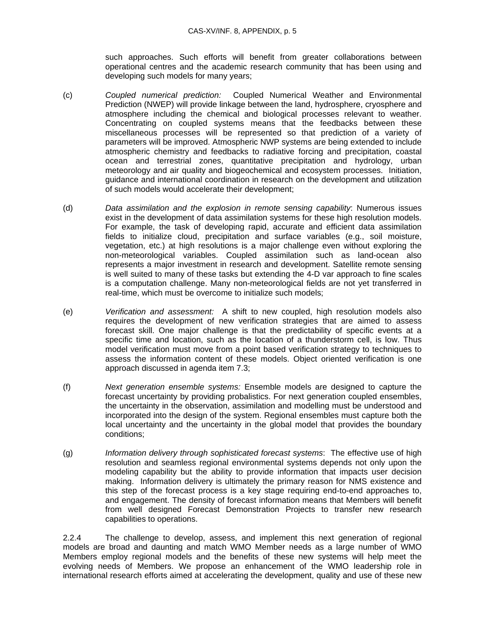such approaches. Such efforts will benefit from greater collaborations between operational centres and the academic research community that has been using and developing such models for many years;

- (c) *Coupled numerical prediction:* Coupled Numerical Weather and Environmental Prediction (NWEP) will provide linkage between the land, hydrosphere, cryosphere and atmosphere including the chemical and biological processes relevant to weather. Concentrating on coupled systems means that the feedbacks between these miscellaneous processes will be represented so that prediction of a variety of parameters will be improved. Atmospheric NWP systems are being extended to include atmospheric chemistry and feedbacks to radiative forcing and precipitation, coastal ocean and terrestrial zones, quantitative precipitation and hydrology, urban meteorology and air quality and biogeochemical and ecosystem processes. Initiation, guidance and international coordination in research on the development and utilization of such models would accelerate their development;
- (d) *Data assimilation and the explosion in remote sensing capability*: Numerous issues exist in the development of data assimilation systems for these high resolution models. For example, the task of developing rapid, accurate and efficient data assimilation fields to initialize cloud, precipitation and surface variables (e.g., soil moisture, vegetation, etc.) at high resolutions is a major challenge even without exploring the non-meteorological variables. Coupled assimilation such as land-ocean also represents a major investment in research and development. Satellite remote sensing is well suited to many of these tasks but extending the 4-D var approach to fine scales is a computation challenge. Many non-meteorological fields are not yet transferred in real-time, which must be overcome to initialize such models;
- (e) *Verification and assessment:* A shift to new coupled, high resolution models also requires the development of new verification strategies that are aimed to assess forecast skill. One major challenge is that the predictability of specific events at a specific time and location, such as the location of a thunderstorm cell, is low. Thus model verification must move from a point based verification strategy to techniques to assess the information content of these models. Object oriented verification is one approach discussed in agenda item 7.3;
- (f) *Next generation ensemble systems:* Ensemble models are designed to capture the forecast uncertainty by providing probalistics. For next generation coupled ensembles, the uncertainty in the observation, assimilation and modelling must be understood and incorporated into the design of the system. Regional ensembles must capture both the local uncertainty and the uncertainty in the global model that provides the boundary conditions;
- (g) *Information delivery through sophisticated forecast systems*: The effective use of high resolution and seamless regional environmental systems depends not only upon the modeling capability but the ability to provide information that impacts user decision making. Information delivery is ultimately the primary reason for NMS existence and this step of the forecast process is a key stage requiring end-to-end approaches to, and engagement. The density of forecast information means that Members will benefit from well designed Forecast Demonstration Projects to transfer new research capabilities to operations.

2.2.4 The challenge to develop, assess, and implement this next generation of regional models are broad and daunting and match WMO Member needs as a large number of WMO Members employ regional models and the benefits of these new systems will help meet the evolving needs of Members. We propose an enhancement of the WMO leadership role in international research efforts aimed at accelerating the development, quality and use of these new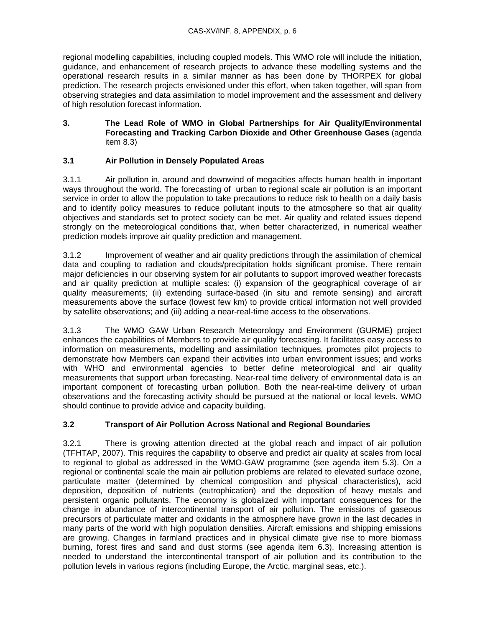regional modelling capabilities, including coupled models. This WMO role will include the initiation, guidance, and enhancement of research projects to advance these modelling systems and the operational research results in a similar manner as has been done by THORPEX for global prediction. The research projects envisioned under this effort, when taken together, will span from observing strategies and data assimilation to model improvement and the assessment and delivery of high resolution forecast information.

## **3. The Lead Role of WMO in Global Partnerships for Air Quality/Environmental Forecasting and Tracking Carbon Dioxide and Other Greenhouse Gases** (agenda item 8.3)

## **3.1 Air Pollution in Densely Populated Areas**

3.1.1 Air pollution in, around and downwind of megacities affects human health in important ways throughout the world. The forecasting of urban to regional scale air pollution is an important service in order to allow the population to take precautions to reduce risk to health on a daily basis and to identify policy measures to reduce pollutant inputs to the atmosphere so that air quality objectives and standards set to protect society can be met. Air quality and related issues depend strongly on the meteorological conditions that, when better characterized, in numerical weather prediction models improve air quality prediction and management.

3.1.2 Improvement of weather and air quality predictions through the assimilation of chemical data and coupling to radiation and clouds/precipitation holds significant promise. There remain major deficiencies in our observing system for air pollutants to support improved weather forecasts and air quality prediction at multiple scales: (i) expansion of the geographical coverage of air quality measurements; (ii) extending surface-based (in situ and remote sensing) and aircraft measurements above the surface (lowest few km) to provide critical information not well provided by satellite observations; and (iii) adding a near-real-time access to the observations.

3.1.3 The WMO GAW Urban Research Meteorology and Environment (GURME) project enhances the capabilities of Members to provide air quality forecasting. It facilitates easy access to information on measurements, modelling and assimilation techniques, promotes pilot projects to demonstrate how Members can expand their activities into urban environment issues; and works with WHO and environmental agencies to better define meteorological and air quality measurements that support urban forecasting. Near-real time delivery of environmental data is an important component of forecasting urban pollution. Both the near-real-time delivery of urban observations and the forecasting activity should be pursued at the national or local levels. WMO should continue to provide advice and capacity building.

## **3.2 Transport of Air Pollution Across National and Regional Boundaries**

3.2.1 There is growing attention directed at the global reach and impact of air pollution (TFHTAP, 2007). This requires the capability to observe and predict air quality at scales from local to regional to global as addressed in the WMO-GAW programme (see agenda item 5.3). On a regional or continental scale the main air pollution problems are related to elevated surface ozone, particulate matter (determined by chemical composition and physical characteristics), acid deposition, deposition of nutrients (eutrophication) and the deposition of heavy metals and persistent organic pollutants. The economy is globalized with important consequences for the change in abundance of intercontinental transport of air pollution. The emissions of gaseous precursors of particulate matter and oxidants in the atmosphere have grown in the last decades in many parts of the world with high population densities. Aircraft emissions and shipping emissions are growing. Changes in farmland practices and in physical climate give rise to more biomass burning, forest fires and sand and dust storms (see agenda item 6.3). Increasing attention is needed to understand the intercontinental transport of air pollution and its contribution to the pollution levels in various regions (including Europe, the Arctic, marginal seas, etc.).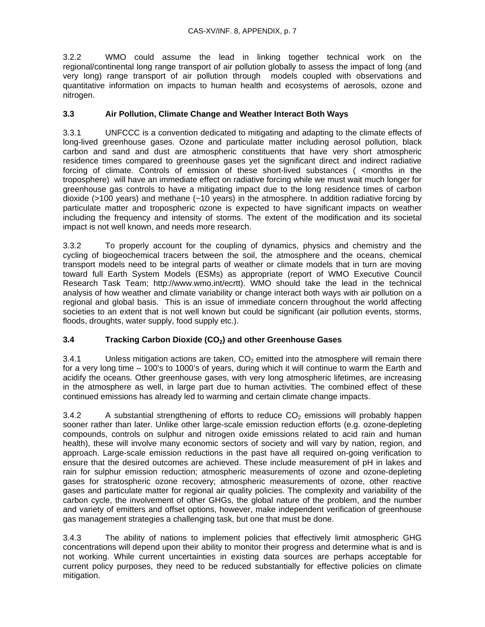3.2.2 WMO could assume the lead in linking together technical work on the regional/continental long range transport of air pollution globally to assess the impact of long (and very long) range transport of air pollution through models coupled with observations and quantitative information on impacts to human health and ecosystems of aerosols, ozone and nitrogen.

## **3.3 Air Pollution, Climate Change and Weather Interact Both Ways**

3.3.1 UNFCCC is a convention dedicated to mitigating and adapting to the climate effects of long-lived greenhouse gases. Ozone and particulate matter including aerosol pollution, black carbon and sand and dust are atmospheric constituents that have very short atmospheric residence times compared to greenhouse gases yet the significant direct and indirect radiative forcing of climate. Controls of emission of these short-lived substances (<months in the troposphere) will have an immediate effect on radiative forcing while we must wait much longer for greenhouse gas controls to have a mitigating impact due to the long residence times of carbon dioxide ( $>100$  years) and methane ( $\sim$ 10 years) in the atmosphere. In addition radiative forcing by particulate matter and tropospheric ozone is expected to have significant impacts on weather including the frequency and intensity of storms. The extent of the modification and its societal impact is not well known, and needs more research.

3.3.2 To properly account for the coupling of dynamics, physics and chemistry and the cycling of biogeochemical tracers between the soil, the atmosphere and the oceans, chemical transport models need to be integral parts of weather or climate models that in turn are moving toward full Earth System Models (ESMs) as appropriate (report of WMO Executive Council Research Task Team; http://www.wmo.int/ecrtt). WMO should take the lead in the technical analysis of how weather and climate variability or change interact both ways with air pollution on a regional and global basis. This is an issue of immediate concern throughout the world affecting societies to an extent that is not well known but could be significant (air pollution events, storms, floods, droughts, water supply, food supply etc.).

## **3.4 Tracking Carbon Dioxide (CO2) and other Greenhouse Gases**

3.4.1 Unless mitigation actions are taken,  $CO<sub>2</sub>$  emitted into the atmosphere will remain there for a very long time – 100's to 1000's of years, during which it will continue to warm the Earth and acidify the oceans. Other greenhouse gases, with very long atmospheric lifetimes, are increasing in the atmosphere as well, in large part due to human activities. The combined effect of these continued emissions has already led to warming and certain climate change impacts.

3.4.2 A substantial strengthening of efforts to reduce  $CO<sub>2</sub>$  emissions will probably happen sooner rather than later. Unlike other large-scale emission reduction efforts (e.g. ozone-depleting compounds, controls on sulphur and nitrogen oxide emissions related to acid rain and human health), these will involve many economic sectors of society and will vary by nation, region, and approach. Large-scale emission reductions in the past have all required on-going verification to ensure that the desired outcomes are achieved. These include measurement of pH in lakes and rain for sulphur emission reduction; atmospheric measurements of ozone and ozone-depleting gases for stratospheric ozone recovery; atmospheric measurements of ozone, other reactive gases and particulate matter for regional air quality policies. The complexity and variability of the carbon cycle, the involvement of other GHGs, the global nature of the problem, and the number and variety of emitters and offset options, however, make independent verification of greenhouse gas management strategies a challenging task, but one that must be done.

3.4.3 The ability of nations to implement policies that effectively limit atmospheric GHG concentrations will depend upon their ability to monitor their progress and determine what is and is not working. While current uncertainties in existing data sources are perhaps acceptable for current policy purposes, they need to be reduced substantially for effective policies on climate mitigation.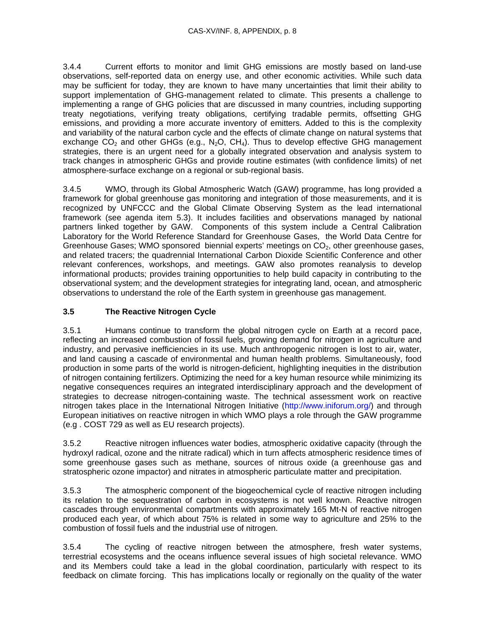3.4.4 Current efforts to monitor and limit GHG emissions are mostly based on land-use observations, self-reported data on energy use, and other economic activities. While such data may be sufficient for today, they are known to have many uncertainties that limit their ability to support implementation of GHG-management related to climate. This presents a challenge to implementing a range of GHG policies that are discussed in many countries, including supporting treaty negotiations, verifying treaty obligations, certifying tradable permits, offsetting GHG emissions, and providing a more accurate inventory of emitters. Added to this is the complexity and variability of the natural carbon cycle and the effects of climate change on natural systems that exchange  $CO_2$  and other GHGs (e.g., N<sub>2</sub>O, CH<sub>4</sub>). Thus to develop effective GHG management strategies, there is an urgent need for a globally integrated observation and analysis system to track changes in atmospheric GHGs and provide routine estimates (with confidence limits) of net atmosphere-surface exchange on a regional or sub-regional basis.

3.4.5 WMO, through its Global Atmospheric Watch (GAW) programme, has long provided a framework for global greenhouse gas monitoring and integration of those measurements, and it is recognized by UNFCCC and the Global Climate Observing System as the lead international framework (see agenda item 5.3). It includes facilities and observations managed by national partners linked together by GAW. Components of this system include a Central Calibration Laboratory for the World Reference Standard for Greenhouse Gases, the World Data Centre for Greenhouse Gases; WMO sponsored biennial experts' meetings on CO<sub>2</sub>, other greenhouse gases, and related tracers; the quadrennial International Carbon Dioxide Scientific Conference and other relevant conferences, workshops, and meetings. GAW also promotes reanalysis to develop informational products; provides training opportunities to help build capacity in contributing to the observational system; and the development strategies for integrating land, ocean, and atmospheric observations to understand the role of the Earth system in greenhouse gas management.

## **3.5 The Reactive Nitrogen Cycle**

3.5.1 Humans continue to transform the global nitrogen cycle on Earth at a record pace, reflecting an increased combustion of fossil fuels, growing demand for nitrogen in agriculture and industry, and pervasive inefficiencies in its use. Much anthropogenic nitrogen is lost to air, water, and land causing a cascade of environmental and human health problems. Simultaneously, food production in some parts of the world is nitrogen-deficient, highlighting inequities in the distribution of nitrogen containing fertilizers. Optimizing the need for a key human resource while minimizing its negative consequences requires an integrated interdisciplinary approach and the development of strategies to decrease nitrogen-containing waste. The technical assessment work on reactive nitrogen takes place in the International Nitrogen Initiative (http://www.iniforum.org/) and through European initiatives on reactive nitrogen in which WMO plays a role through the GAW programme (e.g . COST 729 as well as EU research projects).

3.5.2 Reactive nitrogen influences water bodies, atmospheric oxidative capacity (through the hydroxyl radical, ozone and the nitrate radical) which in turn affects atmospheric residence times of some greenhouse gases such as methane, sources of nitrous oxide (a greenhouse gas and stratospheric ozone impactor) and nitrates in atmospheric particulate matter and precipitation.

3.5.3 The atmospheric component of the biogeochemical cycle of reactive nitrogen including its relation to the sequestration of carbon in ecosystems is not well known. Reactive nitrogen cascades through environmental compartments with approximately 165 Mt-N of reactive nitrogen produced each year, of which about 75% is related in some way to agriculture and 25% to the combustion of fossil fuels and the industrial use of nitrogen.

3.5.4 The cycling of reactive nitrogen between the atmosphere, fresh water systems, terrestrial ecosystems and the oceans influence several issues of high societal relevance. WMO and its Members could take a lead in the global coordination, particularly with respect to its feedback on climate forcing. This has implications locally or regionally on the quality of the water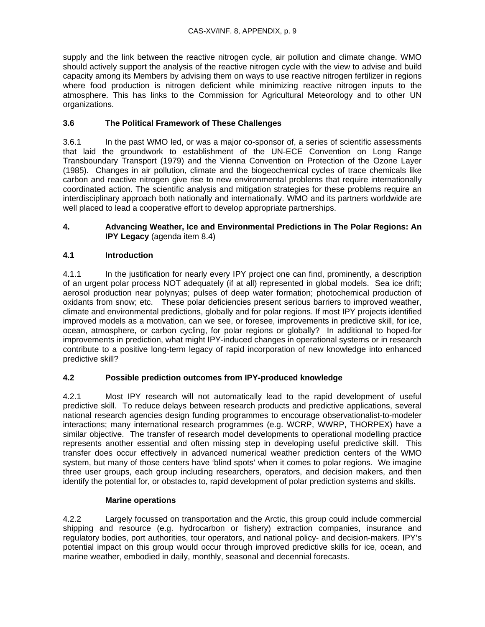supply and the link between the reactive nitrogen cycle, air pollution and climate change. WMO should actively support the analysis of the reactive nitrogen cycle with the view to advise and build capacity among its Members by advising them on ways to use reactive nitrogen fertilizer in regions where food production is nitrogen deficient while minimizing reactive nitrogen inputs to the atmosphere. This has links to the Commission for Agricultural Meteorology and to other UN organizations.

## **3.6 The Political Framework of These Challenges**

3.6.1 In the past WMO led, or was a major co-sponsor of, a series of scientific assessments that laid the groundwork to establishment of the UN-ECE Convention on Long Range Transboundary Transport (1979) and the Vienna Convention on Protection of the Ozone Layer (1985). Changes in air pollution, climate and the biogeochemical cycles of trace chemicals like carbon and reactive nitrogen give rise to new environmental problems that require internationally coordinated action. The scientific analysis and mitigation strategies for these problems require an interdisciplinary approach both nationally and internationally. WMO and its partners worldwide are well placed to lead a cooperative effort to develop appropriate partnerships.

## **4. Advancing Weather, Ice and Environmental Predictions in The Polar Regions: An IPY Legacy** (agenda item 8.4)

## **4.1 Introduction**

4.1.1 In the justification for nearly every IPY project one can find, prominently, a description of an urgent polar process NOT adequately (if at all) represented in global models. Sea ice drift; aerosol production near polynyas; pulses of deep water formation; photochemical production of oxidants from snow; etc. These polar deficiencies present serious barriers to improved weather, climate and environmental predictions, globally and for polar regions. If most IPY projects identified improved models as a motivation, can we see, or foresee, improvements in predictive skill, for ice, ocean, atmosphere, or carbon cycling, for polar regions or globally? In additional to hoped-for improvements in prediction, what might IPY-induced changes in operational systems or in research contribute to a positive long-term legacy of rapid incorporation of new knowledge into enhanced predictive skill?

## **4.2 Possible prediction outcomes from IPY-produced knowledge**

4.2.1 Most IPY research will not automatically lead to the rapid development of useful predictive skill. To reduce delays between research products and predictive applications, several national research agencies design funding programmes to encourage observationalist-to-modeler interactions; many international research programmes (e.g. WCRP, WWRP, THORPEX) have a similar objective. The transfer of research model developments to operational modelling practice represents another essential and often missing step in developing useful predictive skill. This transfer does occur effectively in advanced numerical weather prediction centers of the WMO system, but many of those centers have 'blind spots' when it comes to polar regions. We imagine three user groups, each group including researchers, operators, and decision makers, and then identify the potential for, or obstacles to, rapid development of polar prediction systems and skills.

## **Marine operations**

4.2.2 Largely focussed on transportation and the Arctic, this group could include commercial shipping and resource (e.g. hydrocarbon or fishery) extraction companies, insurance and regulatory bodies, port authorities, tour operators, and national policy- and decision-makers. IPY's potential impact on this group would occur through improved predictive skills for ice, ocean, and marine weather, embodied in daily, monthly, seasonal and decennial forecasts.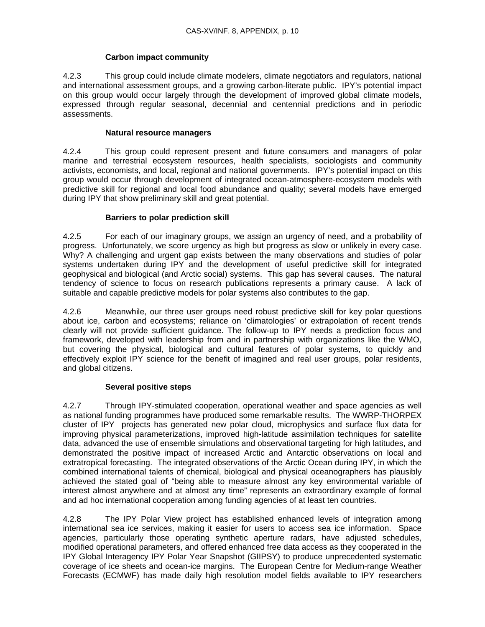## **Carbon impact community**

4.2.3 This group could include climate modelers, climate negotiators and regulators, national and international assessment groups, and a growing carbon-literate public. IPY's potential impact on this group would occur largely through the development of improved global climate models, expressed through regular seasonal, decennial and centennial predictions and in periodic assessments.

## **Natural resource managers**

4.2.4 This group could represent present and future consumers and managers of polar marine and terrestrial ecosystem resources, health specialists, sociologists and community activists, economists, and local, regional and national governments. IPY's potential impact on this group would occur through development of integrated ocean-atmosphere-ecosystem models with predictive skill for regional and local food abundance and quality; several models have emerged during IPY that show preliminary skill and great potential.

## **Barriers to polar prediction skill**

4.2.5 For each of our imaginary groups, we assign an urgency of need, and a probability of progress. Unfortunately, we score urgency as high but progress as slow or unlikely in every case. Why? A challenging and urgent gap exists between the many observations and studies of polar systems undertaken during IPY and the development of useful predictive skill for integrated geophysical and biological (and Arctic social) systems. This gap has several causes. The natural tendency of science to focus on research publications represents a primary cause. A lack of suitable and capable predictive models for polar systems also contributes to the gap.

4.2.6 Meanwhile, our three user groups need robust predictive skill for key polar questions about ice, carbon and ecosystems; reliance on 'climatologies' or extrapolation of recent trends clearly will not provide sufficient guidance. The follow-up to IPY needs a prediction focus and framework, developed with leadership from and in partnership with organizations like the WMO, but covering the physical, biological and cultural features of polar systems, to quickly and effectively exploit IPY science for the benefit of imagined and real user groups, polar residents, and global citizens.

## **Several positive steps**

4.2.7 Through IPY-stimulated cooperation, operational weather and space agencies as well as national funding programmes have produced some remarkable results. The WWRP-THORPEX cluster of IPY projects has generated new polar cloud, microphysics and surface flux data for improving physical parameterizations, improved high-latitude assimilation techniques for satellite data, advanced the use of ensemble simulations and observational targeting for high latitudes, and demonstrated the positive impact of increased Arctic and Antarctic observations on local and extratropical forecasting. The integrated observations of the Arctic Ocean during IPY, in which the combined international talents of chemical, biological and physical oceanographers has plausibly achieved the stated goal of "being able to measure almost any key environmental variable of interest almost anywhere and at almost any time" represents an extraordinary example of formal and ad hoc international cooperation among funding agencies of at least ten countries.

4.2.8 The IPY Polar View project has established enhanced levels of integration among international sea ice services, making it easier for users to access sea ice information. Space agencies, particularly those operating synthetic aperture radars, have adjusted schedules, modified operational parameters, and offered enhanced free data access as they cooperated in the IPY Global Interagency IPY Polar Year Snapshot (GIIPSY) to produce unprecedented systematic coverage of ice sheets and ocean-ice margins. The European Centre for Medium-range Weather Forecasts (ECMWF) has made daily high resolution model fields available to IPY researchers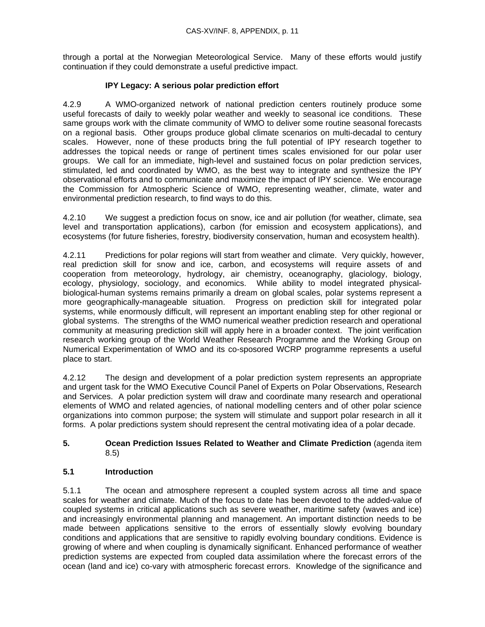through a portal at the Norwegian Meteorological Service. Many of these efforts would justify continuation if they could demonstrate a useful predictive impact.

## **IPY Legacy: A serious polar prediction effort**

4.2.9 A WMO-organized network of national prediction centers routinely produce some useful forecasts of daily to weekly polar weather and weekly to seasonal ice conditions. These same groups work with the climate community of WMO to deliver some routine seasonal forecasts on a regional basis. Other groups produce global climate scenarios on multi-decadal to century scales. However, none of these products bring the full potential of IPY research together to addresses the topical needs or range of pertinent times scales envisioned for our polar user groups. We call for an immediate, high-level and sustained focus on polar prediction services, stimulated, led and coordinated by WMO, as the best way to integrate and synthesize the IPY observational efforts and to communicate and maximize the impact of IPY science. We encourage the Commission for Atmospheric Science of WMO, representing weather, climate, water and environmental prediction research, to find ways to do this.

4.2.10 We suggest a prediction focus on snow, ice and air pollution (for weather, climate, sea level and transportation applications), carbon (for emission and ecosystem applications), and ecosystems (for future fisheries, forestry, biodiversity conservation, human and ecosystem health).

4.2.11 Predictions for polar regions will start from weather and climate. Very quickly, however, real prediction skill for snow and ice, carbon, and ecosystems will require assets of and cooperation from meteorology, hydrology, air chemistry, oceanography, glaciology, biology, ecology, physiology, sociology, and economics. While ability to model integrated physicalbiological-human systems remains primarily a dream on global scales, polar systems represent a more geographically-manageable situation. Progress on prediction skill for integrated polar systems, while enormously difficult, will represent an important enabling step for other regional or global systems. The strengths of the WMO numerical weather prediction research and operational community at measuring prediction skill will apply here in a broader context. The joint verification research working group of the World Weather Research Programme and the Working Group on Numerical Experimentation of WMO and its co-sposored WCRP programme represents a useful place to start.

4.2.12 The design and development of a polar prediction system represents an appropriate and urgent task for the WMO Executive Council Panel of Experts on Polar Observations, Research and Services. A polar prediction system will draw and coordinate many research and operational elements of WMO and related agencies, of national modelling centers and of other polar science organizations into common purpose; the system will stimulate and support polar research in all it forms. A polar predictions system should represent the central motivating idea of a polar decade.

## **5. Ocean Prediction Issues Related to Weather and Climate Prediction** (agenda item 8.5)

## **5.1 Introduction**

5.1.1 The ocean and atmosphere represent a coupled system across all time and space scales for weather and climate. Much of the focus to date has been devoted to the added-value of coupled systems in critical applications such as severe weather, maritime safety (waves and ice) and increasingly environmental planning and management. An important distinction needs to be made between applications sensitive to the errors of essentially slowly evolving boundary conditions and applications that are sensitive to rapidly evolving boundary conditions. Evidence is growing of where and when coupling is dynamically significant. Enhanced performance of weather prediction systems are expected from coupled data assimilation where the forecast errors of the ocean (land and ice) co-vary with atmospheric forecast errors. Knowledge of the significance and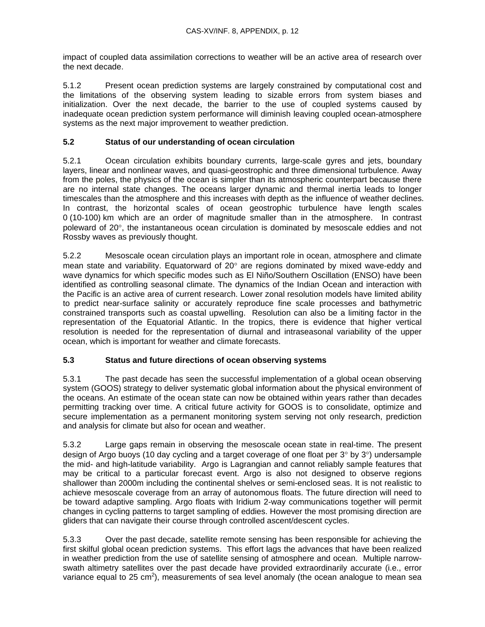impact of coupled data assimilation corrections to weather will be an active area of research over the next decade.

5.1.2 Present ocean prediction systems are largely constrained by computational cost and the limitations of the observing system leading to sizable errors from system biases and initialization. Over the next decade, the barrier to the use of coupled systems caused by inadequate ocean prediction system performance will diminish leaving coupled ocean-atmosphere systems as the next major improvement to weather prediction.

## **5.2 Status of our understanding of ocean circulation**

5.2.1 Ocean circulation exhibits boundary currents, large-scale gyres and jets, boundary layers, linear and nonlinear waves, and quasi-geostrophic and three dimensional turbulence. Away from the poles, the physics of the ocean is simpler than its atmospheric counterpart because there are no internal state changes. The oceans larger dynamic and thermal inertia leads to longer timescales than the atmosphere and this increases with depth as the influence of weather declines. In contrast, the horizontal scales of ocean geostrophic turbulence have length scales 0 (10-100) km which are an order of magnitude smaller than in the atmosphere. In contrast poleward of 20°, the instantaneous ocean circulation is dominated by mesoscale eddies and not Rossby waves as previously thought.

5.2.2 Mesoscale ocean circulation plays an important role in ocean, atmosphere and climate mean state and variability. Equatorward of 20° are regions dominated by mixed wave-eddy and wave dynamics for which specific modes such as El Niño/Southern Oscillation (ENSO) have been identified as controlling seasonal climate. The dynamics of the Indian Ocean and interaction with the Pacific is an active area of current research. Lower zonal resolution models have limited ability to predict near-surface salinity or accurately reproduce fine scale processes and bathymetric constrained transports such as coastal upwelling. Resolution can also be a limiting factor in the representation of the Equatorial Atlantic. In the tropics, there is evidence that higher vertical resolution is needed for the representation of diurnal and intraseasonal variability of the upper ocean, which is important for weather and climate forecasts.

## **5.3 Status and future directions of ocean observing systems**

5.3.1 The past decade has seen the successful implementation of a global ocean observing system (GOOS) strategy to deliver systematic global information about the physical environment of the oceans. An estimate of the ocean state can now be obtained within years rather than decades permitting tracking over time. A critical future activity for GOOS is to consolidate, optimize and secure implementation as a permanent monitoring system serving not only research, prediction and analysis for climate but also for ocean and weather.

5.3.2 Large gaps remain in observing the mesoscale ocean state in real-time. The present design of Argo buoys (10 day cycling and a target coverage of one float per  $3^{\circ}$  by  $3^{\circ}$ ) undersample the mid- and high-latitude variability. Argo is Lagrangian and cannot reliably sample features that may be critical to a particular forecast event. Argo is also not designed to observe regions shallower than 2000m including the continental shelves or semi-enclosed seas. It is not realistic to achieve mesoscale coverage from an array of autonomous floats. The future direction will need to be toward adaptive sampling. Argo floats with Iridium 2-way communications together will permit changes in cycling patterns to target sampling of eddies. However the most promising direction are gliders that can navigate their course through controlled ascent/descent cycles.

5.3.3 Over the past decade, satellite remote sensing has been responsible for achieving the first skilful global ocean prediction systems. This effort lags the advances that have been realized in weather prediction from the use of satellite sensing of atmosphere and ocean. Multiple narrowswath altimetry satellites over the past decade have provided extraordinarily accurate (i.e., error variance equal to 25 cm<sup>2</sup>), measurements of sea level anomaly (the ocean analogue to mean sea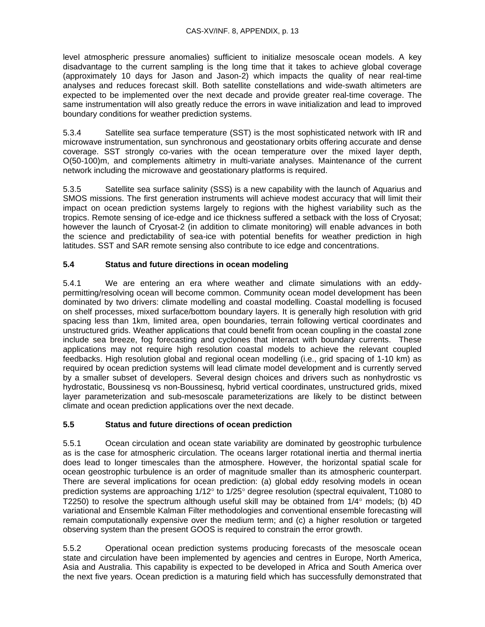level atmospheric pressure anomalies) sufficient to initialize mesoscale ocean models. A key disadvantage to the current sampling is the long time that it takes to achieve global coverage (approximately 10 days for Jason and Jason-2) which impacts the quality of near real-time analyses and reduces forecast skill. Both satellite constellations and wide-swath altimeters are expected to be implemented over the next decade and provide greater real-time coverage. The same instrumentation will also greatly reduce the errors in wave initialization and lead to improved boundary conditions for weather prediction systems.

5.3.4 Satellite sea surface temperature (SST) is the most sophisticated network with IR and microwave instrumentation, sun synchronous and geostationary orbits offering accurate and dense coverage. SST strongly co-varies with the ocean temperature over the mixed layer depth, O(50-100)m, and complements altimetry in multi-variate analyses. Maintenance of the current network including the microwave and geostationary platforms is required.

5.3.5 Satellite sea surface salinity (SSS) is a new capability with the launch of Aquarius and SMOS missions. The first generation instruments will achieve modest accuracy that will limit their impact on ocean prediction systems largely to regions with the highest variability such as the tropics. Remote sensing of ice-edge and ice thickness suffered a setback with the loss of Cryosat; however the launch of Cryosat-2 (in addition to climate monitoring) will enable advances in both the science and predictability of sea-ice with potential benefits for weather prediction in high latitudes. SST and SAR remote sensing also contribute to ice edge and concentrations.

## **5.4 Status and future directions in ocean modeling**

5.4.1 We are entering an era where weather and climate simulations with an eddypermitting/resolving ocean will become common. Community ocean model development has been dominated by two drivers: climate modelling and coastal modelling. Coastal modelling is focused on shelf processes, mixed surface/bottom boundary layers. It is generally high resolution with grid spacing less than 1km, limited area, open boundaries, terrain following vertical coordinates and unstructured grids. Weather applications that could benefit from ocean coupling in the coastal zone include sea breeze, fog forecasting and cyclones that interact with boundary currents. These applications may not require high resolution coastal models to achieve the relevant coupled feedbacks. High resolution global and regional ocean modelling (i.e., grid spacing of 1-10 km) as required by ocean prediction systems will lead climate model development and is currently served by a smaller subset of developers. Several design choices and drivers such as nonhydrostic vs hydrostatic, Boussinesq vs non-Boussinesq, hybrid vertical coordinates, unstructured grids, mixed layer parameterization and sub-mesoscale parameterizations are likely to be distinct between climate and ocean prediction applications over the next decade.

## **5.5 Status and future directions of ocean prediction**

5.5.1 Ocean circulation and ocean state variability are dominated by geostrophic turbulence as is the case for atmospheric circulation. The oceans larger rotational inertia and thermal inertia does lead to longer timescales than the atmosphere. However, the horizontal spatial scale for ocean geostrophic turbulence is an order of magnitude smaller than its atmospheric counterpart. There are several implications for ocean prediction: (a) global eddy resolving models in ocean prediction systems are approaching 1/12° to 1/25° degree resolution (spectral equivalent, T1080 to T2250) to resolve the spectrum although useful skill may be obtained from  $1/4^{\circ}$  models; (b)  $4D$ variational and Ensemble Kalman Filter methodologies and conventional ensemble forecasting will remain computationally expensive over the medium term; and (c) a higher resolution or targeted observing system than the present GOOS is required to constrain the error growth.

5.5.2 Operational ocean prediction systems producing forecasts of the mesoscale ocean state and circulation have been implemented by agencies and centres in Europe, North America, Asia and Australia. This capability is expected to be developed in Africa and South America over the next five years. Ocean prediction is a maturing field which has successfully demonstrated that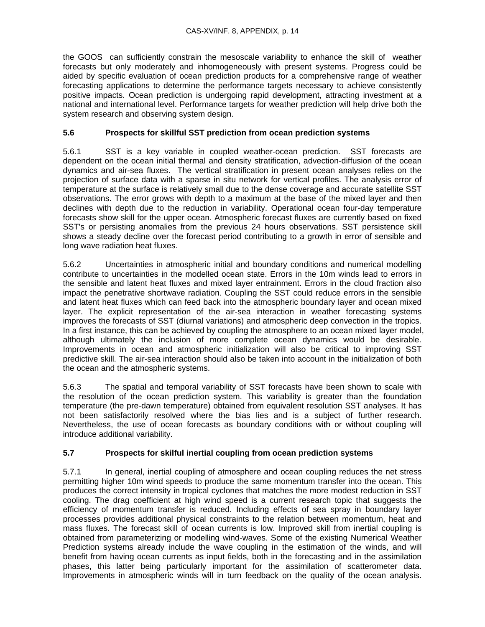the GOOS can sufficiently constrain the mesoscale variability to enhance the skill of weather forecasts but only moderately and inhomogeneously with present systems. Progress could be aided by specific evaluation of ocean prediction products for a comprehensive range of weather forecasting applications to determine the performance targets necessary to achieve consistently positive impacts. Ocean prediction is undergoing rapid development, attracting investment at a national and international level. Performance targets for weather prediction will help drive both the system research and observing system design.

## **5.6 Prospects for skillful SST prediction from ocean prediction systems**

5.6.1 SST is a key variable in coupled weather-ocean prediction. SST forecasts are dependent on the ocean initial thermal and density stratification, advection-diffusion of the ocean dynamics and air-sea fluxes. The vertical stratification in present ocean analyses relies on the projection of surface data with a sparse in situ network for vertical profiles. The analysis error of temperature at the surface is relatively small due to the dense coverage and accurate satellite SST observations. The error grows with depth to a maximum at the base of the mixed layer and then declines with depth due to the reduction in variability. Operational ocean four-day temperature forecasts show skill for the upper ocean. Atmospheric forecast fluxes are currently based on fixed SST's or persisting anomalies from the previous 24 hours observations. SST persistence skill shows a steady decline over the forecast period contributing to a growth in error of sensible and long wave radiation heat fluxes.

5.6.2 Uncertainties in atmospheric initial and boundary conditions and numerical modelling contribute to uncertainties in the modelled ocean state. Errors in the 10m winds lead to errors in the sensible and latent heat fluxes and mixed layer entrainment. Errors in the cloud fraction also impact the penetrative shortwave radiation. Coupling the SST could reduce errors in the sensible and latent heat fluxes which can feed back into the atmospheric boundary layer and ocean mixed layer. The explicit representation of the air-sea interaction in weather forecasting systems improves the forecasts of SST (diurnal variations) and atmospheric deep convection in the tropics. In a first instance, this can be achieved by coupling the atmosphere to an ocean mixed layer model, although ultimately the inclusion of more complete ocean dynamics would be desirable. Improvements in ocean and atmospheric initialization will also be critical to improving SST predictive skill. The air-sea interaction should also be taken into account in the initialization of both the ocean and the atmospheric systems.

5.6.3 The spatial and temporal variability of SST forecasts have been shown to scale with the resolution of the ocean prediction system. This variability is greater than the foundation temperature (the pre-dawn temperature) obtained from equivalent resolution SST analyses. It has not been satisfactorily resolved where the bias lies and is a subject of further research. Nevertheless, the use of ocean forecasts as boundary conditions with or without coupling will introduce additional variability.

## **5.7 Prospects for skilful inertial coupling from ocean prediction systems**

5.7.1 In general, inertial coupling of atmosphere and ocean coupling reduces the net stress permitting higher 10m wind speeds to produce the same momentum transfer into the ocean. This produces the correct intensity in tropical cyclones that matches the more modest reduction in SST cooling. The drag coefficient at high wind speed is a current research topic that suggests the efficiency of momentum transfer is reduced. Including effects of sea spray in boundary layer processes provides additional physical constraints to the relation between momentum, heat and mass fluxes. The forecast skill of ocean currents is low. Improved skill from inertial coupling is obtained from parameterizing or modelling wind-waves. Some of the existing Numerical Weather Prediction systems already include the wave coupling in the estimation of the winds, and will benefit from having ocean currents as input fields, both in the forecasting and in the assimilation phases, this latter being particularly important for the assimilation of scatterometer data. Improvements in atmospheric winds will in turn feedback on the quality of the ocean analysis.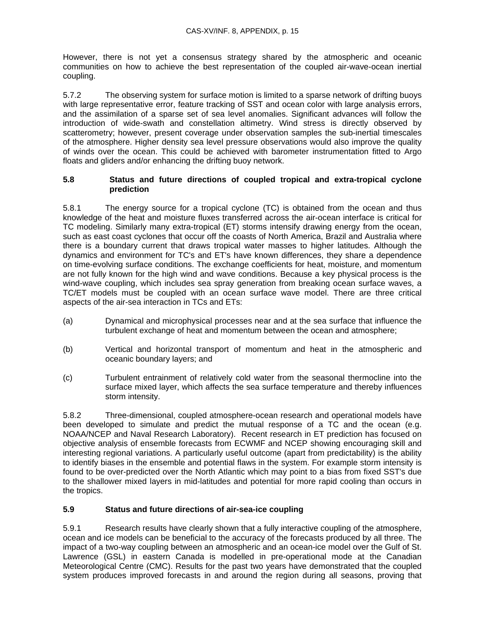However, there is not yet a consensus strategy shared by the atmospheric and oceanic communities on how to achieve the best representation of the coupled air-wave-ocean inertial coupling.

5.7.2 The observing system for surface motion is limited to a sparse network of drifting buoys with large representative error, feature tracking of SST and ocean color with large analysis errors, and the assimilation of a sparse set of sea level anomalies. Significant advances will follow the introduction of wide-swath and constellation altimetry. Wind stress is directly observed by scatterometry; however, present coverage under observation samples the sub-inertial timescales of the atmosphere. Higher density sea level pressure observations would also improve the quality of winds over the ocean. This could be achieved with barometer instrumentation fitted to Argo floats and gliders and/or enhancing the drifting buoy network.

## **5.8 Status and future directions of coupled tropical and extra-tropical cyclone prediction**

5.8.1 The energy source for a tropical cyclone (TC) is obtained from the ocean and thus knowledge of the heat and moisture fluxes transferred across the air-ocean interface is critical for TC modeling. Similarly many extra-tropical (ET) storms intensify drawing energy from the ocean, such as east coast cyclones that occur off the coasts of North America, Brazil and Australia where there is a boundary current that draws tropical water masses to higher latitudes. Although the dynamics and environment for TC's and ET's have known differences, they share a dependence on time-evolving surface conditions. The exchange coefficients for heat, moisture, and momentum are not fully known for the high wind and wave conditions. Because a key physical process is the wind-wave coupling, which includes sea spray generation from breaking ocean surface waves, a TC/ET models must be coupled with an ocean surface wave model. There are three critical aspects of the air-sea interaction in TCs and ETs:

- (a) Dynamical and microphysical processes near and at the sea surface that influence the turbulent exchange of heat and momentum between the ocean and atmosphere;
- (b) Vertical and horizontal transport of momentum and heat in the atmospheric and oceanic boundary layers; and
- (c) Turbulent entrainment of relatively cold water from the seasonal thermocline into the surface mixed layer, which affects the sea surface temperature and thereby influences storm intensity.

5.8.2 Three-dimensional, coupled atmosphere-ocean research and operational models have been developed to simulate and predict the mutual response of a TC and the ocean (e.g. NOAA/NCEP and Naval Research Laboratory). Recent research in ET prediction has focused on objective analysis of ensemble forecasts from ECWMF and NCEP showing encouraging skill and interesting regional variations. A particularly useful outcome (apart from predictability) is the ability to identify biases in the ensemble and potential flaws in the system. For example storm intensity is found to be over-predicted over the North Atlantic which may point to a bias from fixed SST's due to the shallower mixed layers in mid-latitudes and potential for more rapid cooling than occurs in the tropics.

## **5.9 Status and future directions of air-sea-ice coupling**

5.9.1 Research results have clearly shown that a fully interactive coupling of the atmosphere, ocean and ice models can be beneficial to the accuracy of the forecasts produced by all three. The impact of a two-way coupling between an atmospheric and an ocean-ice model over the Gulf of St. Lawrence (GSL) in eastern Canada is modelled in pre-operational mode at the Canadian Meteorological Centre (CMC). Results for the past two years have demonstrated that the coupled system produces improved forecasts in and around the region during all seasons, proving that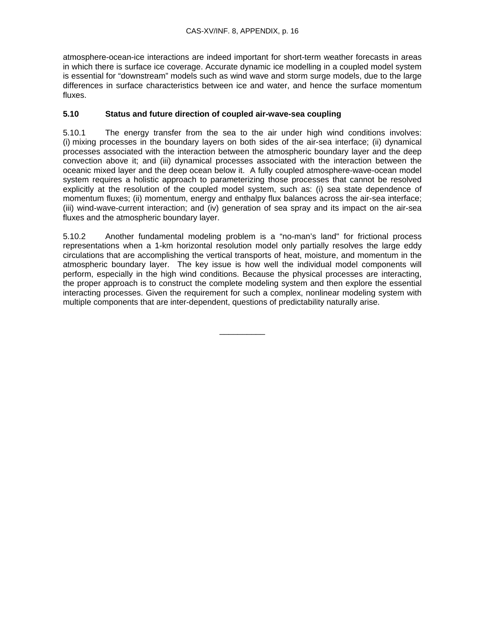atmosphere-ocean-ice interactions are indeed important for short-term weather forecasts in areas in which there is surface ice coverage. Accurate dynamic ice modelling in a coupled model system is essential for "downstream" models such as wind wave and storm surge models, due to the large differences in surface characteristics between ice and water, and hence the surface momentum fluxes.

## **5.10 Status and future direction of coupled air-wave-sea coupling**

5.10.1 The energy transfer from the sea to the air under high wind conditions involves: (i) mixing processes in the boundary layers on both sides of the air-sea interface; (ii) dynamical processes associated with the interaction between the atmospheric boundary layer and the deep convection above it; and (iii) dynamical processes associated with the interaction between the oceanic mixed layer and the deep ocean below it. A fully coupled atmosphere-wave-ocean model system requires a holistic approach to parameterizing those processes that cannot be resolved explicitly at the resolution of the coupled model system, such as: (i) sea state dependence of momentum fluxes; (ii) momentum, energy and enthalpy flux balances across the air-sea interface; (iii) wind-wave-current interaction; and (iv) generation of sea spray and its impact on the air-sea fluxes and the atmospheric boundary layer.

5.10.2 Another fundamental modeling problem is a "no-man's land" for frictional process representations when a 1-km horizontal resolution model only partially resolves the large eddy circulations that are accomplishing the vertical transports of heat, moisture, and momentum in the atmospheric boundary layer. The key issue is how well the individual model components will perform, especially in the high wind conditions. Because the physical processes are interacting, the proper approach is to construct the complete modeling system and then explore the essential interacting processes. Given the requirement for such a complex, nonlinear modeling system with multiple components that are inter-dependent, questions of predictability naturally arise.

\_\_\_\_\_\_\_\_\_\_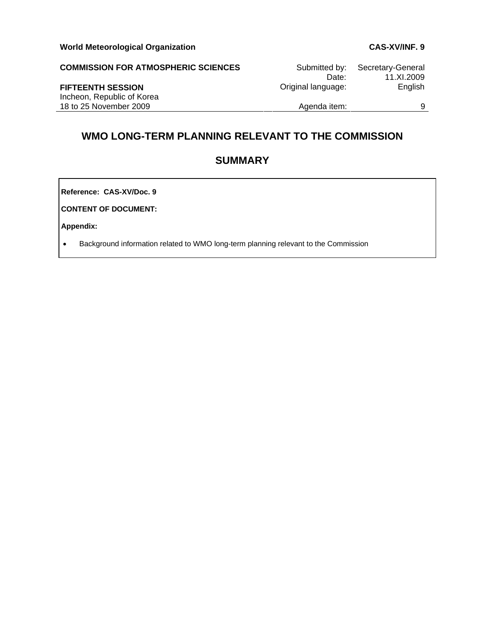| <b>COMMISSION FOR ATMOSPHERIC SCIENCES</b> | Submitted by:<br>Date: | Secretary-General<br>11.XI.2009 |
|--------------------------------------------|------------------------|---------------------------------|
| <b>FIFTEENTH SESSION</b>                   | Original language:     | English                         |
| Incheon, Republic of Korea                 |                        |                                 |
| 18 to 25 November 2009                     | Agenda item:           |                                 |

# **WMO LONG-TERM PLANNING RELEVANT TO THE COMMISSION**

# **SUMMARY**

**Reference: CAS-XV/Doc. 9**

**CONTENT OF DOCUMENT:** 

**Appendix:** 

• Background information related to WMO long-term planning relevant to the Commission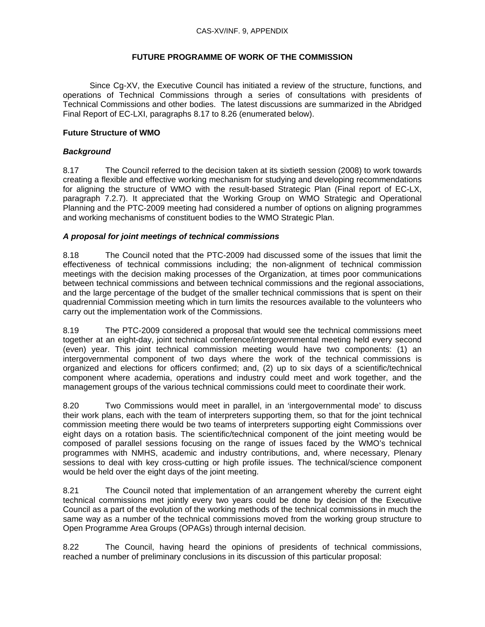## **FUTURE PROGRAMME OF WORK OF THE COMMISSION**

 Since Cg-XV, the Executive Council has initiated a review of the structure, functions, and operations of Technical Commissions through a series of consultations with presidents of Technical Commissions and other bodies. The latest discussions are summarized in the Abridged Final Report of EC-LXI, paragraphs 8.17 to 8.26 (enumerated below).

## **Future Structure of WMO**

## *Background*

8.17 The Council referred to the decision taken at its sixtieth session (2008) to work towards creating a flexible and effective working mechanism for studying and developing recommendations for aligning the structure of WMO with the result-based Strategic Plan (Final report of EC-LX, paragraph 7.2.7). It appreciated that the Working Group on WMO Strategic and Operational Planning and the PTC-2009 meeting had considered a number of options on aligning programmes and working mechanisms of constituent bodies to the WMO Strategic Plan.

## *A proposal for joint meetings of technical commissions*

8.18 The Council noted that the PTC-2009 had discussed some of the issues that limit the effectiveness of technical commissions including; the non-alignment of technical commission meetings with the decision making processes of the Organization, at times poor communications between technical commissions and between technical commissions and the regional associations, and the large percentage of the budget of the smaller technical commissions that is spent on their quadrennial Commission meeting which in turn limits the resources available to the volunteers who carry out the implementation work of the Commissions.

8.19 The PTC-2009 considered a proposal that would see the technical commissions meet together at an eight-day, joint technical conference/intergovernmental meeting held every second (even) year. This joint technical commission meeting would have two components: (1) an intergovernmental component of two days where the work of the technical commissions is organized and elections for officers confirmed; and, (2) up to six days of a scientific/technical component where academia, operations and industry could meet and work together, and the management groups of the various technical commissions could meet to coordinate their work.

8.20 Two Commissions would meet in parallel, in an 'intergovernmental mode' to discuss their work plans, each with the team of interpreters supporting them, so that for the joint technical commission meeting there would be two teams of interpreters supporting eight Commissions over eight days on a rotation basis. The scientific/technical component of the joint meeting would be composed of parallel sessions focusing on the range of issues faced by the WMO's technical programmes with NMHS, academic and industry contributions, and, where necessary, Plenary sessions to deal with key cross-cutting or high profile issues. The technical/science component would be held over the eight days of the joint meeting.

8.21 The Council noted that implementation of an arrangement whereby the current eight technical commissions met jointly every two years could be done by decision of the Executive Council as a part of the evolution of the working methods of the technical commissions in much the same way as a number of the technical commissions moved from the working group structure to Open Programme Area Groups (OPAGs) through internal decision.

8.22 The Council, having heard the opinions of presidents of technical commissions, reached a number of preliminary conclusions in its discussion of this particular proposal: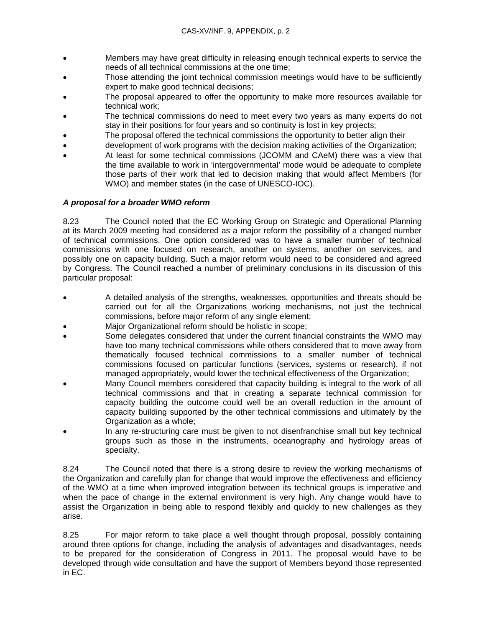- Members may have great difficulty in releasing enough technical experts to service the needs of all technical commissions at the one time;
- Those attending the joint technical commission meetings would have to be sufficiently expert to make good technical decisions;
- The proposal appeared to offer the opportunity to make more resources available for technical work;
- The technical commissions do need to meet every two years as many experts do not stay in their positions for four years and so continuity is lost in key projects;
- The proposal offered the technical commissions the opportunity to better align their
- development of work programs with the decision making activities of the Organization;
- At least for some technical commissions (JCOMM and CAeM) there was a view that the time available to work in 'intergovernmental' mode would be adequate to complete those parts of their work that led to decision making that would affect Members (for WMO) and member states (in the case of UNESCO-IOC).

## *A proposal for a broader WMO reform*

8.23 The Council noted that the EC Working Group on Strategic and Operational Planning at its March 2009 meeting had considered as a major reform the possibility of a changed number of technical commissions. One option considered was to have a smaller number of technical commissions with one focused on research, another on systems, another on services, and possibly one on capacity building. Such a major reform would need to be considered and agreed by Congress. The Council reached a number of preliminary conclusions in its discussion of this particular proposal:

- A detailed analysis of the strengths, weaknesses, opportunities and threats should be carried out for all the Organizations working mechanisms, not just the technical commissions, before major reform of any single element;
- Major Organizational reform should be holistic in scope;
- Some delegates considered that under the current financial constraints the WMO may have too many technical commissions while others considered that to move away from thematically focused technical commissions to a smaller number of technical commissions focused on particular functions (services, systems or research), if not managed appropriately, would lower the technical effectiveness of the Organization;
- Many Council members considered that capacity building is integral to the work of all technical commissions and that in creating a separate technical commission for capacity building the outcome could well be an overall reduction in the amount of capacity building supported by the other technical commissions and ultimately by the Organization as a whole;
- In any re-structuring care must be given to not disenfranchise small but key technical groups such as those in the instruments, oceanography and hydrology areas of specialty.

8.24 The Council noted that there is a strong desire to review the working mechanisms of the Organization and carefully plan for change that would improve the effectiveness and efficiency of the WMO at a time when improved integration between its technical groups is imperative and when the pace of change in the external environment is very high. Any change would have to assist the Organization in being able to respond flexibly and quickly to new challenges as they arise.

8.25 For major reform to take place a well thought through proposal, possibly containing around three options for change, including the analysis of advantages and disadvantages, needs to be prepared for the consideration of Congress in 2011. The proposal would have to be developed through wide consultation and have the support of Members beyond those represented in EC.